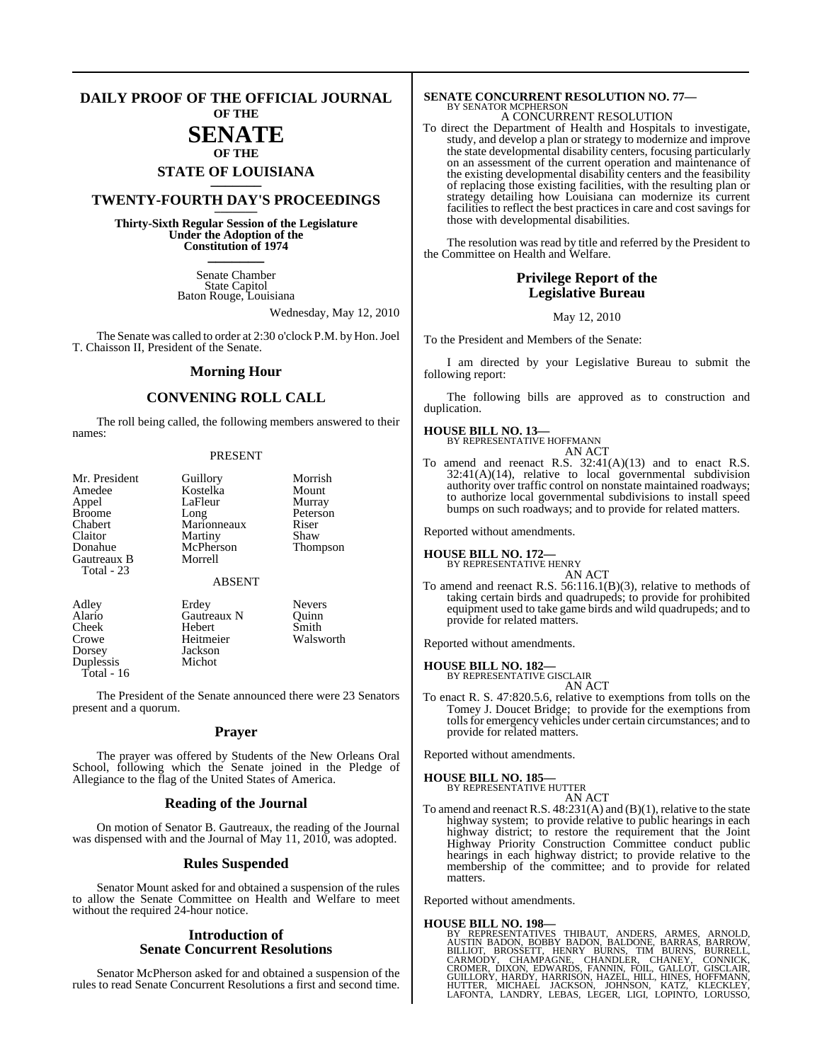### **DAILY PROOF OF THE OFFICIAL JOURNAL OF THE**

### **SENATE OF THE**

# **STATE OF LOUISIANA \_\_\_\_\_\_\_**

### **TWENTY-FOURTH DAY'S PROCEEDINGS \_\_\_\_\_\_\_**

**Thirty-Sixth Regular Session of the Legislature Under the Adoption of the Constitution of 1974 \_\_\_\_\_\_\_**

> Senate Chamber State Capitol Baton Rouge, Louisiana

> > Wednesday, May 12, 2010

The Senate was called to order at 2:30 o'clock P.M. by Hon.Joel T. Chaisson II, President of the Senate.

### **Morning Hour**

### **CONVENING ROLL CALL**

The roll being called, the following members answered to their names:

#### PRESENT

| Mr. President<br>Amedee<br>Appel<br><b>Broome</b><br>Chabert<br>Claitor | Guillory<br>Kostelka<br>LaFleur<br>Long<br>Marionneaux<br>Martiny | Morrish<br>Mount<br>Murray<br>Peterson<br>Riser<br>Shaw |
|-------------------------------------------------------------------------|-------------------------------------------------------------------|---------------------------------------------------------|
| Donahue<br>Gautreaux B<br>Total - 23                                    | McPherson<br>Morrell<br><b>ABSENT</b>                             | Thompson                                                |
| Adley                                                                   | Erdey                                                             | Nevers                                                  |

Hebert<br>Heitmeier

Jackson<br>Michot

Alario Gautreaux N Quinn<br>
Cheek Hebert Smith Crowe Heitmeier Walsworth<br>Dorsey Jackson Duplessis

Total - 16

The President of the Senate announced there were 23 Senators present and a quorum.

### **Prayer**

The prayer was offered by Students of the New Orleans Oral School, following which the Senate joined in the Pledge of Allegiance to the flag of the United States of America.

### **Reading of the Journal**

On motion of Senator B. Gautreaux, the reading of the Journal was dispensed with and the Journal of May 11, 2010, was adopted.

### **Rules Suspended**

Senator Mount asked for and obtained a suspension of the rules to allow the Senate Committee on Health and Welfare to meet without the required 24-hour notice.

### **Introduction of Senate Concurrent Resolutions**

Senator McPherson asked for and obtained a suspension of the rules to read Senate Concurrent Resolutions a first and second time.

### **SENATE CONCURRENT RESOLUTION NO. 77—** BY SENATOR MCPHERSON A CONCURRENT RESOLUTION

To direct the Department of Health and Hospitals to investigate, study, and develop a plan or strategy to modernize and improve the state developmental disability centers, focusing particularly on an assessment of the current operation and maintenance of the existing developmental disability centers and the feasibility of replacing those existing facilities, with the resulting plan or strategy detailing how Louisiana can modernize its current facilities to reflect the best practices in care and cost savings for those with developmental disabilities.

The resolution was read by title and referred by the President to the Committee on Health and Welfare.

### **Privilege Report of the Legislative Bureau**

May 12, 2010

To the President and Members of the Senate:

I am directed by your Legislative Bureau to submit the following report:

The following bills are approved as to construction and duplication.

**HOUSE BILL NO. 13—**

| BY REPRESENTATIVE HOFFMANN |
|----------------------------|
| AN ACT                     |

To amend and reenact R.S. 32:41(A)(13) and to enact R.S.  $32:41(A)(14)$ , relative to local governmental subdivision authority over traffic control on nonstate maintained roadways; to authorize local governmental subdivisions to install speed bumps on such roadways; and to provide for related matters.

Reported without amendments.

**HOUSE BILL NO. 172—** BY REPRESENTATIVE HENRY

AN ACT

To amend and reenact R.S. 56:116.1(B)(3), relative to methods of taking certain birds and quadrupeds; to provide for prohibited equipment used to take game birds and wild quadrupeds; and to provide for related matters.

Reported without amendments.

### **HOUSE BILL NO. 182—** BY REPRESENTATIVE GISCLAIR

AN ACT

To enact R. S. 47:820.5.6, relative to exemptions from tolls on the Tomey J. Doucet Bridge; to provide for the exemptions from tollsfor emergency vehicles under certain circumstances; and to provide for related matters.

Reported without amendments.

#### **HOUSE BILL NO. 185—**

BY REPRESENTATIVE HUTTER

AN ACT To amend and reenact R.S. 48:231(A) and (B)(1), relative to the state highway system; to provide relative to public hearings in each highway district; to restore the requirement that the Joint Highway Priority Construction Committee conduct public hearings in each highway district; to provide relative to the membership of the committee; and to provide for related matters.

Reported without amendments.

#### **HOUSE BILL NO. 198—**

BY REPRESENTATIVES THIBAUT, ANDERS, ARMES, ARNOLD,<br>AUSTIN BADON, BOBBY BADON, BALDONE, BARRAS, BARROW,<br>BILLIOT, BROSSETT, HENRY BURNS, TIM BURNS, BURRELL,<br>CROMER, DIXON, EDWARDS, FANNILER, CHANEY, CONNICK,<br>CROMER, DIXON, E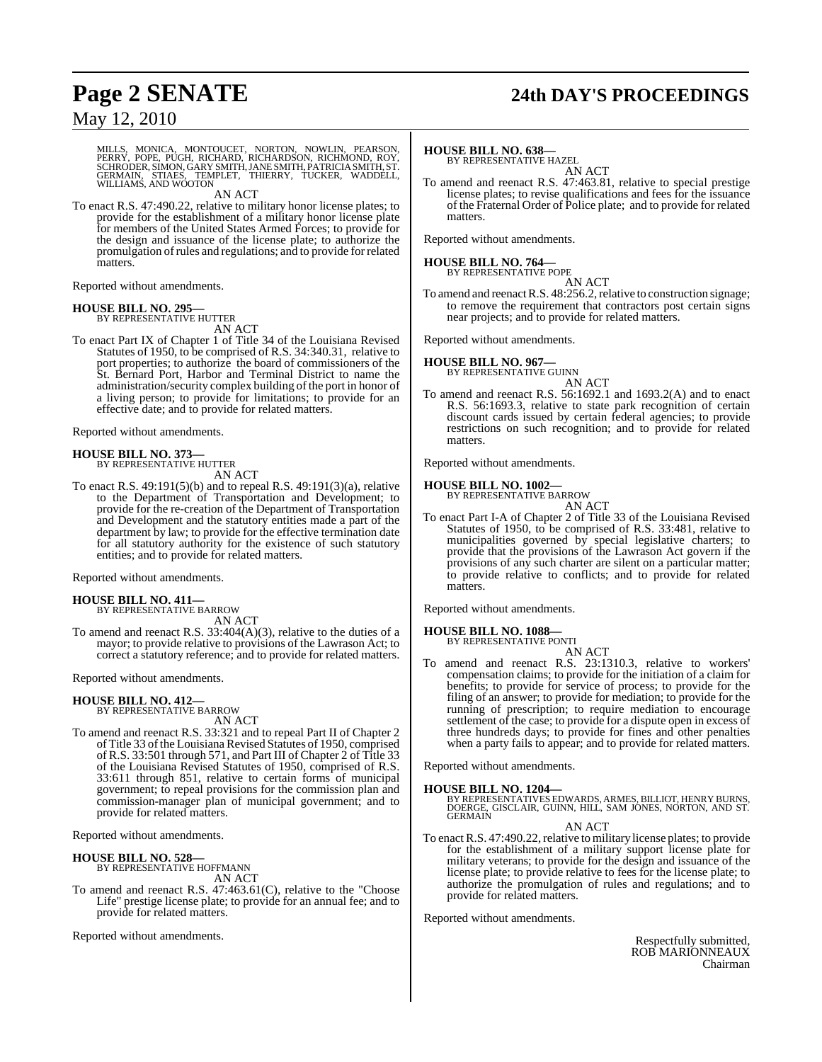## **Page 2 SENATE 24th DAY'S PROCEEDINGS**

### May 12, 2010

MILLS, MONICA, MONTOUCET, NORTON, NOWLIN, PEARSON,<br>PERRY, POPE, PUGH, RICHARD, RICHARDSON, RICHMOND, ROY,<br>SCHRODER,SIMON,GARY SMITH,JANE SMITH,PATRICIASMITH,ST.<br>GERMAIN, STIAES, TEMPLET, THIERRY, TUCKER, WADDELL, WILLIAMS, AND WOOTON

AN ACT

To enact R.S. 47:490.22, relative to military honor license plates; to provide for the establishment of a military honor license plate for members of the United States Armed Forces; to provide for the design and issuance of the license plate; to authorize the promulgation ofrules and regulations; and to provide for related matters.

Reported without amendments.

### **HOUSE BILL NO. 295—**

BY REPRESENTATIVE HUTTER AN ACT

To enact Part IX of Chapter 1 of Title 34 of the Louisiana Revised Statutes of 1950, to be comprised of R.S. 34:340.31, relative to port properties; to authorize the board of commissioners of the St. Bernard Port, Harbor and Terminal District to name the administration/security complex building of the port in honor of a living person; to provide for limitations; to provide for an effective date; and to provide for related matters.

Reported without amendments.

## **HOUSE BILL NO. 373—** BY REPRESENTATIVE HUTTER

AN ACT

To enact R.S. 49:191(5)(b) and to repeal R.S. 49:191(3)(a), relative to the Department of Transportation and Development; to provide for the re-creation of the Department of Transportation and Development and the statutory entities made a part of the department by law; to provide for the effective termination date for all statutory authority for the existence of such statutory entities; and to provide for related matters.

Reported without amendments.

### **HOUSE BILL NO. 411—**

BY REPRESENTATIVE BARROW

AN ACT To amend and reenact R.S. 33:404(A)(3), relative to the duties of a mayor; to provide relative to provisions of the Lawrason Act; to correct a statutory reference; and to provide for related matters.

Reported without amendments.

## **HOUSE BILL NO. 412—** BY REPRESENTATIVE BARROW

AN ACT

To amend and reenact R.S. 33:321 and to repeal Part II of Chapter 2 of Title 33 of the Louisiana Revised Statutes of 1950, comprised of R.S. 33:501 through 571, and Part III of Chapter 2 of Title 33 of the Louisiana Revised Statutes of 1950, comprised of R.S. 33:611 through 851, relative to certain forms of municipal government; to repeal provisions for the commission plan and commission-manager plan of municipal government; and to provide for related matters.

Reported without amendments.

### **HOUSE BILL NO. 528—** BY REPRESENTATIVE HOFFMANN

AN ACT

To amend and reenact R.S. 47:463.61(C), relative to the "Choose Life" prestige license plate; to provide for an annual fee; and to provide for related matters.

Reported without amendments.

### **HOUSE BILL NO. 638—**

BY REPRESENTATIVE HAZEL AN ACT

To amend and reenact R.S. 47:463.81, relative to special prestige license plates; to revise qualifications and fees for the issuance of the Fraternal Order of Police plate; and to provide for related matters.

Reported without amendments.

### **HOUSE BILL NO. 764—** BY REPRESENTATIVE POPE

AN ACT

To amend and reenact R.S. 48:256.2, relative to construction signage; to remove the requirement that contractors post certain signs near projects; and to provide for related matters.

Reported without amendments.

## **HOUSE BILL NO. 967—** BY REPRESENTATIVE GUINN

AN ACT

To amend and reenact R.S. 56:1692.1 and 1693.2(A) and to enact R.S. 56:1693.3, relative to state park recognition of certain discount cards issued by certain federal agencies; to provide restrictions on such recognition; and to provide for related matters.

Reported without amendments.

### **HOUSE BILL NO. 1002—** BY REPRESENTATIVE BARROW

AN ACT

To enact Part I-A of Chapter 2 of Title 33 of the Louisiana Revised Statutes of 1950, to be comprised of R.S. 33:481, relative to municipalities governed by special legislative charters; to provide that the provisions of the Lawrason Act govern if the provisions of any such charter are silent on a particular matter; to provide relative to conflicts; and to provide for related matters.

Reported without amendments.

### **HOUSE BILL NO. 1088—**

BY REPRESENTATIVE PONTI AN ACT

To amend and reenact R.S. 23:1310.3, relative to workers' compensation claims; to provide for the initiation of a claim for benefits; to provide for service of process; to provide for the filing of an answer; to provide for mediation; to provide for the running of prescription; to require mediation to encourage settlement of the case; to provide for a dispute open in excess of three hundreds days; to provide for fines and other penalties when a party fails to appear; and to provide for related matters.

Reported without amendments.

### **HOUSE BILL NO. 1204—**

BY REPRESENTATIVES EDWARDS, ARMES, BILLIOT, HENRY BURNS,<br>DOERGE, GISCLAIR, GUINN, HILL, SAM JONES, NORTON, AND ST.<br>GERMAIN

AN ACT

To enact R.S. 47:490.22, relative to military license plates; to provide for the establishment of a military support license plate for military veterans; to provide for the design and issuance of the license plate; to provide relative to fees for the license plate; to authorize the promulgation of rules and regulations; and to provide for related matters.

Reported without amendments.

Respectfully submitted, ROB MARIONNEAUX Chairman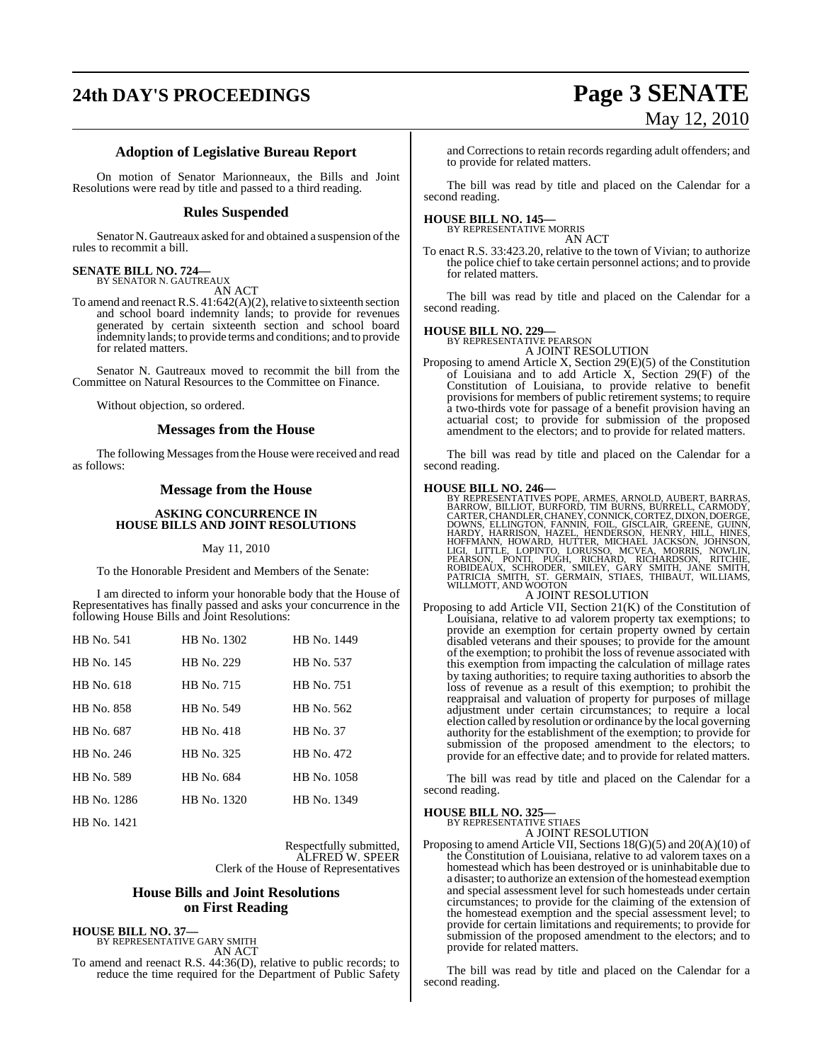# **24th DAY'S PROCEEDINGS Page 3 SENATE**

# May 12, 2010

### **Adoption of Legislative Bureau Report**

On motion of Senator Marionneaux, the Bills and Joint Resolutions were read by title and passed to a third reading.

### **Rules Suspended**

Senator N. Gautreaux asked for and obtained a suspension of the rules to recommit a bill.

### **SENATE BILL NO. 724—** BY SENATOR N. GAUTREAUX

AN ACT

To amend and reenact R.S.  $41:642(A)(2)$ , relative to sixteenth section and school board indemnity lands; to provide for revenues generated by certain sixteenth section and school board indemnity lands; to provide terms and conditions; and to provide for related matters.

Senator N. Gautreaux moved to recommit the bill from the Committee on Natural Resources to the Committee on Finance.

Without objection, so ordered.

### **Messages from the House**

The following Messages from the House were received and read as follows:

### **Message from the House**

### **ASKING CONCURRENCE IN HOUSE BILLS AND JOINT RESOLUTIONS**

### May 11, 2010

To the Honorable President and Members of the Senate:

I am directed to inform your honorable body that the House of Representatives has finally passed and asks your concurrence in the following House Bills and Joint Resolutions:

| HB No. 541  | HB No. 1302 | HB No. 1449 |
|-------------|-------------|-------------|
| HB No. 145  | HB No. 229  | HB No. 537  |
| HB No. 618  | HB No. 715  | HB No. 751  |
| HB No. 858  | HB No. 549  | HB No. 562  |
| HB No. 687  | HR No. 418  | HB No. 37   |
| HB No. 246  | HB No. 325  | HB No. 472  |
| HB No. 589  | HB No. 684  | HB No. 1058 |
| HB No. 1286 | HB No. 1320 | HB No. 1349 |
|             |             |             |

HB No. 1421

Respectfully submitted, ALFRED W. SPEER Clerk of the House of Representatives

### **House Bills and Joint Resolutions on First Reading**

**HOUSE BILL NO. 37—** BY REPRESENTATIVE GARY SMITH AN ACT

To amend and reenact R.S. 44:36(D), relative to public records; to reduce the time required for the Department of Public Safety

and Corrections to retain records regarding adult offenders; and to provide for related matters.

The bill was read by title and placed on the Calendar for a second reading.

### **HOUSE BILL NO. 145—** BY REPRESENTATIVE MORRIS

AN ACT

To enact R.S. 33:423.20, relative to the town of Vivian; to authorize the police chief to take certain personnel actions; and to provide for related matters.

The bill was read by title and placed on the Calendar for a second reading.

### **HOUSE BILL NO. 229—** BY REPRESENTATIVE PEARSON

A JOINT RESOLUTION

Proposing to amend Article X, Section 29(E)(5) of the Constitution of Louisiana and to add Article X, Section 29(F) of the Constitution of Louisiana, to provide relative to benefit provisions for members of public retirement systems; to require a two-thirds vote for passage of a benefit provision having an actuarial cost; to provide for submission of the proposed amendment to the electors; and to provide for related matters.

The bill was read by title and placed on the Calendar for a second reading.

HOUSE BILL NO. 246—<br>
BY REPRESENTATIVES POPE, ARMES, ARNOLD, AUBERT, BARRAS,<br>
BARROW, BILLIOT, BURFORD, TIM BURNS, BURRELL, CARMODY,<br>
CARTER, CHANDLER, CHANEY, CONNICK, CORTEZ, DIXON, DOERGE,<br>
DOWNS, ELLINGTON, FANNIN, FOI

### A JOINT RESOLUTION

Proposing to add Article VII, Section 21(K) of the Constitution of Louisiana, relative to ad valorem property tax exemptions; to provide an exemption for certain property owned by certain disabled veterans and their spouses; to provide for the amount of the exemption; to prohibit the loss of revenue associated with this exemption from impacting the calculation of millage rates by taxing authorities; to require taxing authorities to absorb the loss of revenue as a result of this exemption; to prohibit the reappraisal and valuation of property for purposes of millage adjustment under certain circumstances; to require a local election called by resolution or ordinance by the local governing authority for the establishment of the exemption; to provide for submission of the proposed amendment to the electors; to provide for an effective date; and to provide for related matters.

The bill was read by title and placed on the Calendar for a second reading.

### **HOUSE BILL NO. 325—** BY REPRESENTATIVE STIAES

A JOINT RESOLUTION

Proposing to amend Article VII, Sections 18(G)(5) and 20(A)(10) of the Constitution of Louisiana, relative to ad valorem taxes on a homestead which has been destroyed or is uninhabitable due to a disaster; to authorize an extension of the homestead exemption and special assessment level for such homesteads under certain circumstances; to provide for the claiming of the extension of the homestead exemption and the special assessment level; to provide for certain limitations and requirements; to provide for submission of the proposed amendment to the electors; and to provide for related matters.

The bill was read by title and placed on the Calendar for a second reading.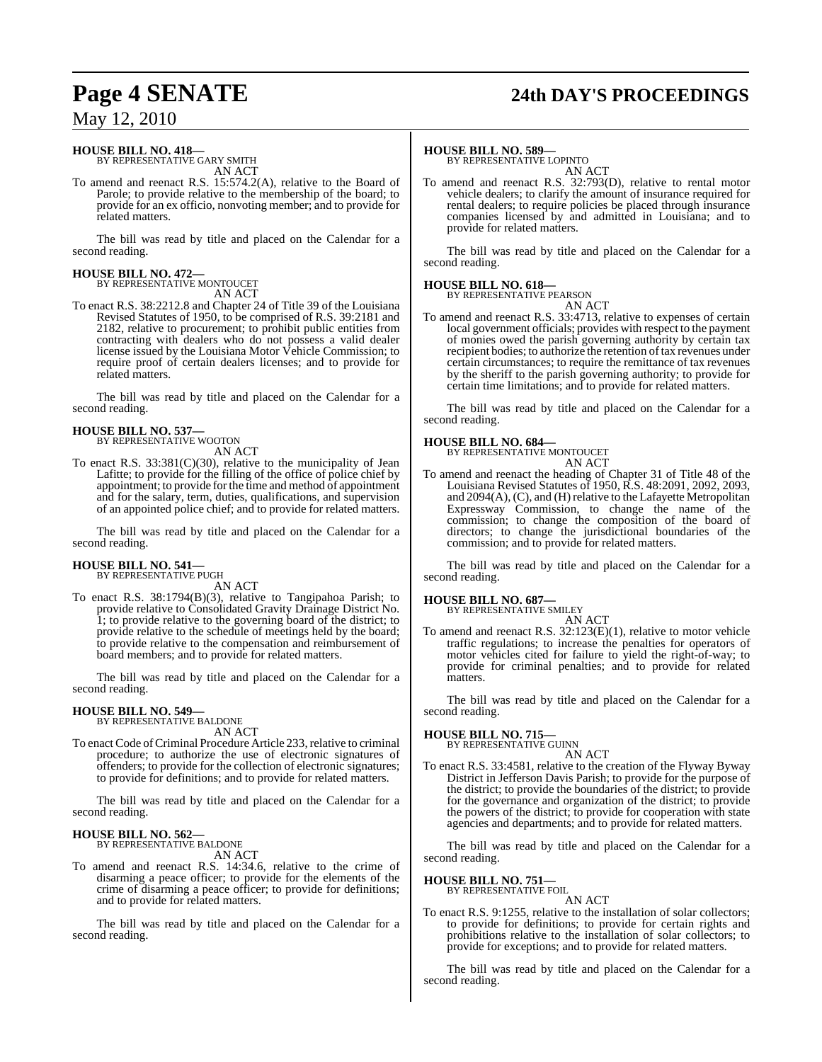### **Page 4 SENATE 24th DAY'S PROCEEDINGS**

### May 12, 2010

#### **HOUSE BILL NO. 418—** BY REPRESENTATIVE GARY SMITH

AN ACT

To amend and reenact R.S. 15:574.2(A), relative to the Board of Parole; to provide relative to the membership of the board; to provide for an ex officio, nonvoting member; and to provide for related matters.

The bill was read by title and placed on the Calendar for a second reading.

### **HOUSE BILL NO. 472—** BY REPRESENTATIVE MONTOUCET

AN ACT

To enact R.S. 38:2212.8 and Chapter 24 of Title 39 of the Louisiana Revised Statutes of 1950, to be comprised of R.S. 39:2181 and 2182, relative to procurement; to prohibit public entities from contracting with dealers who do not possess a valid dealer license issued by the Louisiana Motor Vehicle Commission; to require proof of certain dealers licenses; and to provide for related matters.

The bill was read by title and placed on the Calendar for a second reading.

### **HOUSE BILL NO. 537—**

BY REPRESENTATIVE WOOTON AN ACT

To enact R.S. 33:381(C)(30), relative to the municipality of Jean Lafitte; to provide for the filling of the office of police chief by appointment; to provide forthe time and method of appointment and for the salary, term, duties, qualifications, and supervision of an appointed police chief; and to provide for related matters.

The bill was read by title and placed on the Calendar for a second reading.

### **HOUSE BILL NO. 541—** BY REPRESENTATIVE PUGH

AN ACT

To enact R.S. 38:1794(B)(3), relative to Tangipahoa Parish; to provide relative to Consolidated Gravity Drainage District No. 1; to provide relative to the governing board of the district; to provide relative to the schedule of meetings held by the board; to provide relative to the compensation and reimbursement of board members; and to provide for related matters.

The bill was read by title and placed on the Calendar for a second reading.

### **HOUSE BILL NO. 549—**

BY REPRESENTATIVE BALDONE AN ACT

To enact Code of Criminal Procedure Article 233, relative to criminal procedure; to authorize the use of electronic signatures of offenders; to provide for the collection of electronic signatures; to provide for definitions; and to provide for related matters.

The bill was read by title and placed on the Calendar for a second reading.

### **HOUSE BILL NO. 562—** BY REPRESENTATIVE BALDONE

AN ACT

To amend and reenact R.S. 14:34.6, relative to the crime of disarming a peace officer; to provide for the elements of the crime of disarming a peace officer; to provide for definitions; and to provide for related matters.

The bill was read by title and placed on the Calendar for a second reading.

### **HOUSE BILL NO. 589—**

BY REPRESENTATIVE LOPINTO AN ACT

To amend and reenact R.S. 32:793(D), relative to rental motor vehicle dealers; to clarify the amount of insurance required for rental dealers; to require policies be placed through insurance companies licensed by and admitted in Louisiana; and to provide for related matters.

The bill was read by title and placed on the Calendar for a second reading.

### **HOUSE BILL NO. 618—**

BY REPRESENTATIVE PEARSON

AN ACT To amend and reenact R.S. 33:4713, relative to expenses of certain local government officials; provides with respect to the payment of monies owed the parish governing authority by certain tax recipient bodies; to authorize the retention of tax revenues under certain circumstances; to require the remittance of tax revenues by the sheriff to the parish governing authority; to provide for certain time limitations; and to provide for related matters.

The bill was read by title and placed on the Calendar for a second reading.

### **HOUSE BILL NO. 684—**

BY REPRESENTATIVE MONTOUCET

- AN ACT
- To amend and reenact the heading of Chapter 31 of Title 48 of the Louisiana Revised Statutes of 1950, R.S. 48:2091, 2092, 2093, and 2094(A), (C), and (H) relative to the Lafayette Metropolitan Expressway Commission, to change the name of the commission; to change the composition of the board of directors; to change the jurisdictional boundaries of the commission; and to provide for related matters.

The bill was read by title and placed on the Calendar for a second reading.

**HOUSE BILL NO. 687—** BY REPRESENTATIVE SMILEY

AN ACT

To amend and reenact R.S. 32:123(E)(1), relative to motor vehicle traffic regulations; to increase the penalties for operators of motor vehicles cited for failure to yield the right-of-way; to provide for criminal penalties; and to provide for related matters.

The bill was read by title and placed on the Calendar for a second reading.

### **HOUSE BILL NO. 715—**

BY REPRESENTATIVE GUINN

- AN ACT
- To enact R.S. 33:4581, relative to the creation of the Flyway Byway District in Jefferson Davis Parish; to provide for the purpose of the district; to provide the boundaries of the district; to provide for the governance and organization of the district; to provide the powers of the district; to provide for cooperation with state agencies and departments; and to provide for related matters.

The bill was read by title and placed on the Calendar for a second reading.

### **HOUSE BILL NO. 751—**

BY REPRESENTATIVE FOIL

AN ACT To enact R.S. 9:1255, relative to the installation of solar collectors; to provide for definitions; to provide for certain rights and prohibitions relative to the installation of solar collectors; to provide for exceptions; and to provide for related matters.

The bill was read by title and placed on the Calendar for a second reading.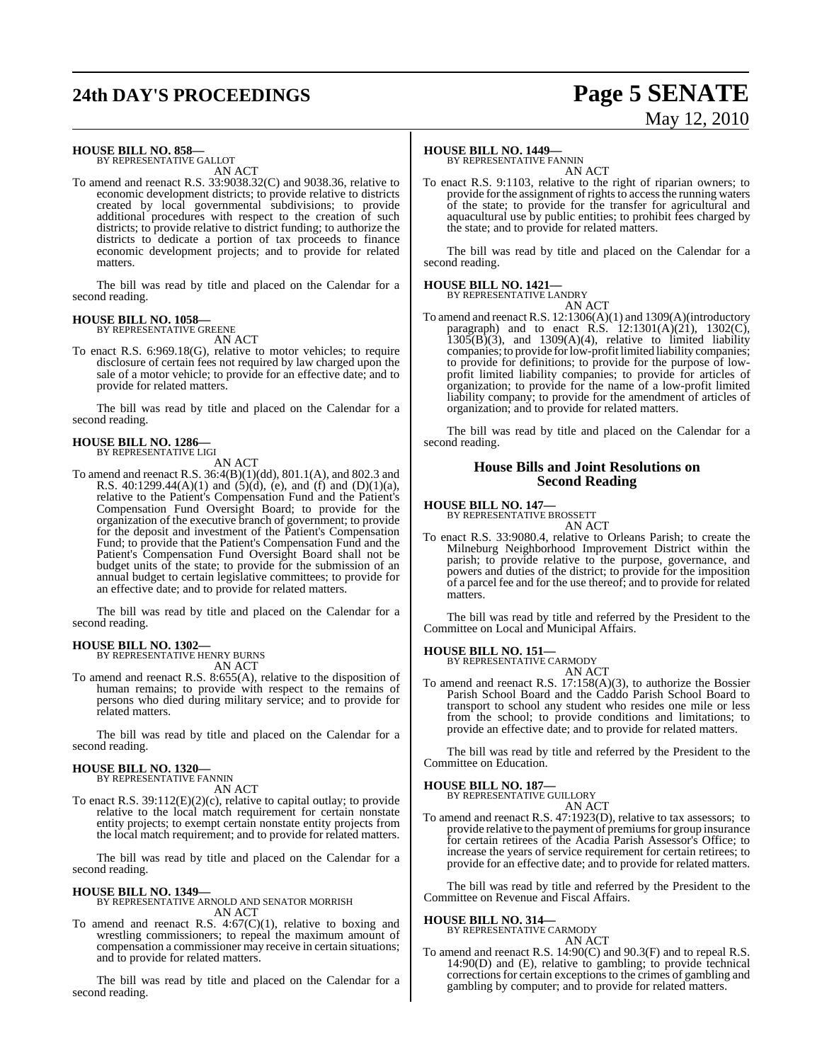# **24th DAY'S PROCEEDINGS Page 5 SENATE**

# May 12, 2010

### **HOUSE BILL NO. 858—**

BY REPRESENTATIVE GALLOT AN ACT

To amend and reenact R.S. 33:9038.32(C) and 9038.36, relative to economic development districts; to provide relative to districts created by local governmental subdivisions; to provide additional procedures with respect to the creation of such districts; to provide relative to district funding; to authorize the districts to dedicate a portion of tax proceeds to finance economic development projects; and to provide for related matters.

The bill was read by title and placed on the Calendar for a second reading.

### **HOUSE BILL NO. 1058—**

BY REPRESENTATIVE GREENE AN ACT

To enact R.S. 6:969.18(G), relative to motor vehicles; to require disclosure of certain fees not required by law charged upon the sale of a motor vehicle; to provide for an effective date; and to provide for related matters.

The bill was read by title and placed on the Calendar for a second reading.

#### **HOUSE BILL NO. 1286—** BY REPRESENTATIVE LIGI

AN ACT

To amend and reenact R.S. 36:4(B)(1)(dd), 801.1(A), and 802.3 and R.S. 40:1299.44(A)(1) and  $(5)(d)$ , (e), and  $(f)$  and  $(D)(1)(a)$ , relative to the Patient's Compensation Fund and the Patient's Compensation Fund Oversight Board; to provide for the organization of the executive branch of government; to provide for the deposit and investment of the Patient's Compensation Fund; to provide that the Patient's Compensation Fund and the Patient's Compensation Fund Oversight Board shall not be budget units of the state; to provide for the submission of an annual budget to certain legislative committees; to provide for an effective date; and to provide for related matters.

The bill was read by title and placed on the Calendar for a second reading.

### **HOUSE BILL NO. 1302—** BY REPRESENTATIVE HENRY BURNS

AN ACT

To amend and reenact R.S. 8:655(A), relative to the disposition of human remains; to provide with respect to the remains of persons who died during military service; and to provide for related matters.

The bill was read by title and placed on the Calendar for a second reading.

#### **HOUSE BILL NO. 1320—** BY REPRESENTATIVE FANNIN

AN ACT

To enact R.S. 39:112(E)(2)(c), relative to capital outlay; to provide relative to the local match requirement for certain nonstate entity projects; to exempt certain nonstate entity projects from the local match requirement; and to provide for related matters.

The bill was read by title and placed on the Calendar for a second reading.

### **HOUSE BILL NO. 1349—**

BY REPRESENTATIVE ARNOLD AND SENATOR MORRISH AN ACT

To amend and reenact R.S.  $4:67(C)(1)$ , relative to boxing and wrestling commissioners; to repeal the maximum amount of compensation a commissioner may receive in certain situations; and to provide for related matters.

The bill was read by title and placed on the Calendar for a second reading.

### **HOUSE BILL NO. 1449—**

BY REPRESENTATIVE FANNIN AN ACT

To enact R.S. 9:1103, relative to the right of riparian owners; to provide for the assignment of rights to access the running waters of the state; to provide for the transfer for agricultural and aquacultural use by public entities; to prohibit fees charged by the state; and to provide for related matters.

The bill was read by title and placed on the Calendar for a second reading.

### **HOUSE BILL NO. 1421—**

BY REPRESENTATIVE LANDRY

AN ACT To amend and reenact R.S. 12:1306(A)(1) and 1309(A)(introductory paragraph) and to enact R.S.  $12:1301(A)(21)$ ,  $1302(C)$ ,  $1305(B)(3)$ , and  $1309(A)(4)$ , relative to limited liability companies; to provide forlow-profit limited liability companies; to provide for definitions; to provide for the purpose of lowprofit limited liability companies; to provide for articles of organization; to provide for the name of a low-profit limited liability company; to provide for the amendment of articles of organization; and to provide for related matters.

The bill was read by title and placed on the Calendar for a second reading.

### **House Bills and Joint Resolutions on Second Reading**

### **HOUSE BILL NO. 147—**

BY REPRESENTATIVE BROSSETT

AN ACT To enact R.S. 33:9080.4, relative to Orleans Parish; to create the Milneburg Neighborhood Improvement District within the parish; to provide relative to the purpose, governance, and powers and duties of the district; to provide for the imposition of a parcel fee and for the use thereof; and to provide for related matters.

The bill was read by title and referred by the President to the Committee on Local and Municipal Affairs.

#### **HOUSE BILL NO. 151—** BY REPRESENTATIVE CARMODY

AN ACT

To amend and reenact R.S. 17:158(A)(3), to authorize the Bossier Parish School Board and the Caddo Parish School Board to transport to school any student who resides one mile or less from the school; to provide conditions and limitations; to provide an effective date; and to provide for related matters.

The bill was read by title and referred by the President to the Committee on Education.

### **HOUSE BILL NO. 187—**

BY REPRESENTATIVE GUILLORY AN ACT

To amend and reenact R.S. 47:1923(D), relative to tax assessors; to provide relative to the payment of premiums for group insurance for certain retirees of the Acadia Parish Assessor's Office; to increase the years of service requirement for certain retirees; to provide for an effective date; and to provide for related matters.

The bill was read by title and referred by the President to the Committee on Revenue and Fiscal Affairs.

### **HOUSE BILL NO. 314—**

BY REPRESENTATIVE CARMODY AN ACT

To amend and reenact R.S. 14:90(C) and 90.3(F) and to repeal R.S. 14:90(D) and (E), relative to gambling; to provide technical corrections for certain exceptions to the crimes of gambling and gambling by computer; and to provide for related matters.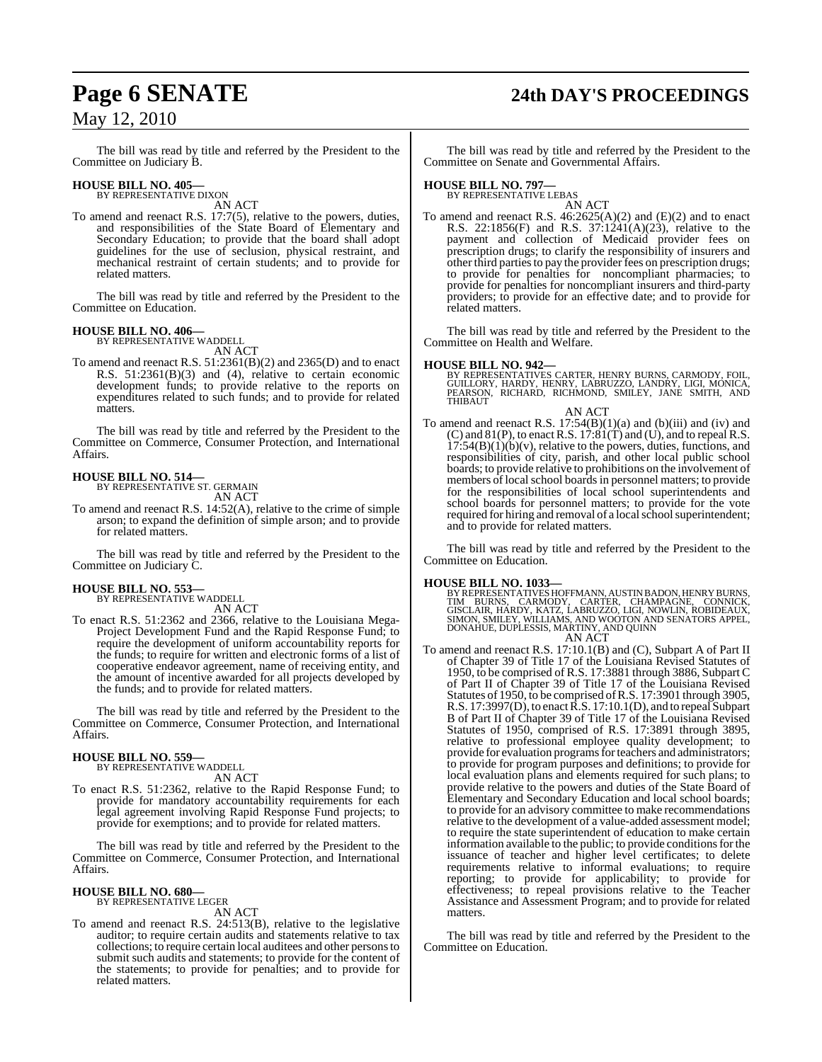# **Page 6 SENATE 24th DAY'S PROCEEDINGS**

### May 12, 2010

The bill was read by title and referred by the President to the Committee on Judiciary B.

### **HOUSE BILL NO. 405—** BY REPRESENTATIVE DIXON

AN ACT

To amend and reenact R.S. 17:7(5), relative to the powers, duties, and responsibilities of the State Board of Elementary and Secondary Education; to provide that the board shall adopt guidelines for the use of seclusion, physical restraint, and mechanical restraint of certain students; and to provide for related matters.

The bill was read by title and referred by the President to the Committee on Education.

### **HOUSE BILL NO. 406—**

BY REPRESENTATIVE WADDELL AN ACT

To amend and reenact R.S. 51:2361(B)(2) and 2365(D) and to enact R.S. 51:2361(B)(3) and (4), relative to certain economic development funds; to provide relative to the reports on expenditures related to such funds; and to provide for related matters.

The bill was read by title and referred by the President to the Committee on Commerce, Consumer Protection, and International Affairs.

#### **HOUSE BILL NO. 514—** BY REPRESENTATIVE ST. GERMAIN

AN ACT

To amend and reenact R.S. 14:52(A), relative to the crime of simple arson; to expand the definition of simple arson; and to provide for related matters.

The bill was read by title and referred by the President to the Committee on Judiciary C.

### **HOUSE BILL NO. 553—** BY REPRESENTATIVE WADDELL

AN ACT

To enact R.S. 51:2362 and 2366, relative to the Louisiana Mega-Project Development Fund and the Rapid Response Fund; to require the development of uniform accountability reports for the funds; to require for written and electronic forms of a list of cooperative endeavor agreement, name of receiving entity, and the amount of incentive awarded for all projects developed by the funds; and to provide for related matters.

The bill was read by title and referred by the President to the Committee on Commerce, Consumer Protection, and International Affairs.

### **HOUSE BILL NO. 559—**

BY REPRESENTATIVE WADDELL AN ACT

To enact R.S. 51:2362, relative to the Rapid Response Fund; to provide for mandatory accountability requirements for each legal agreement involving Rapid Response Fund projects; to provide for exemptions; and to provide for related matters.

The bill was read by title and referred by the President to the Committee on Commerce, Consumer Protection, and International Affairs.

#### **HOUSE BILL NO. 680—** BY REPRESENTATIVE LEGER

AN ACT

To amend and reenact R.S. 24:513(B), relative to the legislative auditor; to require certain audits and statements relative to tax collections; to require certain local auditees and other personsto submit such audits and statements; to provide for the content of the statements; to provide for penalties; and to provide for related matters.

The bill was read by title and referred by the President to the Committee on Senate and Governmental Affairs.

### **HOUSE BILL NO. 797—** BY REPRESENTATIVE LEBAS

AN ACT

To amend and reenact R.S. 46:2625(A)(2) and (E)(2) and to enact R.S. 22:1856(F) and R.S. 37:1241(A)(23), relative to the payment and collection of Medicaid provider fees on prescription drugs; to clarify the responsibility of insurers and other third parties to pay the provider fees on prescription drugs; to provide for penalties for noncompliant pharmacies; to provide for penalties for noncompliant insurers and third-party providers; to provide for an effective date; and to provide for related matters.

The bill was read by title and referred by the President to the Committee on Health and Welfare.

### **HOUSE BILL NO. 942—**

BY REPRESENTATIVES CARTER, HENRY BURNS, CARMODY, FOIL,<br>GUILLORY, HARDY, HENRY, LABRUZZO, LANDRY, LIGI, MONICA,<br>PEARSON, RICHARD, RICHMOND, SMILEY, JANE SMITH, AND THIBAUT

AN ACT To amend and reenact R.S.  $17:54(B)(1)(a)$  and  $(b)(iii)$  and  $(iv)$  and  $(C)$  and  $81(P)$ , to enact R.S.  $17:81(T)$  and  $(U)$ , and to repeal R.S.  $17:54(B)(1)(b)(v)$ , relative to the powers, duties, functions, and responsibilities of city, parish, and other local public school boards; to provide relative to prohibitions on the involvement of members of local school boards in personnel matters; to provide for the responsibilities of local school superintendents and school boards for personnel matters; to provide for the vote required for hiring and removal of a local school superintendent; and to provide for related matters.

The bill was read by title and referred by the President to the Committee on Education.

### **HOUSE BILL NO. 1033—**

BY REPRESENTATIVES HOFFMANN, AUSTIN BADON, HENRY BURNS,<br>TIM BURNS, CARMODY, CARTER, CHAMPAGNE, CONNICK,<br>GISCLAIR, HARDY, KATZ, LABRUZZO, LIGI, NOWLIN, ROBIDEAUX,<br>SIMON, SMILEY, WILLIAMS, AND WOOTON AND SENAT AN ACT

To amend and reenact R.S. 17:10.1(B) and (C), Subpart A of Part II of Chapter 39 of Title 17 of the Louisiana Revised Statutes of 1950, to be comprised of R.S. 17:3881 through 3886, Subpart C of Part II of Chapter 39 of Title 17 of the Louisiana Revised Statutes of 1950, to be comprised ofR.S. 17:3901 through 3905, R.S. 17:3997(D), to enact R.S. 17:10.1(D), and to repeal Subpart B of Part II of Chapter 39 of Title 17 of the Louisiana Revised Statutes of 1950, comprised of R.S. 17:3891 through 3895, relative to professional employee quality development; to provide for evaluation programs for teachers and administrators; to provide for program purposes and definitions; to provide for local evaluation plans and elements required for such plans; to provide relative to the powers and duties of the State Board of Elementary and Secondary Education and local school boards; to provide for an advisory committee to make recommendations relative to the development of a value-added assessment model; to require the state superintendent of education to make certain information available to the public; to provide conditions for the issuance of teacher and higher level certificates; to delete requirements relative to informal evaluations; to require reporting; to provide for applicability; to provide for effectiveness; to repeal provisions relative to the Teacher Assistance and Assessment Program; and to provide for related matters.

The bill was read by title and referred by the President to the Committee on Education.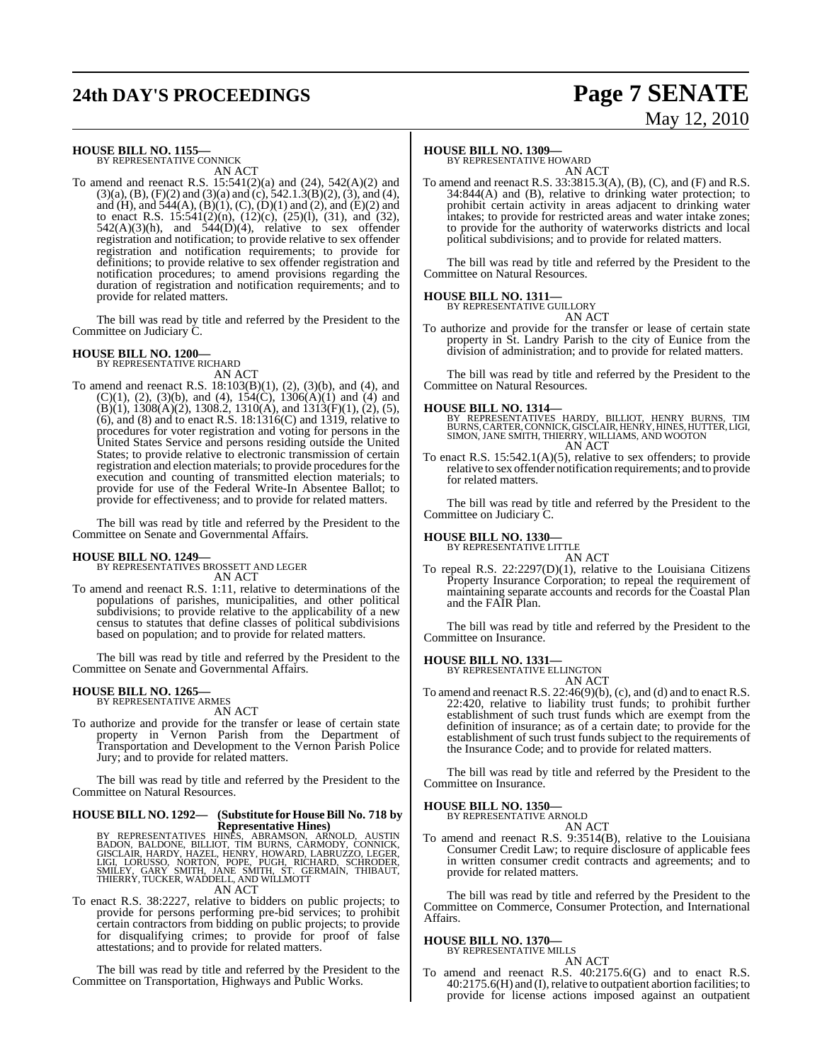# **24th DAY'S PROCEEDINGS Page 7 SENATE**

# May 12, 2010

#### **HOUSE BILL NO. 1155—** BY REPRESENTATIVE CONNICK

AN ACT

To amend and reenact R.S. 15:541(2)(a) and (24), 542(A)(2) and  $(3)(a)$ ,  $(B)$ ,  $(F)(2)$  and  $(3)(a)$  and  $(c)$ ,  $542.1.3(B)(2)$ ,  $(3)$ , and  $(4)$ , and (H), and  $544(A)$ , (B)(1), (C), (D)(1) and (2), and (E)(2) and to enact R.S. 15:541(2)(n), (12)(c), (25)(l), (31), and (32),  $542(A)(3)(h)$ , and  $544(D)(4)$ , relative to sex offender registration and notification; to provide relative to sex offender registration and notification requirements; to provide for definitions; to provide relative to sex offender registration and notification procedures; to amend provisions regarding the duration of registration and notification requirements; and to provide for related matters.

The bill was read by title and referred by the President to the Committee on Judiciary C.

#### **HOUSE BILL NO. 1200—** BY REPRESENTATIVE RICHARD

AN ACT

To amend and reenact R.S. 18:103(B)(1), (2), (3)(b), and (4), and  $(C)(1)$ ,  $(2)$ ,  $(3)(b)$ , and  $(4)$ ,  $154(C)$ ,  $1306(A)(1)$  and  $(4)$  and  $(B)(1)$ , 1308 $(A)(2)$ , 1308.2, 1310 $(A)$ , and 1313 $(F)(1)$ ,  $(2)$ ,  $(5)$ , (6), and (8) and to enact R.S. 18:1316(C) and 1319, relative to procedures for voter registration and voting for persons in the United States Service and persons residing outside the United States; to provide relative to electronic transmission of certain registration and election materials; to provide procedures for the execution and counting of transmitted election materials; to provide for use of the Federal Write-In Absentee Ballot; to provide for effectiveness; and to provide for related matters.

The bill was read by title and referred by the President to the Committee on Senate and Governmental Affairs.

### **HOUSE BILL NO. 1249—**

BY REPRESENTATIVES BROSSETT AND LEGER AN ACT

To amend and reenact R.S. 1:11, relative to determinations of the populations of parishes, municipalities, and other political subdivisions; to provide relative to the applicability of a new census to statutes that define classes of political subdivisions based on population; and to provide for related matters.

The bill was read by title and referred by the President to the Committee on Senate and Governmental Affairs.

#### **HOUSE BILL NO. 1265—** BY REPRESENTATIVE ARMES

AN ACT

To authorize and provide for the transfer or lease of certain state property in Vernon Parish from the Department of Transportation and Development to the Vernon Parish Police Jury; and to provide for related matters.

The bill was read by title and referred by the President to the Committee on Natural Resources.

### **HOUSE BILL NO. 1292— (Substitute for HouseBill No. 718 by Representative Hines)**

BY REPRESENTATIVES HINÈS, ABRAMSON, ARNOLD, AUSTIN<br>BADON, BALDONE, BILLIOT, TIM BURNS, CARMODY, CONNICK,<br>GISCLAIR, HARDY, HAZEL, HENRY, HOWARD, LABRUZZO, LEGER,<br>LIGI, LORUSSO, NORTON, POPE, PUGH, RICHARD, SCHRODER,<br>SMILEY,

To enact R.S. 38:2227, relative to bidders on public projects; to provide for persons performing pre-bid services; to prohibit certain contractors from bidding on public projects; to provide for disqualifying crimes; to provide for proof of false attestations; and to provide for related matters.

The bill was read by title and referred by the President to the Committee on Transportation, Highways and Public Works.

### **HOUSE BILL NO. 1309—**

BY REPRESENTATIVE HOWARD AN ACT

To amend and reenact R.S. 33:3815.3(A), (B), (C), and (F) and R.S. 34:844(A) and (B), relative to drinking water protection; to prohibit certain activity in areas adjacent to drinking water intakes; to provide for restricted areas and water intake zones; to provide for the authority of waterworks districts and local political subdivisions; and to provide for related matters.

The bill was read by title and referred by the President to the Committee on Natural Resources.

### **HOUSE BILL NO. 1311—**



To authorize and provide for the transfer or lease of certain state property in St. Landry Parish to the city of Eunice from the division of administration; and to provide for related matters.

The bill was read by title and referred by the President to the Committee on Natural Resources.

### **HOUSE BILL NO. 1314—**

BY REPRESENTATIVES HARDY, BILLIOT, HENRY BURNS, TIM<br>BURNS,CARTER,CONNICK,GISCLAIR,HENRY,HINES,HUTTER,LIGI,<br>SIMON,JANE SMITH,THIERRY,WILLIAMS,AND WOOTON AN ACT

To enact R.S. 15:542.1(A)(5), relative to sex offenders; to provide relative to sex offender notification requirements; and to provide for related matters.

The bill was read by title and referred by the President to the Committee on Judiciary C.

**HOUSE BILL NO. 1330—**

BY REPRESENTATIVE LITTLE AN ACT

To repeal R.S. 22:2297(D)(1), relative to the Louisiana Citizens Property Insurance Corporation; to repeal the requirement of maintaining separate accounts and records for the Coastal Plan and the FAIR Plan.

The bill was read by title and referred by the President to the Committee on Insurance.

**HOUSE BILL NO. 1331—** BY REPRESENTATIVE ELLINGTON

AN ACT

To amend and reenact R.S. 22:46(9)(b), (c), and (d) and to enact R.S. 22:420, relative to liability trust funds; to prohibit further establishment of such trust funds which are exempt from the definition of insurance; as of a certain date; to provide for the establishment of such trust funds subject to the requirements of the Insurance Code; and to provide for related matters.

The bill was read by title and referred by the President to the Committee on Insurance.

### **HOUSE BILL NO. 1350—**

BY REPRESENTATIVE ARNOLD AN ACT

To amend and reenact R.S. 9:3514(B), relative to the Louisiana Consumer Credit Law; to require disclosure of applicable fees in written consumer credit contracts and agreements; and to provide for related matters.

The bill was read by title and referred by the President to the Committee on Commerce, Consumer Protection, and International Affairs.

#### **HOUSE BILL NO. 1370—** BY REPRESENTATIVE MILLS

AN ACT

To amend and reenact R.S. 40:2175.6(G) and to enact R.S. 40:2175.6(H) and (I), relative to outpatient abortion facilities; to provide for license actions imposed against an outpatient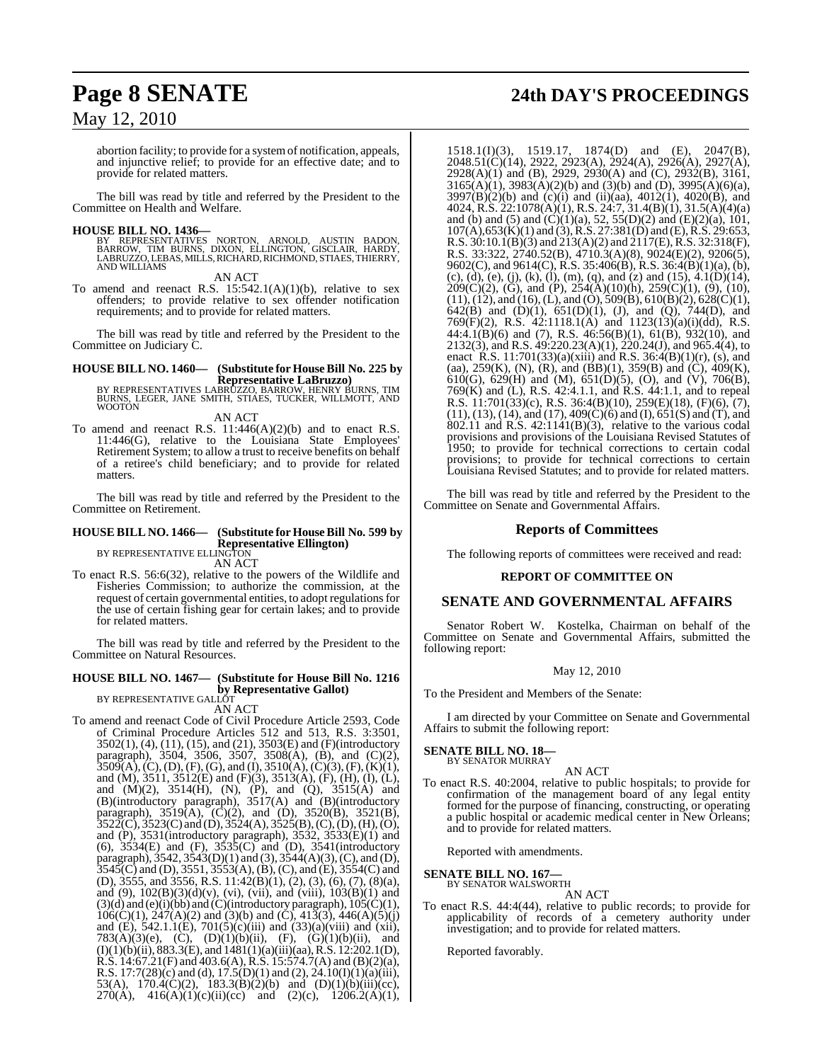abortion facility; to provide for a systemof notification, appeals, and injunctive relief; to provide for an effective date; and to provide for related matters.

The bill was read by title and referred by the President to the Committee on Health and Welfare.

#### **HOUSE BILL NO. 1436—**

BY REPRESENTATIVES NORTON, ARNOLD, AUSTIN BADON,<br>BARROW, TIM BURNS, DIXON, ELLINGTON, GISCLAIR, HARDY,<br>LABRUZZO,LEBAS,MILLS,RICHARD,RICHMOND,STIAES,THIERRY,<br>ANDWILLIAMS

AN ACT

To amend and reenact R.S. 15:542.1(A)(1)(b), relative to sex offenders; to provide relative to sex offender notification requirements; and to provide for related matters.

The bill was read by title and referred by the President to the Committee on Judiciary C.

## **HOUSE BILL NO. 1460— (Substitute for HouseBill No. 225 by**

**Representative LaBruzzo)**<br>BY REPRESENTATIVES LABRUZZO, BARROW, HENRY BURNS, TIM<br>BURNS, LEGER, JANE SMITH, STIAES, TUCKER, WILLMOTT, AND<br>WOOTON

AN ACT

To amend and reenact R.S.  $11:446(A)(2)(b)$  and to enact R.S. 11:446(G), relative to the Louisiana State Employees' Retirement System; to allow a trust to receive benefits on behalf of a retiree's child beneficiary; and to provide for related matters.

The bill was read by title and referred by the President to the Committee on Retirement.

### **HOUSE BILL NO. 1466— (Substitute for HouseBill No. 599 by Representative Ellington)** BY REPRESENTATIVE ELLINGTON

AN ACT

To enact R.S. 56:6(32), relative to the powers of the Wildlife and Fisheries Commission; to authorize the commission, at the request of certain governmental entities, to adopt regulationsfor the use of certain fishing gear for certain lakes; and to provide for related matters.

The bill was read by title and referred by the President to the Committee on Natural Resources.

### **HOUSE BILL NO. 1467— (Substitute for House Bill No. 1216 by Representative Gallot**)<br>BY REPRESENTATIVE GALLOT

AN ACT

To amend and reenact Code of Civil Procedure Article 2593, Code of Criminal Procedure Articles 512 and 513, R.S. 3:3501, 3502(1), (4), (11), (15), and (21), 3503(E) and (F)(introductory paragraph), 3504, 3506, 3507, 3508(A), (B), and (C)(2),  $3509(A), (C), (D), (F), (G),$  and (I),  $3510(A), (C)(3), (F), (K)(1),$ and (M), 3511, 3512(E) and (F)(3), 3513(A), (F), (H), (I), (L), and  $(M)(2)$ ,  $3514(H)$ ,  $(N)$ ,  $(P)$ , and  $(Q)$ ,  $3515(A)$  and (B)(introductory paragraph), 3517(A) and (B)(introductory paragraph),  $3519(A)$ ,  $(C)(2)$ , and  $(D)$ ,  $3520(B)$ ,  $3521(B)$ ,  $3522(C)$ ,  $3523(C)$  and (D),  $3524(A)$ ,  $3525(B)$ , (C), (D), (H), (O), and (P),  $3531$ (introductory paragraph),  $3532$ ,  $3533(E)(1)$  and (6), 3534(E) and (F), 3535(C) and (D), 3541(introductory paragraph), 3542, 3543(D)(1) and (3), 3544(A)(3),(C), and (D),  $3545(C)$  and (D),  $3551, 3553(A)$ , (B), (C), and (E),  $3554(C)$  and (D), 3555, and 3556, R.S. 11:42(B)(1), (2), (3), (6), (7), (8)(a), and (9),  $102(B)(3)(d)(v)$ , (vi), (vii), and (viii),  $103(B)(1)$  and  $(3)(d)$  and  $(e)(i)(bb)$  and  $(C)(introducing paragraph)$ ,  $105(C)(1)$ ,  $106(C)(1)$ ,  $247(A)(2)$  and  $(3)(b)$  and  $(\dot{C})$ ,  $413(3)$ ,  $446(A)(5)(j)$ and (E), 542.1.1(E), 701(5)(c)(iii) and (33)(a)(viii) and (xii), 783(A)(3)(e), (C), (D)(1)(b)(ii), (F), (G)(1)(b)(ii), and  $(I)(1)(b)(ii)$ , 883.3 $(E)$ , and  $1481(1)(a)(iii)(aa)$ , R.S.  $12:202.1(D)$ , R.S.  $14:67.21(F)$  and  $403.6(A)$ , R.S.  $15:574.7(A)$  and  $(B)(2)(a)$ , R.S. 17:7(28)(c) and (d), 17.5(D)(1) and (2), 24.10(I)(1)(a)(iii), 53(A),  $170.4(C)(2)$ ,  $183.3(B)(2)(b)$  and  $(D)(1)(b)(iii)(cc)$ , 270(A),  $416(A)(1)(c)(ii)(cc)$  and  $(2)(c)$ ,  $1206.2(A)(1)$ ,

**Page 8 SENATE 24th DAY'S PROCEEDINGS**

1518.1(I)(3), 1519.17, 1874(D) and (E), 2047(B), 2048.51(C)(14), 2922, 2923(A), 2924(A), 2926(A), 2927(A), 2928(A)(1) and (B), 2929, 2930(A) and (C), 2932(B), 3161,  $3165(A)(1)$ ,  $3983(A)(2)(b)$  and  $(3)(b)$  and  $(D)$ ,  $3995(A)(6)(a)$ ,  $3997(B)(2)(b)$  and  $(c)(i)$  and  $(ii)(aa)$ ,  $4012(1)$ ,  $4020(B)$ , and 4024, R.S. 22:1078(A)(1), R.S. 24:7, 31.4(B)(1), 31.5(A)(4)(a) and (b) and (5) and  $(C)(1)(a)$ , 52, 55(D)(2) and (E)(2)(a), 101,  $107(A)$ ,  $653(K)(1)$  and  $(3)$ , R.S.  $27:381(D)$  and  $(E)$ , R.S.  $29:653$ , R.S.  $30:10.1(B)(3)$  and  $213(A)(2)$  and  $2117(E)$ , R.S.  $32:318(F)$ , R.S. 33:322, 2740.52(B), 4710.3(A)(8), 9024(E)(2), 9206(5), 9602(C), and 9614(C), R.S. 35:406(B), R.S. 36:4(B)(1)(a), (b), (c), (d), (e), (j), (k), (l), (m), (q), and (z) and (15),  $4.1(D)(14)$ ,  $209(C)(2)$ , (G), and (P),  $254(A)(10)(h)$ ,  $259(C)(1)$ , (9), (10),  $(11)$ ,  $(12)$ , and  $(16)$ ,  $(L)$ , and  $(O)$ ,  $509(B)$ ,  $610(B)(2)$ ,  $628(C)(1)$ , 642(B) and (D)(1),  $651(D)(1)$ , (J), and (Q), 744(D), and 769 $(F)(2)$ , R.S. 42:1118.1(A) and 1123(13)(a)(i)(dd), R.S. 44:4.1(B)(6) and (7), R.S. 46:56(B)(1), 61(B), 932(10), and 2132(3), and R.S. 49:220.23(A)(1), 220.24(J), and 965.4(4), to enact R.S. 11:701(33)(a)(xiii) and R.S. 36:4(B)(1)(r), (s), and (aa), 259(K), (N), (R), and (BB)(1), 359(B) and (C), 409(K), 610(G), 629(H) and (M), 651(D)(5), (O), and (V), 706(B), 769(K) and (L), R.S. 42:4.1.1, and R.S. 44:1.1, and to repeal R.S. 11:701(33)(c), R.S. 36:4(B)(10), 259(E)(18), (F)(6), (7),  $(11)$ ,  $(13)$ ,  $(14)$ , and  $(17)$ ,  $409(\dot{C})(6)$  and  $(I)$ ,  $651(\dot{S})$  and  $(T)$ , and 802.11 and R.S. 42:1141(B)(3), relative to the various codal provisions and provisions of the Louisiana Revised Statutes of 1950; to provide for technical corrections to certain codal provisions; to provide for technical corrections to certain Louisiana Revised Statutes; and to provide for related matters.

The bill was read by title and referred by the President to the Committee on Senate and Governmental Affairs.

### **Reports of Committees**

The following reports of committees were received and read:

### **REPORT OF COMMITTEE ON**

### **SENATE AND GOVERNMENTAL AFFAIRS**

Senator Robert W. Kostelka, Chairman on behalf of the Committee on Senate and Governmental Affairs, submitted the following report:

### May 12, 2010

To the President and Members of the Senate:

I am directed by your Committee on Senate and Governmental Affairs to submit the following report:

#### **SENATE BILL NO. 18—** BY SENATOR MURRAY

AN ACT

To enact R.S. 40:2004, relative to public hospitals; to provide for confirmation of the management board of any legal entity formed for the purpose of financing, constructing, or operating a public hospital or academic medical center in New Orleans; and to provide for related matters.

Reported with amendments.

### **SENATE BILL NO. 167—**

BY SENATOR WALSWORTH AN ACT

To enact R.S. 44:4(44), relative to public records; to provide for applicability of records of a cemetery authority under investigation; and to provide for related matters.

Reported favorably.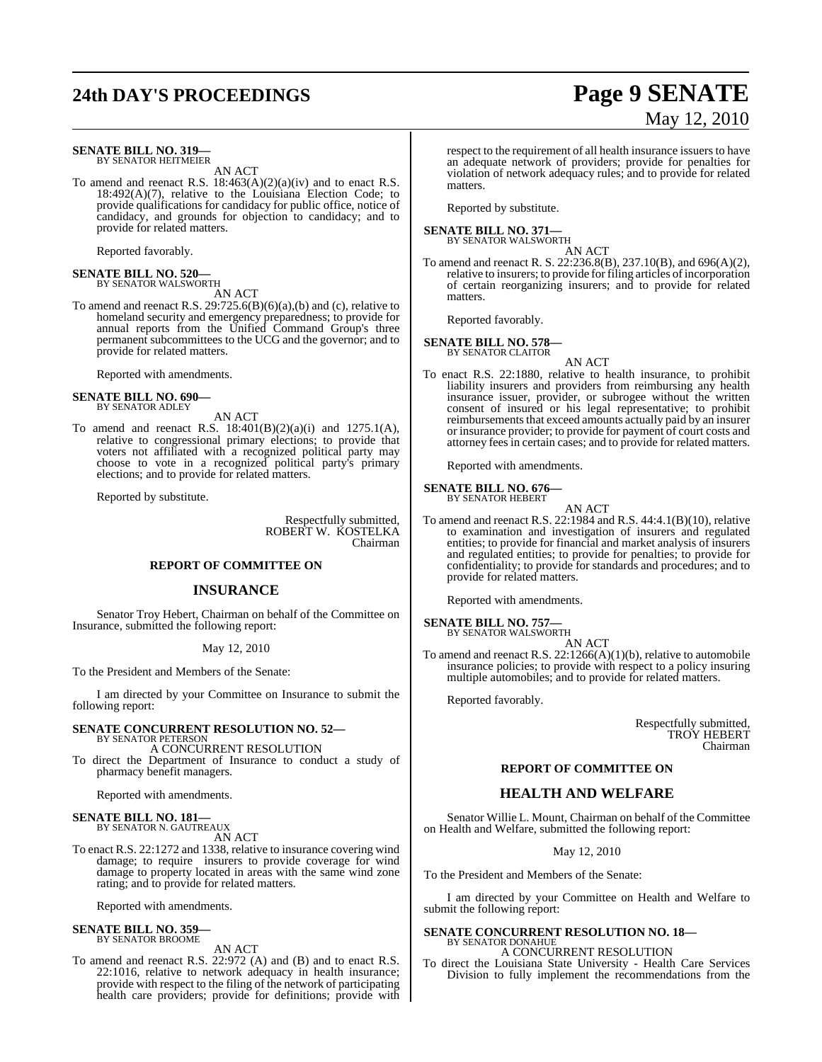## **24th DAY'S PROCEEDINGS Page 9 SENATE**

#### **SENATE BILL NO. 319—** BY SENATOR HEITMEIER

AN ACT

To amend and reenact R.S. 18:463(A)(2)(a)(iv) and to enact R.S. 18:492(A)(7), relative to the Louisiana Election Code; to provide qualifications for candidacy for public office, notice of candidacy, and grounds for objection to candidacy; and to provide for related matters.

Reported favorably.

### **SENATE BILL NO. 520—** BY SENATOR WALSWORTH

AN ACT

To amend and reenact R.S.  $29:725.6(B)(6)(a),(b)$  and (c), relative to homeland security and emergency preparedness; to provide for annual reports from the Unified Command Group's three permanent subcommittees to the UCG and the governor; and to provide for related matters.

Reported with amendments.

#### **SENATE BILL NO. 690—** BY SENATOR ADLEY

AN ACT

To amend and reenact R.S. 18:401(B)(2)(a)(i) and 1275.1(A), relative to congressional primary elections; to provide that voters not affiliated with a recognized political party may choose to vote in a recognized political party's primary elections; and to provide for related matters.

Reported by substitute.

Respectfully submitted, ROBERT W. KOSTELKA Chairman

#### **REPORT OF COMMITTEE ON**

### **INSURANCE**

Senator Troy Hebert, Chairman on behalf of the Committee on Insurance, submitted the following report:

#### May 12, 2010

To the President and Members of the Senate:

I am directed by your Committee on Insurance to submit the following report:

#### **SENATE CONCURRENT RESOLUTION NO. 52—** BY SENATOR PETERSON

A CONCURRENT RESOLUTION

To direct the Department of Insurance to conduct a study of pharmacy benefit managers.

Reported with amendments.

#### **SENATE BILL NO. 181—** BY SENATOR N. GAUTREAUX

AN ACT

To enact R.S. 22:1272 and 1338, relative to insurance covering wind damage; to require insurers to provide coverage for wind damage to property located in areas with the same wind zone rating; and to provide for related matters.

Reported with amendments.

## **SENATE BILL NO. 359—** BY SENATOR BROOME

AN ACT

To amend and reenact R.S. 22:972 (A) and (B) and to enact R.S. 22:1016, relative to network adequacy in health insurance; provide with respect to the filing of the network of participating health care providers; provide for definitions; provide with respect to the requirement of all health insurance issuers to have an adequate network of providers; provide for penalties for violation of network adequacy rules; and to provide for related matters.

Reported by substitute.

### **SENATE BILL NO. 371—** BY SENATOR WALSWORTH

AN ACT

To amend and reenact R. S. 22:236.8(B), 237.10(B), and 696(A)(2), relative to insurers; to provide for filing articles of incorporation of certain reorganizing insurers; and to provide for related matters.

Reported favorably.

#### **SENATE BILL NO. 578—** BY SENATOR CLAITOR

AN ACT

To enact R.S. 22:1880, relative to health insurance, to prohibit liability insurers and providers from reimbursing any health insurance issuer, provider, or subrogee without the written consent of insured or his legal representative; to prohibit reimbursements that exceed amounts actually paid by an insurer or insurance provider; to provide for payment of court costs and attorney fees in certain cases; and to provide for related matters.

Reported with amendments.

**SENATE BILL NO. 676—**

#### BY SENATOR HEBERT AN ACT

To amend and reenact R.S. 22:1984 and R.S. 44:4.1(B)(10), relative to examination and investigation of insurers and regulated entities; to provide for financial and market analysis of insurers and regulated entities; to provide for penalties; to provide for confidentiality; to provide for standards and procedures; and to provide for related matters.

Reported with amendments.

### **SENATE BILL NO. 757—**

BY SENATOR WALSWORTH

AN ACT To amend and reenact R.S. 22:1266(A)(1)(b), relative to automobile insurance policies; to provide with respect to a policy insuring multiple automobiles; and to provide for related matters.

Reported favorably.

Respectfully submitted, TROY HEBERT Chairman

### **REPORT OF COMMITTEE ON**

### **HEALTH AND WELFARE**

Senator Willie L. Mount, Chairman on behalf of the Committee on Health and Welfare, submitted the following report:

May 12, 2010

To the President and Members of the Senate:

I am directed by your Committee on Health and Welfare to submit the following report:

### **SENATE CONCURRENT RESOLUTION NO. 18—** BY SENATOR DONAHUE

A CONCURRENT RESOLUTION

To direct the Louisiana State University - Health Care Services Division to fully implement the recommendations from the

# May 12, 2010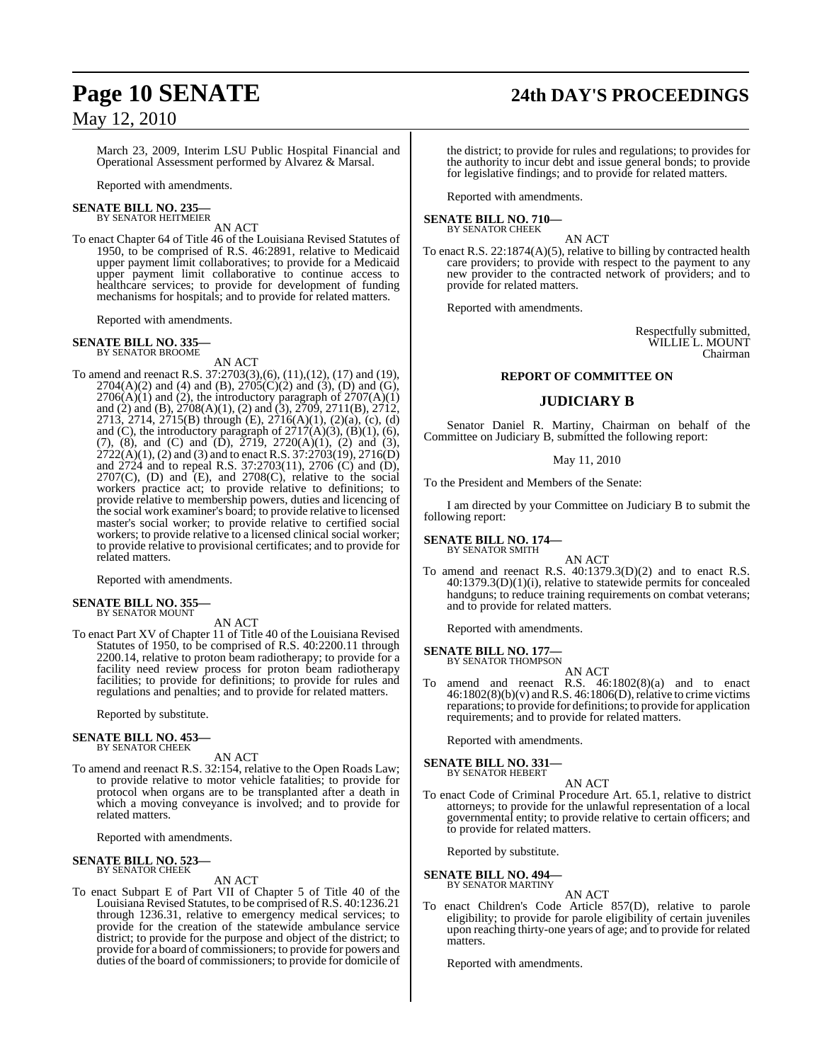## **Page 10 SENATE 24th DAY'S PROCEEDINGS**

May 12, 2010

March 23, 2009, Interim LSU Public Hospital Financial and Operational Assessment performed by Alvarez & Marsal.

Reported with amendments.

#### **SENATE BILL NO. 235—** BY SENATOR HEITMEIER

AN ACT

To enact Chapter 64 of Title 46 of the Louisiana Revised Statutes of 1950, to be comprised of R.S. 46:2891, relative to Medicaid upper payment limit collaboratives; to provide for a Medicaid upper payment limit collaborative to continue access to healthcare services; to provide for development of funding mechanisms for hospitals; and to provide for related matters.

Reported with amendments.

#### **SENATE BILL NO. 335** BY SENATOR BROOME

AN ACT

To amend and reenact R.S. 37:2703(3),(6), (11),(12), (17) and (19),  $2704(A)(2)$  and (4) and (B),  $2705(C)(2)$  and (3), (D) and (G),  $2706(A)(1)$  and (2), the introductory paragraph of  $2707(A)(1)$ and (2) and (B), 2708(A)(1), (2) and (3), 2709, 2711(B), 2712, 2713, 2714, 2715(B) through (E), 2716(A)(1), (2)(a), (c), (d) and (C), the introductory paragraph of  $2717(A)(3)$ ,  $(B)(1)$ ,  $(6)$ , (7), (8), and (C) and (D),  $\overline{2719}$ ,  $2720(A)(1)$ , (2) and (3),  $2722(A)(1)$ , (2) and (3) and to enact R.S.  $37:2703(19)$ ,  $2716(D)$ and 2724 and to repeal R.S. 37:2703(11), 2706 (C) and (D),  $2707(C)$ , (D) and  $(E)$ , and  $2708(C)$ , relative to the social workers practice act; to provide relative to definitions; to provide relative to membership powers, duties and licencing of the social work examiner's board; to provide relative to licensed master's social worker; to provide relative to certified social workers; to provide relative to a licensed clinical social worker; to provide relative to provisional certificates; and to provide for related matters.

Reported with amendments.

### **SENATE BILL NO. 355—** BY SENATOR MOUNT

AN ACT

To enact Part XV of Chapter 11 of Title 40 of the Louisiana Revised Statutes of 1950, to be comprised of R.S. 40:2200.11 through 2200.14, relative to proton beam radiotherapy; to provide for a facility need review process for proton beam radiotherapy facilities; to provide for definitions; to provide for rules and regulations and penalties; and to provide for related matters.

Reported by substitute.

#### **SENATE BILL NO. 453—** BY SENATOR CHEEK

AN ACT

To amend and reenact R.S. 32:154, relative to the Open Roads Law; to provide relative to motor vehicle fatalities; to provide for protocol when organs are to be transplanted after a death in which a moving conveyance is involved; and to provide for related matters.

Reported with amendments.

#### **SENATE BILL NO. 523—** BY SENATOR CHEEK

AN ACT

To enact Subpart E of Part VII of Chapter 5 of Title 40 of the Louisiana Revised Statutes, to be comprised of R.S. 40:1236.21 through 1236.31, relative to emergency medical services; to provide for the creation of the statewide ambulance service district; to provide for the purpose and object of the district; to provide for a board of commissioners; to provide for powers and duties of the board of commissioners; to provide for domicile of

the district; to provide for rules and regulations; to provides for the authority to incur debt and issue general bonds; to provide for legislative findings; and to provide for related matters.

Reported with amendments.

### **SENATE BILL NO. 710—**

BY SENATOR CHEEK AN ACT

To enact R.S. 22:1874(A)(5), relative to billing by contracted health care providers; to provide with respect to the payment to any new provider to the contracted network of providers; and to provide for related matters.

Reported with amendments.

Respectfully submitted, WILLIE L. MOUNT Chairman

### **REPORT OF COMMITTEE ON**

### **JUDICIARY B**

Senator Daniel R. Martiny, Chairman on behalf of the Committee on Judiciary B, submitted the following report:

### May 11, 2010

To the President and Members of the Senate:

I am directed by your Committee on Judiciary B to submit the following report:

**SENATE BILL NO. 174—** BY SENATOR SMITH

AN ACT

To amend and reenact R.S. 40:1379.3(D)(2) and to enact R.S. 40:1379.3(D)(1)(i), relative to statewide permits for concealed handguns; to reduce training requirements on combat veterans; and to provide for related matters.

Reported with amendments.

#### **SENATE BILL NO. 177—** BY SENATOR THOMPSON

AN ACT

To amend and reenact R.S. 46:1802(8)(a) and to enact  $46:1802(8)(b)(v)$  and R.S.  $46:1806(D)$ , relative to crime victims reparations; to provide for definitions; to provide for application requirements; and to provide for related matters.

Reported with amendments.

#### **SENATE BILL NO. 331—** BY SENATOR HEBERT

AN ACT

To enact Code of Criminal Procedure Art. 65.1, relative to district attorneys; to provide for the unlawful representation of a local governmental entity; to provide relative to certain officers; and to provide for related matters.

Reported by substitute.

**SENATE BILL NO. 494** 

BY SENATOR MARTINY AN ACT

To enact Children's Code Article 857(D), relative to parole eligibility; to provide for parole eligibility of certain juveniles upon reaching thirty-one years of age; and to provide for related matters.

Reported with amendments.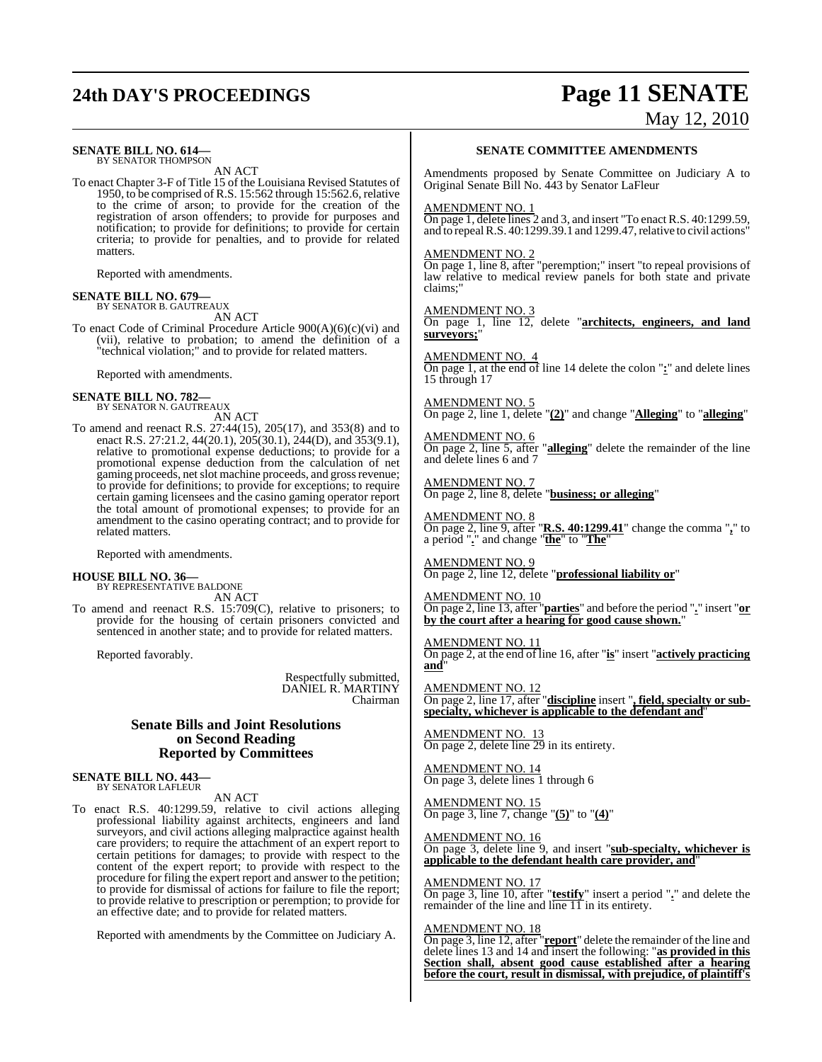# **24th DAY'S PROCEEDINGS Page 11 SENATE**

### **SENATE BILL NO. 614—** BY SENATOR THOMPSON

AN ACT

To enact Chapter 3-F of Title 15 of the Louisiana Revised Statutes of 1950, to be comprised of R.S. 15:562 through 15:562.6, relative to the crime of arson; to provide for the creation of the registration of arson offenders; to provide for purposes and notification; to provide for definitions; to provide for certain criteria; to provide for penalties, and to provide for related matters.

Reported with amendments.

### **SENATE BILL NO. 679—** BY SENATOR B. GAUTREAUX

AN ACT

To enact Code of Criminal Procedure Article 900(A)(6)(c)(vi) and (vii), relative to probation; to amend the definition of a "technical violation;" and to provide for related matters.

Reported with amendments.

### **SENATE BILL NO. 782—** BY SENATOR N. GAUTREAUX

AN ACT

To amend and reenact R.S. 27:44(15), 205(17), and 353(8) and to enact R.S. 27:21.2, 44(20.1), 205(30.1), 244(D), and 353(9.1), relative to promotional expense deductions; to provide for a promotional expense deduction from the calculation of net gaming proceeds, net slot machine proceeds, and gross revenue; to provide for definitions; to provide for exceptions; to require certain gaming licensees and the casino gaming operator report the total amount of promotional expenses; to provide for an amendment to the casino operating contract; and to provide for related matters.

Reported with amendments.

#### **HOUSE BILL NO. 36—**

BY REPRESENTATIVE BALDONE AN ACT

To amend and reenact R.S. 15:709(C), relative to prisoners; to provide for the housing of certain prisoners convicted and sentenced in another state; and to provide for related matters.

Reported favorably.

Respectfully submitted, DANIEL R. MARTINY Chairman

### **Senate Bills and Joint Resolutions on Second Reading Reported by Committees**

**SENATE BILL NO. 443—** BY SENATOR LAFLEUR

AN ACT

To enact R.S. 40:1299.59, relative to civil actions alleging professional liability against architects, engineers and land surveyors, and civil actions alleging malpractice against health care providers; to require the attachment of an expert report to certain petitions for damages; to provide with respect to the content of the expert report; to provide with respect to the procedure for filing the expert report and answer to the petition; to provide for dismissal of actions for failure to file the report; to provide relative to prescription or peremption; to provide for an effective date; and to provide for related matters.

Reported with amendments by the Committee on Judiciary A.

# May 12, 2010

#### **SENATE COMMITTEE AMENDMENTS**

Amendments proposed by Senate Committee on Judiciary A to Original Senate Bill No. 443 by Senator LaFleur

#### AMENDMENT NO. 1

 $\overline{\text{On page 1}}$ , delete lines 2 and 3, and insert "To enact R.S. 40:1299.59, and to repeal R.S. 40:1299.39.1 and 1299.47, relative to civil actions"

### AMENDMENT NO. 2

On page 1, line 8, after "peremption;" insert "to repeal provisions of law relative to medical review panels for both state and private claims;"

AMENDMENT NO.

On page 1, line 12, delete "**architects, engineers, and land surveyors;**"

### AMENDMENT NO. 4

On page 1, at the end of line 14 delete the colon "**:**" and delete lines 15 through 17

AMENDMENT NO. 5 On page 2, line 1, delete "**(2)**" and change "**Alleging**" to "**alleging**"

AMENDMENT NO. 6 On page 2, line 5, after "**alleging**" delete the remainder of the line and delete lines 6 and 7

AMENDMENT NO. 7 On page 2, line 8, delete "**business; or alleging**"

AMENDMENT NO. 8 On page 2, line 9, after "**R.S. 40:1299.41**" change the comma "**,**" to a period "**.**" and change "**the**" to "**The**"

AMENDMENT NO. 9 On page 2, line 12, delete "**professional liability or**"

AMENDMENT NO. 10 On page 2, line 13, after "**parties**" and before the period "**.**" insert "**or by the court after a hearing for good cause shown.**"

AMENDMENT NO. 11 On page 2, at the end of line 16, after "**is**" insert "**actively practicing and**"

AMENDMENT NO. 12 On page 2, line 17, after "**discipline** insert "**, field, specialty or subspecialty, whichever is applicable to the defendant and**"

AMENDMENT NO. 13 On page 2, delete line 29 in its entirety.

AMENDMENT NO. 14 On page 3, delete lines 1 through 6

AMENDMENT NO. 15 On page 3, line 7, change "**(5)**" to "**(4)**"

AMENDMENT NO. 16 On page 3, delete line 9, and insert "**sub-specialty, whichever is applicable to the defendant health care provider, and**"

AMENDMENT NO. 17

On page 3, line 10, after "**testify**" insert a period "**.**" and delete the remainder of the line and line 11 in its entirety.

### AMENDMENT NO. 18

On page 3, line 12, after "**report**" delete the remainder of the line and delete lines 13 and 14 and insert the following: "**as provided in this Section shall, absent good cause established after a hearing before the court, result in dismissal, with prejudice, of plaintiff's**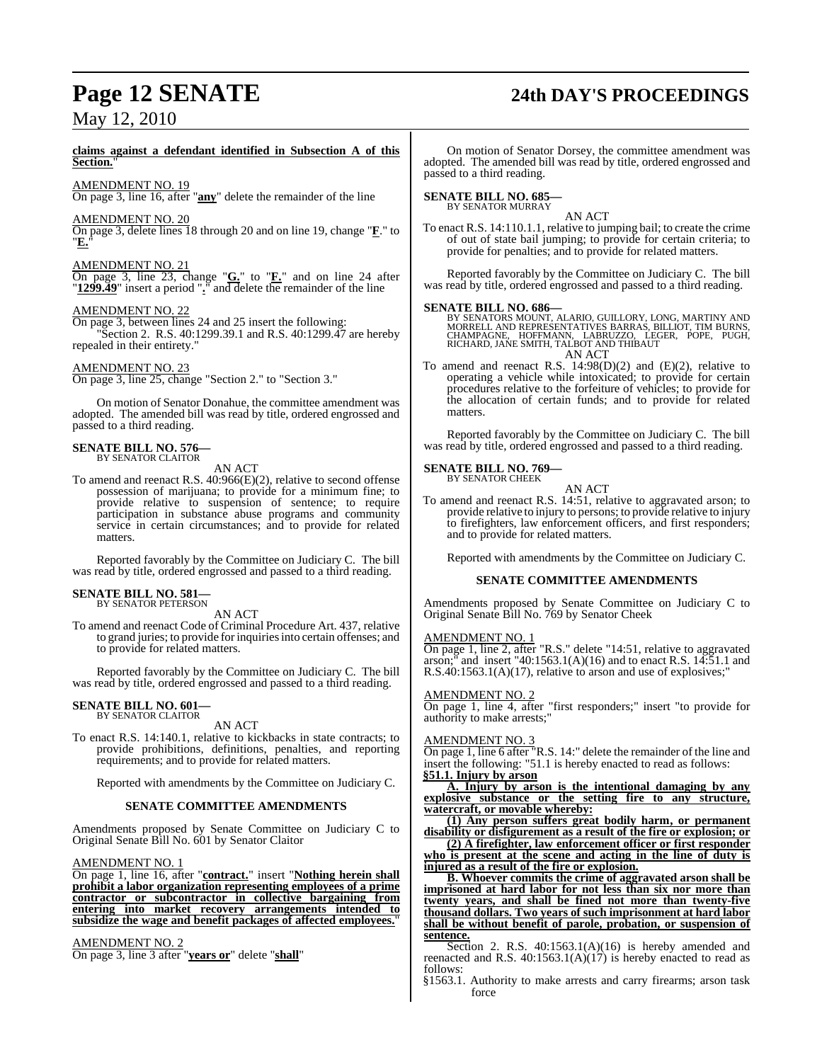## **Page 12 SENATE 24th DAY'S PROCEEDINGS**

**claims against a defendant identified in Subsection A of this Section.**"

AMENDMENT NO. 19

On page 3, line 16, after "**any**" delete the remainder of the line

### AMENDMENT NO. 20

On page 3, delete lines 18 through 20 and on line 19, change "**F**." to "**E.**"

### AMENDMENT NO. 21

On page 3, line 23, change "**G.**" to "**F.**" and on line 24 after "**1299.49**" insert a period "**.**" and delete the remainder of the line

### AMENDMENT NO.

On page 3, between lines 24 and 25 insert the following:

Section 2. R.S. 40:1299.39.1 and R.S. 40:1299.47 are hereby repealed in their entirety."

### AMENDMENT NO. 23

On page 3, line 25, change "Section 2." to "Section 3."

On motion of Senator Donahue, the committee amendment was adopted. The amended bill was read by title, ordered engrossed and passed to a third reading.

## **SENATE BILL NO. 576—** BY SENATOR CLAITOR

AN ACT

To amend and reenact R.S. 40:966(E)(2), relative to second offense possession of marijuana; to provide for a minimum fine; to provide relative to suspension of sentence; to require participation in substance abuse programs and community service in certain circumstances; and to provide for related matters.

Reported favorably by the Committee on Judiciary C. The bill was read by title, ordered engrossed and passed to a third reading.

#### **SENATE BILL NO. 581** BY SENATOR PETERSON

AN ACT

To amend and reenact Code of Criminal Procedure Art. 437, relative to grand juries; to provide for inquiries into certain offenses; and to provide for related matters.

Reported favorably by the Committee on Judiciary C. The bill was read by title, ordered engrossed and passed to a third reading.

### **SENATE BILL NO. 601—** BY SENATOR CLAITOR

AN ACT

To enact R.S. 14:140.1, relative to kickbacks in state contracts; to provide prohibitions, definitions, penalties, and reporting requirements; and to provide for related matters.

Reported with amendments by the Committee on Judiciary C.

### **SENATE COMMITTEE AMENDMENTS**

Amendments proposed by Senate Committee on Judiciary C to Original Senate Bill No. 601 by Senator Claitor

### AMENDMENT NO. 1

On page 1, line 16, after "**contract.**" insert "**Nothing herein shall prohibit a labor organization representing employees of a prime contractor or subcontractor in collective bargaining from entering into market recovery arrangements intended to subsidize the wage and benefit packages of affected employees.**"

### AMENDMENT NO. 2

On page 3, line 3 after "**years or**" delete "**shall**"

On motion of Senator Dorsey, the committee amendment was adopted. The amended bill was read by title, ordered engrossed and passed to a third reading.

# **SENATE BILL NO. 685—** BY SENATOR MURRAY

AN ACT

To enact R.S. 14:110.1.1, relative to jumping bail; to create the crime of out of state bail jumping; to provide for certain criteria; to provide for penalties; and to provide for related matters.

Reported favorably by the Committee on Judiciary C. The bill was read by title, ordered engrossed and passed to a third reading.

**SENATE BILL NO. 686—**<br>BY SENATORS MOUNT, ALARIO, GUILLORY, LONG, MARTINY AND RORRELL AND REPRESENTATIVES BARRAS, BILLIOT, TIM BURNS,<br>CHAMPAGNE, HOFFMANN, LABRUZZO, LEGER, POPE, PUGH,<br>RICHARD, JANE SMITH, TALBOT AND THIBAU AN ACT

To amend and reenact R.S.  $14:98(D)(2)$  and  $(E)(2)$ , relative to operating a vehicle while intoxicated; to provide for certain procedures relative to the forfeiture of vehicles; to provide for the allocation of certain funds; and to provide for related matters.

Reported favorably by the Committee on Judiciary C. The bill was read by title, ordered engrossed and passed to a third reading.

## **SENATE BILL NO. 769—** BY SENATOR CHEEK

AN ACT

To amend and reenact R.S. 14:51, relative to aggravated arson; to provide relative to injury to persons; to provide relative to injury to firefighters, law enforcement officers, and first responders; and to provide for related matters.

Reported with amendments by the Committee on Judiciary C.

### **SENATE COMMITTEE AMENDMENTS**

Amendments proposed by Senate Committee on Judiciary C to Original Senate Bill No. 769 by Senator Cheek

### AMENDMENT NO. 1

On page 1, line 2, after "R.S." delete "14:51, relative to aggravated arson;" and insert "40:1563.1(A)(16) and to enact R.S. 14:51.1 and R.S.40:1563.1(A)(17), relative to arson and use of explosives;"

### AMENDMENT NO. 2

On page 1, line 4, after "first responders;" insert "to provide for authority to make arrests;"

### AMENDMENT NO. 3

On page 1, line 6 after "R.S. 14:" delete the remainder of the line and insert the following: "51.1 is hereby enacted to read as follows: **§51.1. Injury by arson**

**A. Injury by arson is the intentional damaging by any explosive substance or the setting fire to any structure, watercraft, or movable whereby:**

**(1) Any person suffers great bodily harm, or permanent disability or disfigurement as a result of the fire or explosion; or**

**(2) A firefighter, law enforcement officer or first responder who is present at the scene and acting in the line of duty is injured as a result of the fire or explosion.**

**B. Whoever commits the crime of aggravated arson shall be imprisoned at hard labor for not less than six nor more than twenty years, and shall be fined not more than twenty-five thousand dollars. Two years of such imprisonment at hard labor shall be without benefit of parole, probation, or suspension of sentence.**

Section 2. R.S. 40:1563.1(A)(16) is hereby amended and reenacted and R.S. 40:1563.1(A)(17) is hereby enacted to read as follows:

§1563.1. Authority to make arrests and carry firearms; arson task force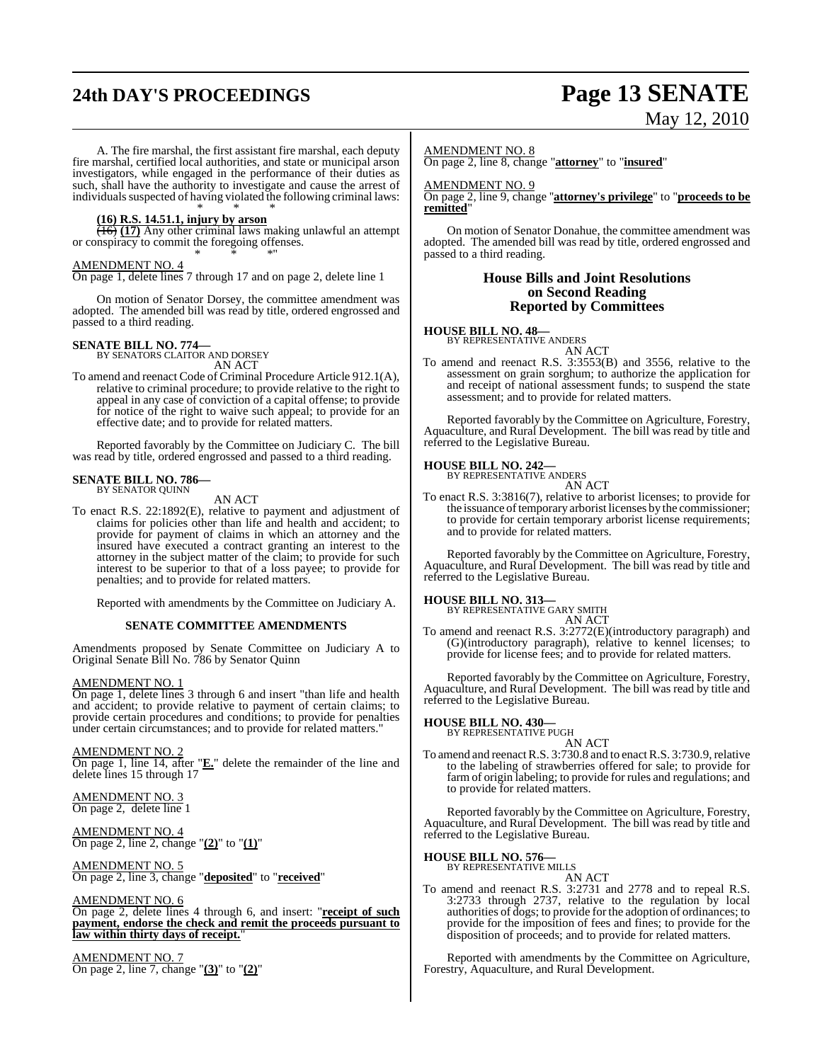# **24th DAY'S PROCEEDINGS Page 13 SENATE**

# May 12, 2010

A. The fire marshal, the first assistant fire marshal, each deputy fire marshal, certified local authorities, and state or municipal arson investigators, while engaged in the performance of their duties as such, shall have the authority to investigate and cause the arrest of individuals suspected of having violated the following criminal laws:

#### \* \* \* **(16) R.S. 14.51.1, injury by arson**

(16) **(17)** Any other criminal laws making unlawful an attempt or conspiracy to commit the foregoing offenses. \* \* \*"

### AMENDMENT NO. 4

On page 1, delete lines 7 through 17 and on page 2, delete line 1

On motion of Senator Dorsey, the committee amendment was adopted. The amended bill was read by title, ordered engrossed and passed to a third reading.

### **SENATE BILL NO. 774—** BY SENATORS CLAITOR AND DORSEY

AN ACT

To amend and reenact Code of Criminal Procedure Article 912.1(A), relative to criminal procedure; to provide relative to the right to appeal in any case of conviction of a capital offense; to provide for notice of the right to waive such appeal; to provide for an effective date; and to provide for related matters.

Reported favorably by the Committee on Judiciary C. The bill was read by title, ordered engrossed and passed to a third reading.

#### **SENATE BILL NO. 786—** BY SENATOR QUINN

AN ACT

To enact R.S. 22:1892(E), relative to payment and adjustment of claims for policies other than life and health and accident; to provide for payment of claims in which an attorney and the insured have executed a contract granting an interest to the attorney in the subject matter of the claim; to provide for such interest to be superior to that of a loss payee; to provide for penalties; and to provide for related matters.

Reported with amendments by the Committee on Judiciary A.

### **SENATE COMMITTEE AMENDMENTS**

Amendments proposed by Senate Committee on Judiciary A to Original Senate Bill No. 786 by Senator Quinn

### AMENDMENT NO. 1

On page 1, delete lines 3 through 6 and insert "than life and health and accident; to provide relative to payment of certain claims; to provide certain procedures and conditions; to provide for penalties under certain circumstances; and to provide for related matters."

### AMENDMENT NO. 2

On page 1, line 14, after "**E.**" delete the remainder of the line and delete lines 15 through 17

### AMENDMENT NO. 3 On page 2, delete line 1

AMENDMENT NO. 4 On page 2, line 2, change "**(2)**" to "**(1)**"

### AMENDMENT NO. 5

On page 2, line 3, change "**deposited**" to "**received**"

### AMENDMENT NO. 6

On page 2, delete lines 4 through 6, and insert: "**receipt of such payment, endorse the check and remit the proceeds pursuant to law within thirty days of receipt.**"

### AMENDMENT NO. 7

On page 2, line 7, change "**(3)**" to "**(2)**"

### AMENDMENT NO. 8

On page 2, line 8, change "**attorney**" to "**insured**"

### AMENDMENT NO. 9

On page 2, line 9, change ''**attorney's privilege**" to "**proceeds to be remitted**"

On motion of Senator Donahue, the committee amendment was adopted. The amended bill was read by title, ordered engrossed and passed to a third reading.

### **House Bills and Joint Resolutions on Second Reading Reported by Committees**

### **HOUSE BILL NO. 48—** BY REPRESENTATIVE ANDERS

AN ACT

To amend and reenact R.S. 3:3553(B) and 3556, relative to the assessment on grain sorghum; to authorize the application for and receipt of national assessment funds; to suspend the state assessment; and to provide for related matters.

Reported favorably by the Committee on Agriculture, Forestry, Aquaculture, and Rural Development. The bill was read by title and referred to the Legislative Bureau.

## **HOUSE BILL NO. 242—** BY REPRESENTATIVE ANDERS

AN ACT

To enact R.S. 3:3816(7), relative to arborist licenses; to provide for the issuance of temporary arborist licenses by the commissioner; to provide for certain temporary arborist license requirements; and to provide for related matters.

Reported favorably by the Committee on Agriculture, Forestry, Aquaculture, and Rural Development. The bill was read by title and referred to the Legislative Bureau.

### **HOUSE BILL NO. 313—** BY REPRESENTATIVE GARY SMITH

AN ACT

To amend and reenact R.S. 3:2772(E)(introductory paragraph) and (G)(introductory paragraph), relative to kennel licenses; to provide for license fees; and to provide for related matters.

Reported favorably by the Committee on Agriculture, Forestry, Aquaculture, and Rural Development. The bill was read by title and referred to the Legislative Bureau.

### **HOUSE BILL NO. 430—** BY REPRESENTATIVE PUGH

AN ACT

To amend and reenact R.S. 3:730.8 and to enact R.S. 3:730.9, relative to the labeling of strawberries offered for sale; to provide for farm of origin labeling; to provide for rules and regulations; and to provide for related matters.

Reported favorably by the Committee on Agriculture, Forestry, Aquaculture, and Rural Development. The bill was read by title and referred to the Legislative Bureau.

### **HOUSE BILL NO. 576—** BY REPRESENTATIVE MILLS

AN ACT

To amend and reenact R.S. 3:2731 and 2778 and to repeal R.S. 3:2733 through 2737, relative to the regulation by local authorities of dogs; to provide for the adoption of ordinances; to provide for the imposition of fees and fines; to provide for the disposition of proceeds; and to provide for related matters.

Reported with amendments by the Committee on Agriculture, Forestry, Aquaculture, and Rural Development.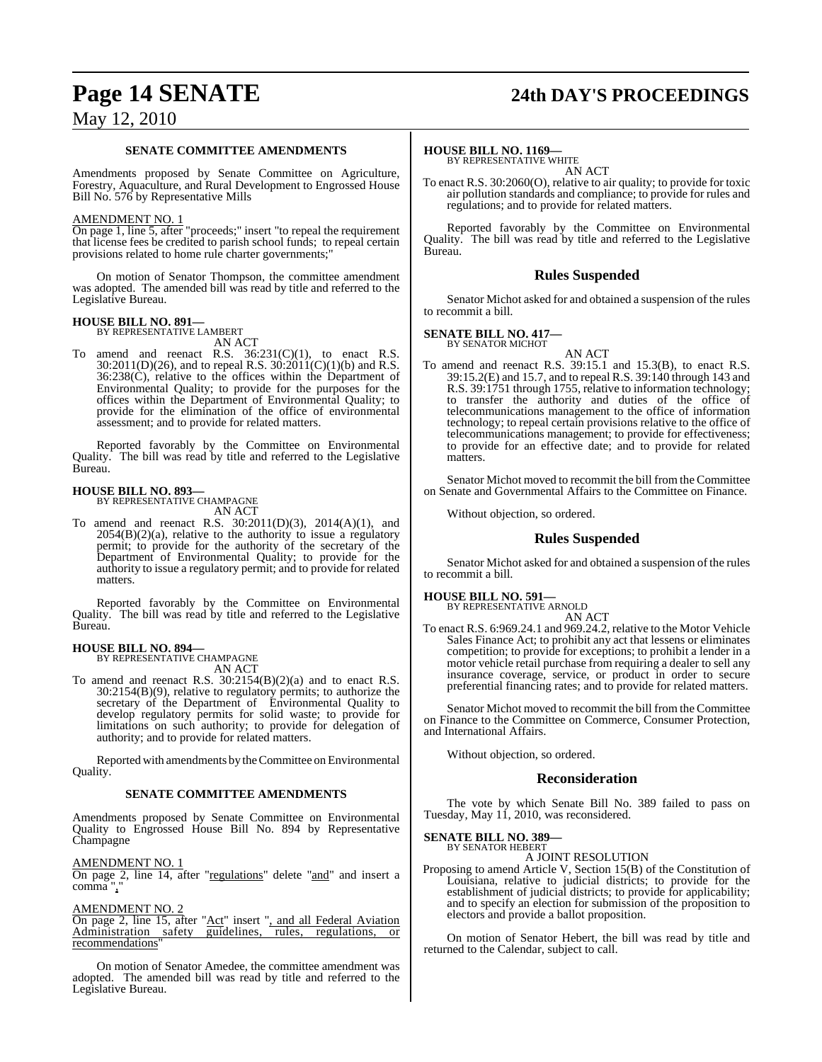## **Page 14 SENATE 24th DAY'S PROCEEDINGS**

### May 12, 2010

### **SENATE COMMITTEE AMENDMENTS**

Amendments proposed by Senate Committee on Agriculture, Forestry, Aquaculture, and Rural Development to Engrossed House Bill No. 576 by Representative Mills

### AMENDMENT NO. 1

On page 1, line 5, after "proceeds;" insert "to repeal the requirement that license fees be credited to parish school funds; to repeal certain provisions related to home rule charter governments;

On motion of Senator Thompson, the committee amendment was adopted. The amended bill was read by title and referred to the Legislative Bureau.

#### **HOUSE BILL NO. 891—** BY REPRESENTATIVE LAMBERT

AN ACT

To amend and reenact R.S.  $36:231(C)(1)$ , to enact R.S.  $30:2011(D)(26)$ , and to repeal R.S.  $30:2011(C)(1)(b)$  and R.S. 36:238(C), relative to the offices within the Department of Environmental Quality; to provide for the purposes for the offices within the Department of Environmental Quality; to provide for the elimination of the office of environmental assessment; and to provide for related matters.

Reported favorably by the Committee on Environmental Quality. The bill was read by title and referred to the Legislative Bureau.

### **HOUSE BILL NO. 893—**

BY REPRESENTATIVE CHAMPAGNE AN ACT

To amend and reenact R.S. 30:2011(D)(3), 2014(A)(1), and  $2054(B)(2)(a)$ , relative to the authority to issue a regulatory permit; to provide for the authority of the secretary of the Department of Environmental Quality; to provide for the authority to issue a regulatory permit; and to provide for related matters.

Reported favorably by the Committee on Environmental Quality. The bill was read by title and referred to the Legislative Bureau.

### **HOUSE BILL NO. 894—**

BY REPRESENTATIVE CHAMPAGNE AN ACT

To amend and reenact R.S. 30:2154(B)(2)(a) and to enact R.S. 30:2154(B)(9), relative to regulatory permits; to authorize the secretary of the Department of Environmental Quality to develop regulatory permits for solid waste; to provide for limitations on such authority; to provide for delegation of authority; and to provide for related matters.

Reported with amendments by theCommittee on Environmental Quality.

### **SENATE COMMITTEE AMENDMENTS**

Amendments proposed by Senate Committee on Environmental Quality to Engrossed House Bill No. 894 by Representative Champagne

AMENDMENT NO. 1

On page 2, line 14, after "regulations" delete " $and$ " and insert a comma",

### AMENDMENT NO. 2

On page 2, line 15, after "Act" insert ", and all Federal Aviation Administration safety guidelines, rules, regulations, or recommendations

On motion of Senator Amedee, the committee amendment was adopted. The amended bill was read by title and referred to the Legislative Bureau.

### **HOUSE BILL NO. 1169—**

BY REPRESENTATIVE WHITE AN ACT

To enact R.S. 30:2060(O), relative to air quality; to provide for toxic air pollution standards and compliance; to provide for rules and regulations; and to provide for related matters.

Reported favorably by the Committee on Environmental Quality. The bill was read by title and referred to the Legislative Bureau.

### **Rules Suspended**

Senator Michot asked for and obtained a suspension of the rules to recommit a bill.

### **SENATE BILL NO. 417—** BY SENATOR MICHOT

AN ACT

To amend and reenact R.S. 39:15.1 and 15.3(B), to enact R.S. 39:15.2(E) and 15.7, and to repeal R.S. 39:140 through 143 and R.S. 39:1751 through 1755, relative to information technology; to transfer the authority and duties of the office of telecommunications management to the office of information technology; to repeal certain provisions relative to the office of telecommunications management; to provide for effectiveness; to provide for an effective date; and to provide for related matters.

Senator Michot moved to recommit the bill from the Committee on Senate and Governmental Affairs to the Committee on Finance.

Without objection, so ordered.

### **Rules Suspended**

Senator Michot asked for and obtained a suspension of the rules to recommit a bill.

### **HOUSE BILL NO. 591—**

BY REPRESENTATIVE ARNOLD

AN ACT To enact R.S. 6:969.24.1 and 969.24.2, relative to the Motor Vehicle Sales Finance Act; to prohibit any act that lessens or eliminates competition; to provide for exceptions; to prohibit a lender in a motor vehicle retail purchase from requiring a dealer to sell any insurance coverage, service, or product in order to secure preferential financing rates; and to provide for related matters.

Senator Michot moved to recommit the bill from the Committee on Finance to the Committee on Commerce, Consumer Protection, and International Affairs.

Without objection, so ordered.

### **Reconsideration**

The vote by which Senate Bill No. 389 failed to pass on Tuesday, May 11, 2010, was reconsidered.

### **SENATE BILL NO. 389—** BY SENATOR HEBERT

A JOINT RESOLUTION

Proposing to amend Article V, Section 15(B) of the Constitution of Louisiana, relative to judicial districts; to provide for the establishment of judicial districts; to provide for applicability; and to specify an election for submission of the proposition to electors and provide a ballot proposition.

On motion of Senator Hebert, the bill was read by title and returned to the Calendar, subject to call.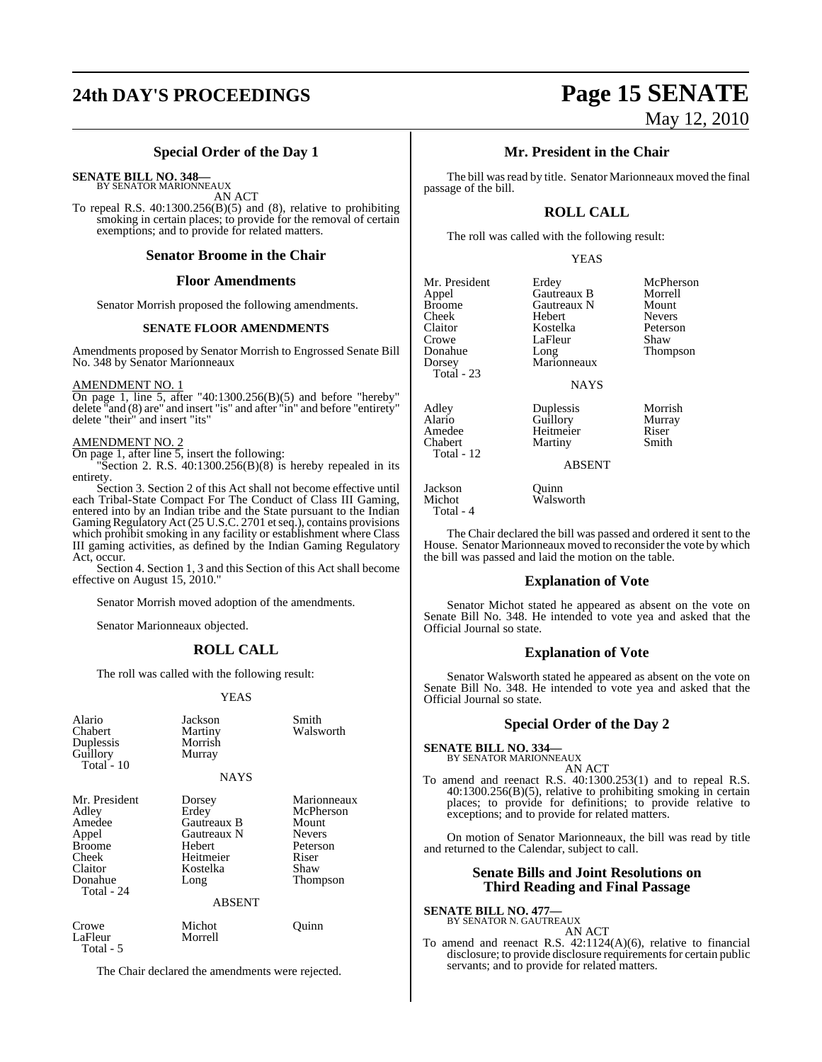# **24th DAY'S PROCEEDINGS Page 15 SENATE**

# May 12, 2010

### **Special Order of the Day 1**

**SENATE BILL NO. 348—** BY SENATOR MARIONNEAUX

AN ACT

To repeal R.S. 40:1300.256(B)(5) and (8), relative to prohibiting smoking in certain places; to provide for the removal of certain exemptions; and to provide for related matters.

### **Senator Broome in the Chair**

### **Floor Amendments**

Senator Morrish proposed the following amendments.

### **SENATE FLOOR AMENDMENTS**

Amendments proposed by Senator Morrish to Engrossed Senate Bill No. 348 by Senator Marionneaux

### AMENDMENT NO. 1

On page 1, line 5, after "40:1300.256(B)(5) and before "hereby" delete "and (8) are" and insert "is" and after "in" and before "entirety" delete "their" and insert "its"

### AMENDMENT NO. 2

On page 1, after line 5, insert the following:

"Section 2. R.S.  $40:1300.256(B)(8)$  is hereby repealed in its entirety.

Section 3. Section 2 of this Act shall not become effective until each Tribal-State Compact For The Conduct of Class III Gaming, entered into by an Indian tribe and the State pursuant to the Indian Gaming Regulatory Act (25 U.S.C. 2701 et seq.), contains provisions which prohibit smoking in any facility or establishment where Class III gaming activities, as defined by the Indian Gaming Regulatory Act, occur.

Section 4. Section 1, 3 and this Section of this Act shall become effective on August 15, 2010."

Senator Morrish moved adoption of the amendments.

Senator Marionneaux objected.

### **ROLL CALL**

The roll was called with the following result:

### YEAS

| Alario<br>Chabert<br>Duplessis<br>Guillory<br>Total - $10$                                              | Jackson<br>Martiny<br>Morrish<br>Murray<br><b>NAYS</b>                                                           | Smith<br>Walsworth                                                                          |
|---------------------------------------------------------------------------------------------------------|------------------------------------------------------------------------------------------------------------------|---------------------------------------------------------------------------------------------|
| Mr. President<br>Adley<br>Amedee<br>Appel<br><b>Broome</b><br>Cheek<br>Claitor<br>Donahue<br>Total - 24 | Dorsey<br>Erdey<br><b>Gautreaux B</b><br>Gautreaux N<br>Hebert<br>Heitmeier<br>Kostelka<br>Long<br><b>ABSENT</b> | Marionneaux<br>McPherson<br>Mount<br><b>Nevers</b><br>Peterson<br>Riser<br>Shaw<br>Thompson |
| Crowe<br>LaFleur                                                                                        | Michot<br>Morrell                                                                                                | Ouinn                                                                                       |

Total - 5

The Chair declared the amendments were rejected.

### **Mr. President in the Chair**

The bill was read by title. Senator Marionneaux moved the final passage of the bill.

### **ROLL CALL**

The roll was called with the following result:

### YEAS

Mr. President Erdey McPherson<br>Appel Gautreaux B Morrell Appel Gautreaux B Morrell Broome Gautreaux N Mount<br>Cheek Hebert Nevers Cheek Hebert Nevers Claitor Kostelka Peterson Crowe LaFleur<br>Donahue Long Donahue Long Thompson Total - 23 Adley Duplessis Morrish Alario Guillory Murray

Amedee Heitmeier Riser<br>Chabert Martiny Smith Total - 12

Marionneaux

NAYS

**Martiny** 

Walsworth

ABSENT

Jackson Quinn Total - 4

The Chair declared the bill was passed and ordered it sent to the House. Senator Marionneaux moved to reconsider the vote by which the bill was passed and laid the motion on the table.

### **Explanation of Vote**

Senator Michot stated he appeared as absent on the vote on Senate Bill No. 348. He intended to vote yea and asked that the Official Journal so state.

### **Explanation of Vote**

Senator Walsworth stated he appeared as absent on the vote on Senate Bill No. 348. He intended to vote yea and asked that the Official Journal so state.

### **Special Order of the Day 2**

**SENATE BILL NO. 334—** BY SENATOR MARIONNEAUX AN ACT To amend and reenact R.S. 40:1300.253(1) and to repeal R.S.

40:1300.256(B)(5), relative to prohibiting smoking in certain places; to provide for definitions; to provide relative to exceptions; and to provide for related matters.

On motion of Senator Marionneaux, the bill was read by title and returned to the Calendar, subject to call.

### **Senate Bills and Joint Resolutions on Third Reading and Final Passage**

**SENATE BILL NO. 477—** BY SENATOR N. GAUTREAUX

AN ACT

To amend and reenact R.S. 42:1124(A)(6), relative to financial disclosure; to provide disclosure requirements for certain public servants; and to provide for related matters.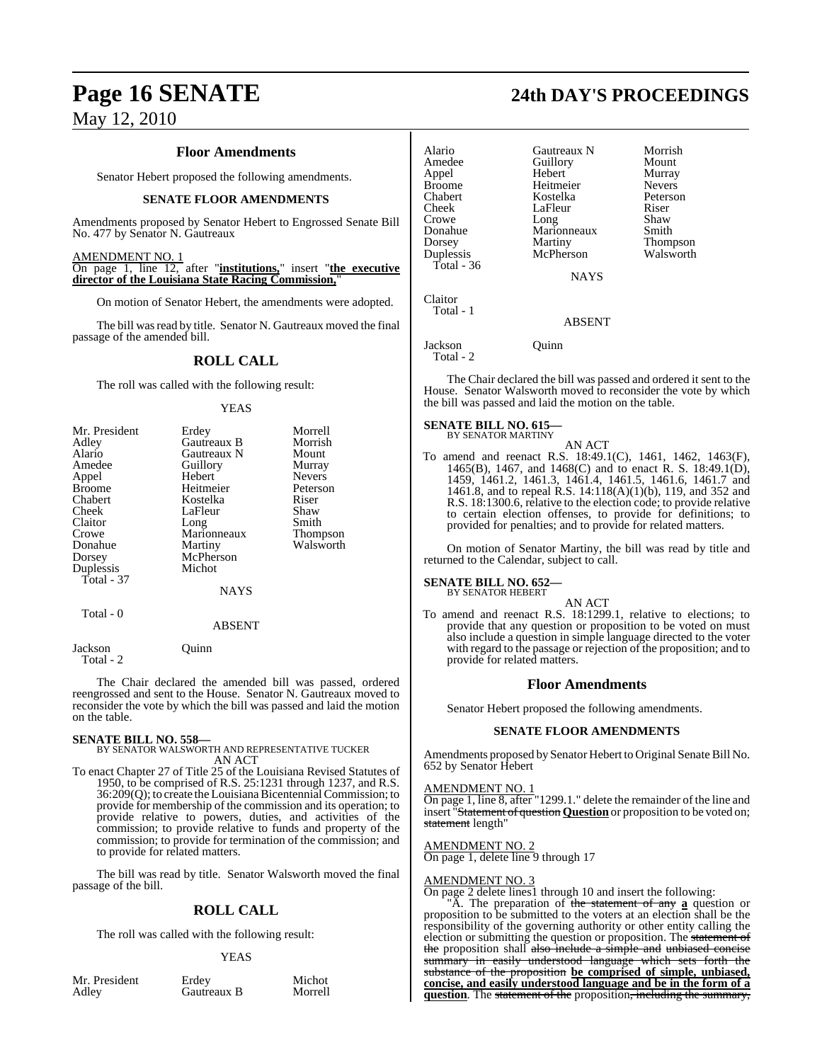### **Floor Amendments**

Senator Hebert proposed the following amendments.

### **SENATE FLOOR AMENDMENTS**

Amendments proposed by Senator Hebert to Engrossed Senate Bill No. 477 by Senator N. Gautreaux

AMENDMENT NO. 1 On page 1, line 12, after "**institutions,**" insert "**the executive director of the Louisiana State Racing Commission,**"

On motion of Senator Hebert, the amendments were adopted.

The bill was read by title. Senator N. Gautreaux moved the final passage of the amended bill.

### **ROLL CALL**

The roll was called with the following result:

### **YEAS**

| Mr. President | Erdey       | Morrell       |
|---------------|-------------|---------------|
| Adley         | Gautreaux B | Morrish       |
| Alario        | Gautreaux N | Mount         |
| Amedee        | Guillory    | Murray        |
| Appel         | Hebert      | <b>Nevers</b> |
| <b>Broome</b> | Heitmeier   | Peterson      |
| Chabert       | Kostelka    | Riser         |
| Cheek         | LaFleur     | Shaw          |
| Claitor       | Long        | Smith         |
| Crowe         | Marionneaux | Thompson      |
| Donahue       | Martiny     | Walsworth     |
| Dorsey        | McPherson   |               |
| Duplessis     | Michot      |               |
| Total - 37    |             |               |
|               | <b>NAYS</b> |               |
| Total - 0     |             |               |

#### ABSENT

Jackson Quinn Total - 2

The Chair declared the amended bill was passed, ordered reengrossed and sent to the House. Senator N. Gautreaux moved to reconsider the vote by which the bill was passed and laid the motion on the table.

### **SENATE BILL NO. 558—**

BY SENATOR WALSWORTH AND REPRESENTATIVE TUCKER AN ACT

To enact Chapter 27 of Title 25 of the Louisiana Revised Statutes of 1950, to be comprised of R.S. 25:1231 through 1237, and R.S. 36:209(Q); to create the Louisiana Bicentennial Commission; to provide for membership of the commission and its operation; to provide relative to powers, duties, and activities of the commission; to provide relative to funds and property of the commission; to provide for termination of the commission; and to provide for related matters.

The bill was read by title. Senator Walsworth moved the final passage of the bill.

### **ROLL CALL**

The roll was called with the following result:

### YEAS

Mr. President Erdey Michot<br>Adley Gautreaux B Morrell Gautreaux B

## **Page 16 SENATE 24th DAY'S PROCEEDINGS**

| Alario<br>Amedee<br>Appel<br><b>Broome</b><br>Chabert<br>Cheek<br>Crowe<br>Donahue<br>Dorsey<br>Duplessis<br>Total - $36$ | Gautreaux N<br>Guillory<br>Hebert<br>Heitmeier<br>Kostelka<br>LaFleur<br>Long<br>Marionneaux<br>Martiny<br>McPherson<br><b>NAYS</b> | Morrish<br>Mount<br>Murray<br><b>Nevers</b><br>Peterson<br>Riser<br>Shaw<br>Smith<br>Thompson<br>Walsworth |
|---------------------------------------------------------------------------------------------------------------------------|-------------------------------------------------------------------------------------------------------------------------------------|------------------------------------------------------------------------------------------------------------|
| Claitor<br>Total - 1                                                                                                      | <b>ABSENT</b>                                                                                                                       |                                                                                                            |

Jackson Quinn Total - 2

The Chair declared the bill was passed and ordered it sent to the House. Senator Walsworth moved to reconsider the vote by which the bill was passed and laid the motion on the table.

### **SENATE BILL NO. 615—**

BY SENATOR MARTINY

AN ACT To amend and reenact R.S. 18:49.1(C), 1461, 1462, 1463(F), 1465(B), 1467, and 1468(C) and to enact R. S. 18:49.1(D), 1459, 1461.2, 1461.3, 1461.4, 1461.5, 1461.6, 1461.7 and 1461.8, and to repeal R.S. 14:118(A)(1)(b), 119, and 352 and R.S. 18:1300.6, relative to the election code; to provide relative to certain election offenses, to provide for definitions; to provided for penalties; and to provide for related matters.

On motion of Senator Martiny, the bill was read by title and returned to the Calendar, subject to call.

### **SENATE BILL NO. 652—** BY SENATOR HEBERT

AN ACT To amend and reenact R.S. 18:1299.1, relative to elections; to provide that any question or proposition to be voted on must also include a question in simple language directed to the voter with regard to the passage or rejection of the proposition; and to provide for related matters.

### **Floor Amendments**

Senator Hebert proposed the following amendments.

### **SENATE FLOOR AMENDMENTS**

Amendments proposed by Senator Hebert to Original Senate Bill No. 652 by Senator Hebert

### AMENDMENT NO. 1

On page 1, line 8, after "1299.1." delete the remainder of the line and insert "Statement of question **Question** or proposition to be voted on; statement length"

AMENDMENT NO. 2 On page 1, delete line 9 through 17

### AMENDMENT NO. 3

On page 2 delete lines1 through 10 and insert the following:

"A. The preparation of the statement of any **a** question or proposition to be submitted to the voters at an election shall be the responsibility of the governing authority or other entity calling the election or submitting the question or proposition. The statement of the proposition shall also include a simple and unbiased concise summary in easily understood language which sets forth the substance of the proposition **be comprised of simple, unbiased, concise, and easily understood language and be in the form of a question**. The statement of the proposition, including the summary,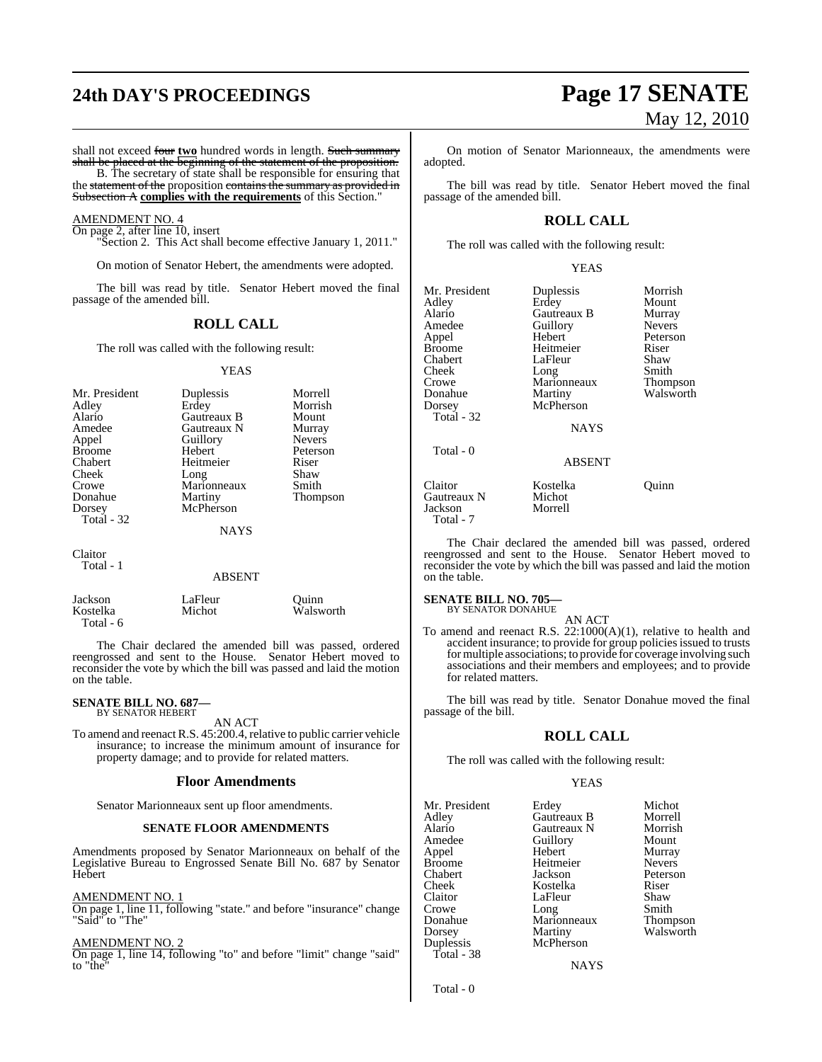# **24th DAY'S PROCEEDINGS Page 17 SENATE**

shall not exceed four two hundred words in length. Such summary shall be placed at the beginning of the statement of the proposition.

B. The secretary of state shall be responsible for ensuring that the statement of the proposition contains the summary as provided in

Subsection A **complies with the requirements** of this Section."

AMENDMENT NO. 4 On page 2, after line 10, insert

"Section 2. This Act shall become effective January 1, 2011."

On motion of Senator Hebert, the amendments were adopted.

The bill was read by title. Senator Hebert moved the final passage of the amended bill.

### **ROLL CALL**

The roll was called with the following result:

### YEAS

| Mr. President<br>Adley<br>Alario<br>Amedee<br>Appel<br><b>Broome</b><br>Chabert<br>Cheek<br>Crowe<br>Donahue<br>Dorsey<br>Total $-32$ | Duplessis<br>Erdey<br>Gautreaux B<br>Gautreaux N<br>Guillory<br>Hebert<br>Heitmeier<br>Long<br>Marionneaux<br>Martiny<br>McPherson<br><b>NAYS</b> | Morrell<br>Morrish<br>Mount<br>Murray<br><b>Nevers</b><br>Peterson<br>Riser<br>Shaw<br>Smith<br>Thompson |
|---------------------------------------------------------------------------------------------------------------------------------------|---------------------------------------------------------------------------------------------------------------------------------------------------|----------------------------------------------------------------------------------------------------------|
| Claitor<br>Total - 1                                                                                                                  | ABSENT                                                                                                                                            |                                                                                                          |

### Jackson LaFleur Quinn Walsworth

The Chair declared the amended bill was passed, ordered reengrossed and sent to the House. Senator Hebert moved to reconsider the vote by which the bill was passed and laid the motion on the table.

### **SENATE BILL NO. 687—** BY SENATOR HEBERT

Total - 6

AN ACT

To amend and reenact R.S. 45:200.4, relative to public carrier vehicle insurance; to increase the minimum amount of insurance for property damage; and to provide for related matters.

### **Floor Amendments**

Senator Marionneaux sent up floor amendments.

### **SENATE FLOOR AMENDMENTS**

Amendments proposed by Senator Marionneaux on behalf of the Legislative Bureau to Engrossed Senate Bill No. 687 by Senator Hebert

### AMENDMENT NO. 1

On page 1, line 11, following "state." and before "insurance" change "Said" to "The"

### AMENDMENT NO. 2

On page 1, line 14, following "to" and before "limit" change "said" to "the"

# May 12, 2010

On motion of Senator Marionneaux, the amendments were adopted.

The bill was read by title. Senator Hebert moved the final passage of the amended bill.

### **ROLL CALL**

The roll was called with the following result:

YEAS

Mr. President Duplessis Morrish<br>Adley Erdey Mount Adley Erdey Mount Alario Gautreaux B Murray Amedee Guillory<br>Appel Hebert Appel Hebert Peterson Chabert LaFleur Shaw<br>Cheek Long Smith Cheek Long Smith<br>Crowe Marionneaux Thompson Crowe Marionneaux Thompson<br>
Donahue Martiny Walsworth **Martiny** Dorsey McPherson Total - 32 Total - 0 Claitor **Kostelka** Quinn<br>
Gautreaux N Michot

Heitmeier Riser<br>LaFleur Shaw

**NAYS** 

ABSENT

Gautreaux N Michot<br>Jackson Morrell Jackson Total - 7

The Chair declared the amended bill was passed, ordered reengrossed and sent to the House. Senator Hebert moved to reconsider the vote by which the bill was passed and laid the motion on the table.

### **SENATE BILL NO. 705—** BY SENATOR DONAHUE

AN ACT

To amend and reenact R.S. 22:1000(A)(1), relative to health and accident insurance; to provide for group policies issued to trusts for multiple associations; to provide for coverage involving such associations and their members and employees; and to provide for related matters.

The bill was read by title. Senator Donahue moved the final passage of the bill.

### **ROLL CALL**

The roll was called with the following result:

### YEAS

|  | Amedee<br>Guillory<br>Hebert<br>Appel<br><b>Broome</b><br>Chabert<br>Cheek<br>Claitor<br>Crowe<br>Long<br>Donahue<br>Dorsey<br>Duplessis<br>Total - 38 | Heitmeier<br>Jackson<br>Kostelka<br>LaFleur<br>Marionneaux<br>Martiny<br>McPherson | Murray<br><b>Nevers</b><br>Peterson<br>Riser<br>Shaw<br>Smith<br>Thompson<br>Walsworth |
|--|--------------------------------------------------------------------------------------------------------------------------------------------------------|------------------------------------------------------------------------------------|----------------------------------------------------------------------------------------|
|--|--------------------------------------------------------------------------------------------------------------------------------------------------------|------------------------------------------------------------------------------------|----------------------------------------------------------------------------------------|

**NAYS** 

Total - 0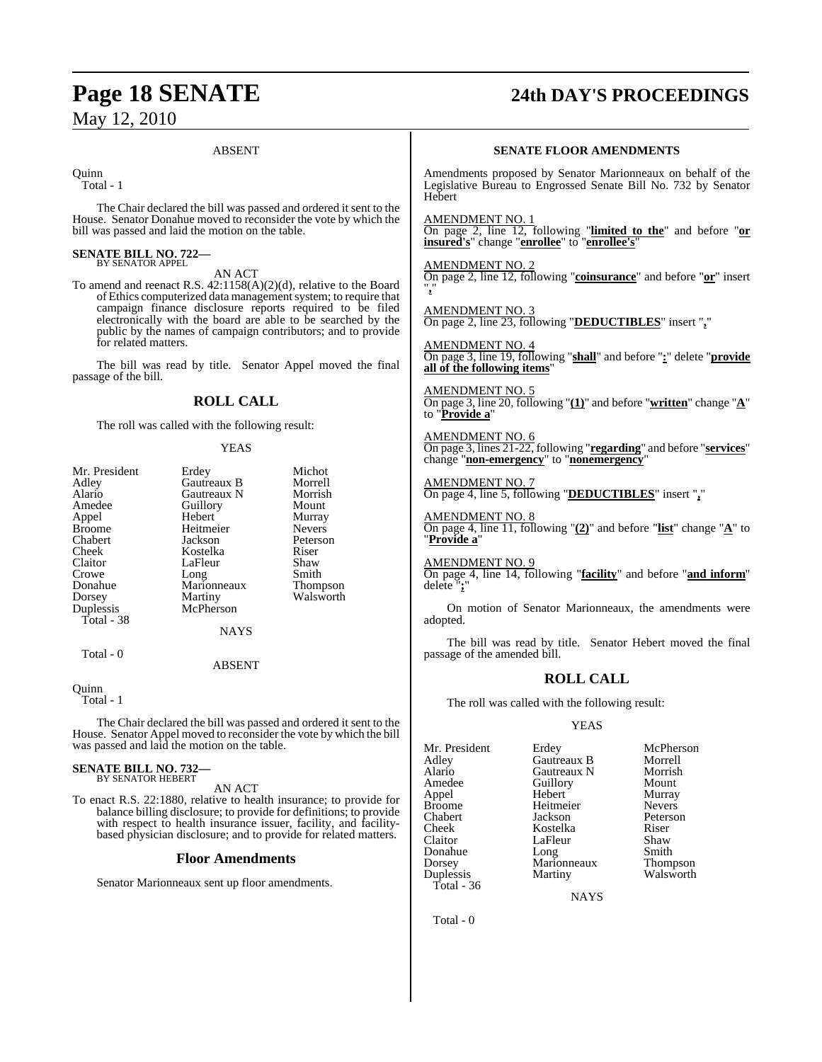# **Page 18 SENATE 24th DAY'S PROCEEDINGS**

## May 12, 2010

### ABSENT

**Ouinn** 

Total - 1

The Chair declared the bill was passed and ordered it sent to the House. Senator Donahue moved to reconsider the vote by which the bill was passed and laid the motion on the table.

#### **SENATE BILL NO. 722—** BY SENATOR APPEL

AN ACT

To amend and reenact R.S. 42:1158(A)(2)(d), relative to the Board of Ethics computerized data management system; to require that campaign finance disclosure reports required to be filed electronically with the board are able to be searched by the public by the names of campaign contributors; and to provide for related matters.

The bill was read by title. Senator Appel moved the final passage of the bill.

### **ROLL CALL**

The roll was called with the following result:

### YEAS

| Mr. President | Erdey       | Michot          |  |
|---------------|-------------|-----------------|--|
| Adley         | Gautreaux B | Morrell         |  |
| Alario        | Gautreaux N | Morrish         |  |
| Amedee        | Guillory    | Mount           |  |
| Appel         | Hebert      | Murray          |  |
| <b>Broome</b> | Heitmeier   | <b>Nevers</b>   |  |
| Chabert       | Jackson     | Peterson        |  |
| Cheek         | Kostelka    | Riser           |  |
| Claitor       | LaFleur     | Shaw            |  |
| Crowe         | Long        | Smith           |  |
| Donahue       | Marionneaux | <b>Thompson</b> |  |
| Dorsey        | Martiny     | Walsworth       |  |
| Duplessis     | McPherson   |                 |  |
| Total - 38    |             |                 |  |
|               | <b>NAYS</b> |                 |  |
| Total - 0     |             |                 |  |
|               | ABSENT      |                 |  |

Quinn Total - 1

The Chair declared the bill was passed and ordered it sent to the House. Senator Appel moved to reconsider the vote by which the bill was passed and laid the motion on the table.

### **SENATE BILL NO. 732—** BY SENATOR HEBERT

AN ACT

To enact R.S. 22:1880, relative to health insurance; to provide for balance billing disclosure; to provide for definitions; to provide with respect to health insurance issuer, facility, and facilitybased physician disclosure; and to provide for related matters.

### **Floor Amendments**

Senator Marionneaux sent up floor amendments.

### **SENATE FLOOR AMENDMENTS**

Amendments proposed by Senator Marionneaux on behalf of the Legislative Bureau to Engrossed Senate Bill No. 732 by Senator Hebert

AMENDMENT NO. 1

On page 2, line 12, following "**limited to the**" and before "**or insured's**" change "**enrollee**" to "**enrollee's**"

#### AMENDMENT NO. 2

On page 2, line 12, following "**coinsurance**" and before "**or**" insert "**,**"

AMENDMENT NO. 3 On page 2, line 23, following "**DEDUCTIBLES**" insert "**,**"

### AMENDMENT NO. 4

On page 3, line 19, following "**shall**" and before "**:**" delete "**provide all of the following items**"

AMENDMENT NO. 5 On page 3, line 20, following "**(1)**" and before "**written**" change "**A**" to "**Provide a**"

AMENDMENT NO. 6 On page 3, lines 21-22, following "**regarding**" and before "**services**" change "**non-emergency**" to "**nonemergency**"

AMENDMENT NO. 7 On page 4, line 5, following "**DEDUCTIBLES**" insert "**,**"

#### AMENDMENT NO. 8

On page 4, line 11, following " $(2)$ " and before "**list**" change " $\mathbf{A}$ " to "**Provide a**"

AMENDMENT NO. 9

On page 4, line 14, following "**facility**" and before "**and inform**" delete "**;**"

On motion of Senator Marionneaux, the amendments were adopted.

The bill was read by title. Senator Hebert moved the final passage of the amended bill.

### **ROLL CALL**

The roll was called with the following result:

### YEAS

| Mr. President<br>Adley<br>Alario<br>Amedee<br>Appel<br>Broome<br>Chabert<br>Cheek<br>Claitor<br>Donahue | Erdey<br>Gautreaux B<br>Gautreaux N<br>Guillory<br>Hebert<br>Heitmeier<br>Jackson<br>Kostelka<br>LaFleur<br>Long | McPherson<br>Morrell<br>Morrish<br>Mount<br>Murray<br><b>Nevers</b><br>Peterson<br>Riser<br>Shaw<br>Smith |
|---------------------------------------------------------------------------------------------------------|------------------------------------------------------------------------------------------------------------------|-----------------------------------------------------------------------------------------------------------|
|                                                                                                         |                                                                                                                  |                                                                                                           |
| Dorsey                                                                                                  | Marionneaux                                                                                                      | Thompson                                                                                                  |
| Duplessis                                                                                               | Martiny                                                                                                          | Walsworth                                                                                                 |
| Total - 36                                                                                              |                                                                                                                  |                                                                                                           |

**NAYS** 

Total - 0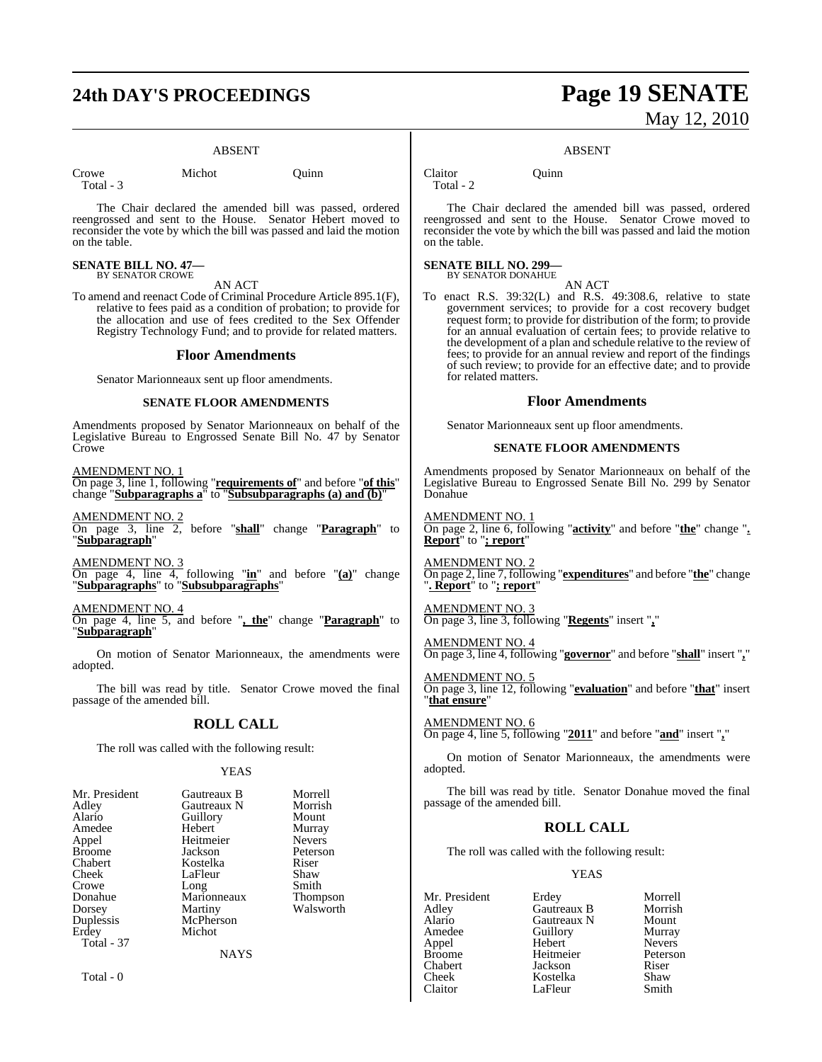## **24th DAY'S PROCEEDINGS Page 19 SENATE**

### ABSENT

Total - 3

Crowe Michot Quinn

The Chair declared the amended bill was passed, ordered reengrossed and sent to the House. Senator Hebert moved to reconsider the vote by which the bill was passed and laid the motion on the table.

**SENATE BILL NO. 47—** BY SENATOR CROWE

AN ACT

To amend and reenact Code of Criminal Procedure Article 895.1(F), relative to fees paid as a condition of probation; to provide for the allocation and use of fees credited to the Sex Offender Registry Technology Fund; and to provide for related matters.

### **Floor Amendments**

Senator Marionneaux sent up floor amendments.

#### **SENATE FLOOR AMENDMENTS**

Amendments proposed by Senator Marionneaux on behalf of the Legislative Bureau to Engrossed Senate Bill No. 47 by Senator **Crowe** 

AMENDMENT NO. 1 On page 3, line 1, following "**requirements of**" and before "**of this**" change "**Subparagraphs a**" to "**Subsubparagraphs (a) and (b)**"

AMENDMENT NO. 2 On page 3, line 2, before "**shall**" change "**Paragraph**" to "**Subparagraph**"

AMENDMENT NO. 3 On page 4, line 4, following "**in**" and before "**(a)**" change "**Subparagraphs**" to "**Subsubparagraphs**"

AMENDMENT NO. 4

On page 4, line 5, and before "**, the**" change "**Paragraph**" to "**Subparagraph**"

On motion of Senator Marionneaux, the amendments were adopted.

The bill was read by title. Senator Crowe moved the final passage of the amended bill.

### **ROLL CALL**

The roll was called with the following result:

YEAS

| Mr. President | Gautreaux B | Morrell       |
|---------------|-------------|---------------|
| Adley         | Gautreaux N | Morrish       |
| Alario        | Guillory    | Mount         |
| Amedee        | Hebert      | Murray        |
| Appel         | Heitmeier   | <b>Nevers</b> |
| Broome        | Jackson     | Peterson      |
| Chabert       | Kostelka    | Riser         |
| Cheek         | LaFleur     | Shaw          |
| Crowe         | Long        | Smith         |
| Donahue       | Marionneaux | Thompson      |
| Dorsey        | Martiny     | Walsworth     |
| Duplessis     | McPherson   |               |
| Erdey         | Michot      |               |
| Total - 37    |             |               |
|               | <b>NAYS</b> |               |
|               |             |               |

Total - 0

# May 12, 2010

#### ABSENT

Claitor Quinn

Total - 2

The Chair declared the amended bill was passed, ordered reengrossed and sent to the House. Senator Crowe moved to reconsider the vote by which the bill was passed and laid the motion on the table.

### **SENATE BILL NO. 299—**

BY SENATOR DONAHUE

AN ACT To enact R.S. 39:32(L) and R.S. 49:308.6, relative to state government services; to provide for a cost recovery budget request form; to provide for distribution of the form; to provide for an annual evaluation of certain fees; to provide relative to the development of a plan and schedule relative to the review of fees; to provide for an annual review and report of the findings of such review; to provide for an effective date; and to provide for related matters.

### **Floor Amendments**

Senator Marionneaux sent up floor amendments.

### **SENATE FLOOR AMENDMENTS**

Amendments proposed by Senator Marionneaux on behalf of the Legislative Bureau to Engrossed Senate Bill No. 299 by Senator Donahue

AMENDMENT NO. 1 On page 2, line 6, following "**activity**" and before "**the**" change "**. Report**" to "**; report**"

### AMENDMENT NO. 2

On page 2, line 7, following "**expenditures**" and before "**the**" change "**. Report**" to "**; report**"

### AMENDMENT NO. 3 On page 3, line 3, following "**Regents**" insert "**,**"

AMENDMENT NO. 4 On page 3, line 4, following "**governor**" and before "**shall**" insert "**,**"

AMENDMENT NO. 5

On page 3, line 12, following "**evaluation**" and before "**that**" insert "**that ensure**"

AMENDMENT NO. 6 On page 4, line 5, following "**2011**" and before "**and**" insert "**,**"

On motion of Senator Marionneaux, the amendments were adopted.

The bill was read by title. Senator Donahue moved the final passage of the amended bill.

### **ROLL CALL**

The roll was called with the following result:

LaFleur

### YEAS

Adley Gautreaux B Morrish Alario Gautreaux N Mount Appel Hebert Nevers Chabert Jackson Riser

Mr. President Erdey Morrell<br>Adley Gautreaux B Morrish Amedeu<br>
Amedeu<br>
Amedeu<br>
Amedeu<br>
Nevers Heitmeier Peters<br>
Jackson Riser Cheek Kostelka Shaw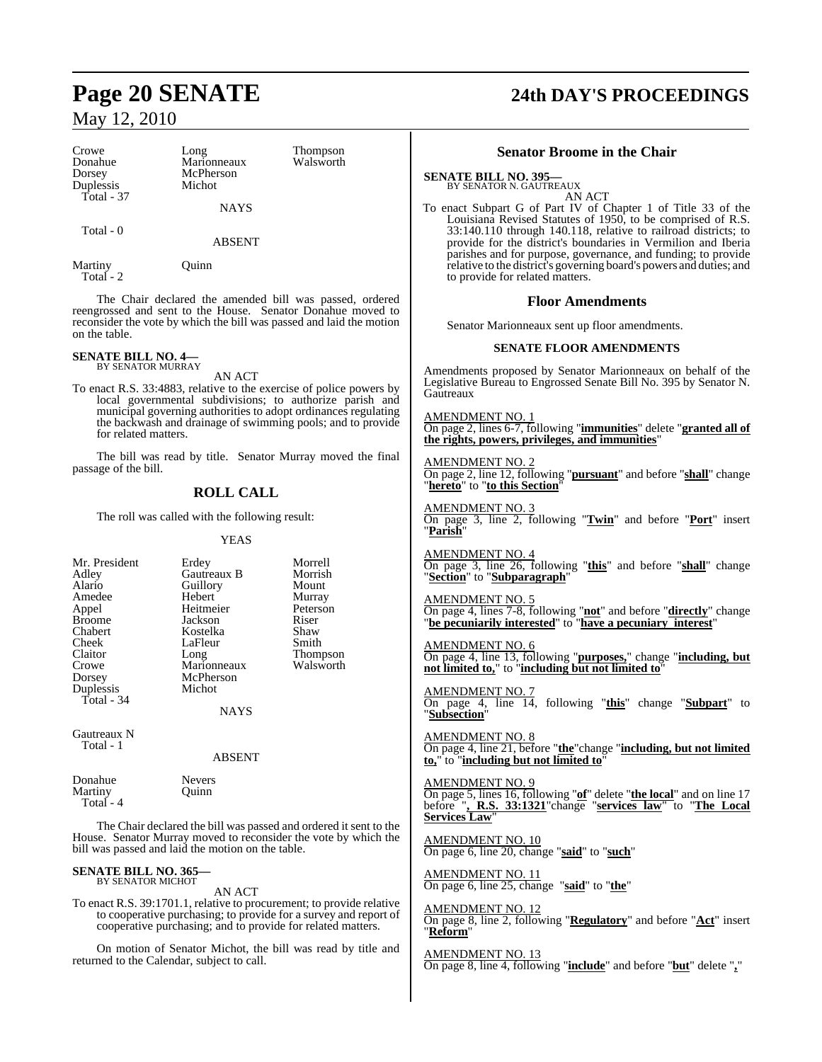| Crowe<br>Donahue                                                                                                                                                                          | Long<br>Marionneaux                         | Thompson<br>Walsworth                                                                                                                                                                     | <b>Senator Broome in the O</b>                                                                                                                                                                                                                                                                                                |
|-------------------------------------------------------------------------------------------------------------------------------------------------------------------------------------------|---------------------------------------------|-------------------------------------------------------------------------------------------------------------------------------------------------------------------------------------------|-------------------------------------------------------------------------------------------------------------------------------------------------------------------------------------------------------------------------------------------------------------------------------------------------------------------------------|
| Dorsey<br>Duplessis<br>Total - $37$                                                                                                                                                       | McPherson<br>Michot                         |                                                                                                                                                                                           | <b>SENATE BILL NO. 395-</b><br>BY SENATOR N. GAUTREAUX                                                                                                                                                                                                                                                                        |
| Total - 0<br>Martiny<br>Total - 2                                                                                                                                                         | <b>NAYS</b><br>ABSENT<br>Quinn              |                                                                                                                                                                                           | <b>AN ACT</b><br>To enact Subpart G of Part IV of Chapter<br>Louisiana Revised Statutes of 1950, to 1<br>33:140.110 through 140.118, relative to<br>provide for the district's boundaries in<br>parishes and for purpose, governance, an<br>relative to the district's governing board's p<br>to provide for related matters. |
|                                                                                                                                                                                           |                                             | The Chair declared the amended bill was passed, ordered                                                                                                                                   | <b>Floor Amendments</b>                                                                                                                                                                                                                                                                                                       |
| on the table.                                                                                                                                                                             |                                             | reengrossed and sent to the House. Senator Donahue moved to<br>reconsider the vote by which the bill was passed and laid the motion                                                       | Senator Marionneaux sent up floor amen-                                                                                                                                                                                                                                                                                       |
| <b>SENATE BILL NO. 4-</b>                                                                                                                                                                 |                                             |                                                                                                                                                                                           | <b>SENATE FLOOR AMENDM</b>                                                                                                                                                                                                                                                                                                    |
| <b>BY SENATOR MURRAY</b>                                                                                                                                                                  | AN ACT                                      | To enact R.S. 33:4883, relative to the exercise of police powers by                                                                                                                       | Amendments proposed by Senator Marionne<br>Legislative Bureau to Engrossed Senate Bill N<br>Gautreaux                                                                                                                                                                                                                         |
| for related matters.                                                                                                                                                                      |                                             | local governmental subdivisions; to authorize parish and<br>municipal governing authorities to adopt ordinances regulating<br>the backwash and drainage of swimming pools; and to provide | <b>AMENDMENT NO. 1</b><br>On page 2, lines 6-7, following " <i>immunities</i> "<br>the rights, powers, privileges, and immuniti                                                                                                                                                                                               |
| passage of the bill.                                                                                                                                                                      |                                             | The bill was read by title. Senator Murray moved the final                                                                                                                                | <b>AMENDMENT NO. 2</b><br>On page 2, line 12, following " <b>pursuant</b> " and<br>"hereto" to "to this Section'                                                                                                                                                                                                              |
| <b>ROLL CALL</b><br>The roll was called with the following result:                                                                                                                        |                                             | <b>AMENDMENT NO. 3</b><br>On page 3, line 2, following " $Twin$ " and                                                                                                                     |                                                                                                                                                                                                                                                                                                                               |
|                                                                                                                                                                                           | <b>YEAS</b>                                 |                                                                                                                                                                                           | "Parish"                                                                                                                                                                                                                                                                                                                      |
| Mr. President<br>Adley<br>Alario                                                                                                                                                          | Erdey<br>Gautreaux B<br>Guillory            | Morrell<br>Morrish<br>Mount                                                                                                                                                               | AMENDMENT NO. 4<br>On page 3, line 26, following "this" and b<br>"Section" to "Subparagraph"                                                                                                                                                                                                                                  |
| Amedee<br>Appel<br><b>Broome</b><br>Chabert                                                                                                                                               | Hebert<br>Heitmeier<br>Jackson<br>Kostelka  | Murray<br>Peterson<br>Riser<br>Shaw                                                                                                                                                       | <b>AMENDMENT NO. 5</b><br>On page 4, lines 7-8, following "not" and before<br>"be pecuniarily interested" to "have a pecun                                                                                                                                                                                                    |
| Cheek<br>Claitor<br>Crowe<br>Dorsey                                                                                                                                                       | LaFleur<br>Long<br>Marionneaux<br>McPherson | Smith<br>Thompson<br>Walsworth                                                                                                                                                            | <b>AMENDMENT NO. 6</b><br>On page 4, line 13, following " <b>purposes</b> ," ch<br>not limited to," to "including but not limited                                                                                                                                                                                             |
| Duplessis<br>Total - 34                                                                                                                                                                   | Michot<br><b>NAYS</b>                       |                                                                                                                                                                                           | <b>AMENDMENT NO. 7</b><br>On page 4, line 14, following "this" cl<br>"Subsection"                                                                                                                                                                                                                                             |
| Gautreaux N<br>Total - 1                                                                                                                                                                  | ABSENT                                      |                                                                                                                                                                                           | <b>AMENDMENT NO. 8</b><br>On page 4, line 21, before "the "change "inclu<br>to," to "including but not limited to"                                                                                                                                                                                                            |
| Donahue<br>Martiny<br>Total - 4                                                                                                                                                           | <b>Nevers</b><br>Quinn                      |                                                                                                                                                                                           | <b>AMENDMENT NO. 9</b><br>On page 5, lines 16, following "of" delete "the<br>before ", R.S. 33:1321 change "services I<br>Services Law"                                                                                                                                                                                       |
| The Chair declared the bill was passed and ordered it sent to the<br>House. Senator Murray moved to reconsider the vote by which the<br>bill was passed and laid the motion on the table. |                                             | <b>AMENDMENT NO. 10</b><br>On page 6, line 20, change "said" to "such"                                                                                                                    |                                                                                                                                                                                                                                                                                                                               |
| <b>SENATE BILL NO. 365-</b><br><b>BY SENATOR MICHOT</b>                                                                                                                                   | AN ACT                                      |                                                                                                                                                                                           | <b>AMENDMENT NO. 11</b><br>On page 6, line 25, change "said" to "the"                                                                                                                                                                                                                                                         |
|                                                                                                                                                                                           |                                             | To enact R.S. 39:1701.1, relative to procurement; to provide relative                                                                                                                     | A MENIDMENT NO 12                                                                                                                                                                                                                                                                                                             |

 $\mathbf l$ 

to cooperative purchasing; to provide for a survey and report of cooperative purchasing; and to provide for related matters.

On motion of Senator Michot, the bill was read by title and returned to the Calendar, subject to call.

# **Page 20 SENATE 24th DAY'S PROCEEDINGS**

### **Senator Broome in the Chair**

r 1 of Title 33 of the be comprised of R.S. <sup>13</sup>:13:140.110 to railroad districts; to Vermilion and Iberia and funding; to provide powers and duties; and

endments.

### **MENTS**

eaux on behalf of the No. 395 by Senator N.

On page 2, lines 6-7, following "**immunities**" delete "**granted all of the rights, powers, privileges, and immunities**"

d before "**shall**" change

d before "**Port**" insert

before "shall" change

fore "**directly**" change **b** *interest*"

change "<mark>including, but</mark><br>ed to" **not limited to,**" to "**including but not limited to**"

change "**Subpart**" to

On page 4, line 21, before "**the**"change "**including, but not limited**

On page 5, lines 16, following "**of**" delete "**the local**" and on line 17 before "**, R.S. 33:1321**"change "**services law**" to "**The Local**

AMENDMENT NO. 12 On page 8, line 2, following "**Regulatory**" and before "**Act**" insert "**Reform**"

AMENDMENT NO. 13 On page 8, line 4, following "**include**" and before "**but**" delete "**,**"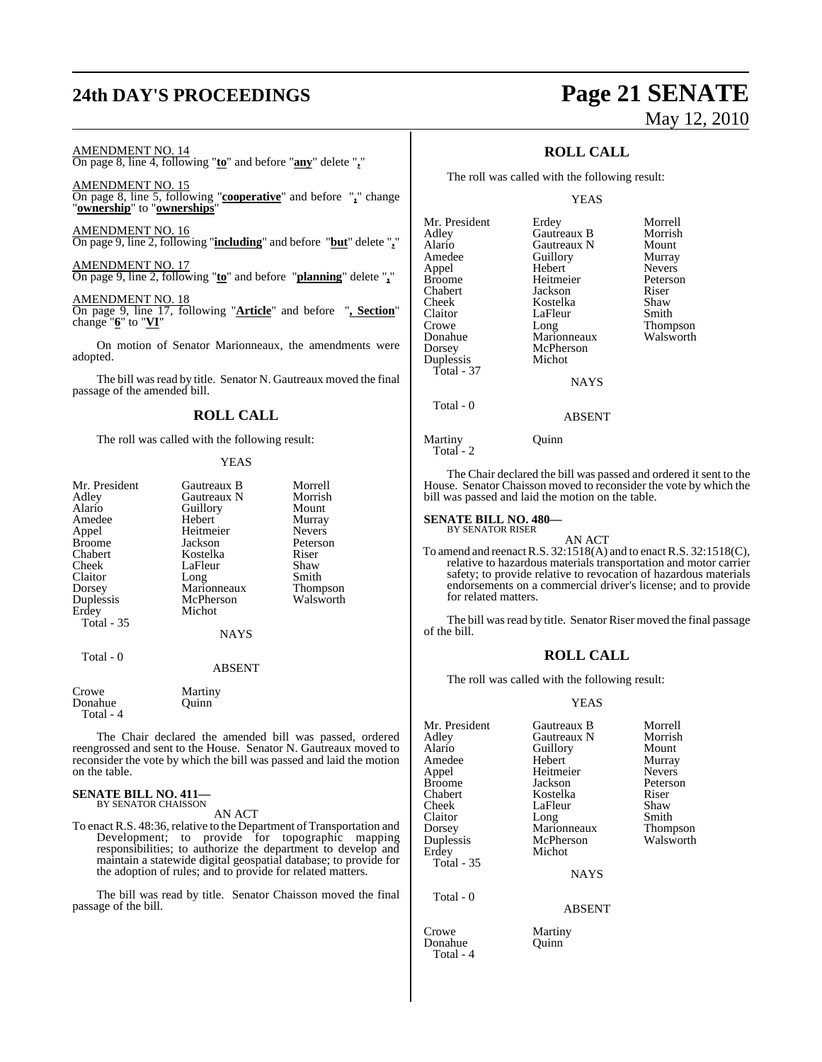### **24th DAY'S PROCEEDINGS Page 21 SENATE**

On page 8, line 4, following "**to**" and before "**any**" delete "**,**"

On page 8, line 5, following "**cooperative**" and before "**,**" change

On page 9, line 2, following "**including**" and before "**but**" delete "**,**"

On page 9, line 2, following "**to**" and before "**planning**" delete "**,**"

On page 9, line 17, following "**Article**" and before "**, Section**"

On motion of Senator Marionneaux, the amendments were

The bill was read by title. Senator N. Gautreaux moved the final

AMENDMENT NO. 14

AMENDMENT NO. 15

AMENDMENT NO. 17

AMENDMENT NO. 18

passage of the amended bill.

change "**6**" to "**VI**"

adopted.

"**ownership**" to "**ownerships**" AMENDMENT NO. 16

# May 12, 2010

**ROLL CALL**

The roll was called with the following result:

YEAS

| Mr. President | Erdey       | Morrell         |
|---------------|-------------|-----------------|
| Adley         | Gautreaux B | Morrish         |
| Alario        | Gautreaux N | Mount           |
| Amedee        | Guillory    | Murray          |
| Appel         | Hebert      | <b>Nevers</b>   |
| Broome        | Heitmeier   | Peterson        |
| Chabert       | Jackson     | Riser           |
| Cheek         | Kostelka    | Shaw            |
| Claitor       | LaFleur     | Smith           |
| Crowe         | Long        | <b>Thompson</b> |
| Donahue       | Marionneaux | Walsworth       |
| Dorsey        | McPherson   |                 |
| Duplessis     | Michot      |                 |
| Total - 37    |             |                 |
|               | <b>NAYS</b> |                 |
| Total - 0     |             |                 |

Martiny Quinn Total - 2

The Chair declared the bill was passed and ordered it sent to the House. Senator Chaisson moved to reconsider the vote by which the bill was passed and laid the motion on the table.

ABSENT

#### **SENATE BILL NO. 480—** BY SENATOR RISER

AN ACT To amend and reenact R.S. 32:1518(A) and to enact R.S. 32:1518(C), relative to hazardous materials transportation and motor carrier safety; to provide relative to revocation of hazardous materials endorsements on a commercial driver's license; and to provide for related matters.

The bill was read by title. Senator Riser moved the final passage of the bill.

### **ROLL CALL**

The roll was called with the following result:

### YEAS

| Mr. President | Gautreaux B | Morrell         |
|---------------|-------------|-----------------|
| Adley         | Gautreaux N | Morrish         |
| Alario        | Guillory    | Mount           |
| Amedee        | Hebert      | Murray          |
| Appel         | Heitmeier   | <b>Nevers</b>   |
| <b>Broome</b> | Jackson     | Peterson        |
| Chabert       | Kostelka    | Riser           |
| Cheek         | LaFleur     | Shaw            |
| Claitor       | Long        | Smith           |
| Dorsey        | Marionneaux | <b>Thompson</b> |
| Duplessis     | McPherson   | Walsworth       |
| Erdey         | Michot      |                 |
| Total - 35    |             |                 |
|               | NAYS        |                 |

NAYS

ABSENT

Crowe Martiny<br>
Donahue Quinn

Donahue Total - 4

Total - 0

The roll was called with the following result:

### **YEAS**

**ROLL CALL**

| Mr. President<br>Adley<br>Alario<br>Amedee<br>Appel<br><b>Broome</b><br>Chabert<br>Cheek<br>Claitor<br>Dorsey | Gautreaux B<br>Gautreaux N<br>Guillory<br>Hebert<br>Heitmeier<br>Jackson<br>Kostelka<br>LaFleur<br>Long<br>Marionneaux | Morrell<br>Morrish<br>Mount<br>Murray<br><b>Nevers</b><br>Peterson<br>Riser<br>Shaw<br>Smith<br><b>Thompson</b> |
|---------------------------------------------------------------------------------------------------------------|------------------------------------------------------------------------------------------------------------------------|-----------------------------------------------------------------------------------------------------------------|
| Duplessis<br>Erdey                                                                                            | McPherson<br>Michot                                                                                                    | Walsworth                                                                                                       |
| <b>Total - 35</b>                                                                                             | <b>NAYS</b>                                                                                                            |                                                                                                                 |
| Total - 0                                                                                                     | <b>ABSENT</b>                                                                                                          |                                                                                                                 |

Crowe Martiny<br>Donahue Quinn Donahue Total - 4

The Chair declared the amended bill was passed, ordered reengrossed and sent to the House. Senator N. Gautreaux moved to reconsider the vote by which the bill was passed and laid the motion on the table.

### **SENATE BILL NO. 411—** BY SENATOR CHAISSON

AN ACT

To enact R.S. 48:36, relative to the Department of Transportation and Development; to provide for topographic mapping responsibilities; to authorize the department to develop and maintain a statewide digital geospatial database; to provide for the adoption of rules; and to provide for related matters.

The bill was read by title. Senator Chaisson moved the final passage of the bill.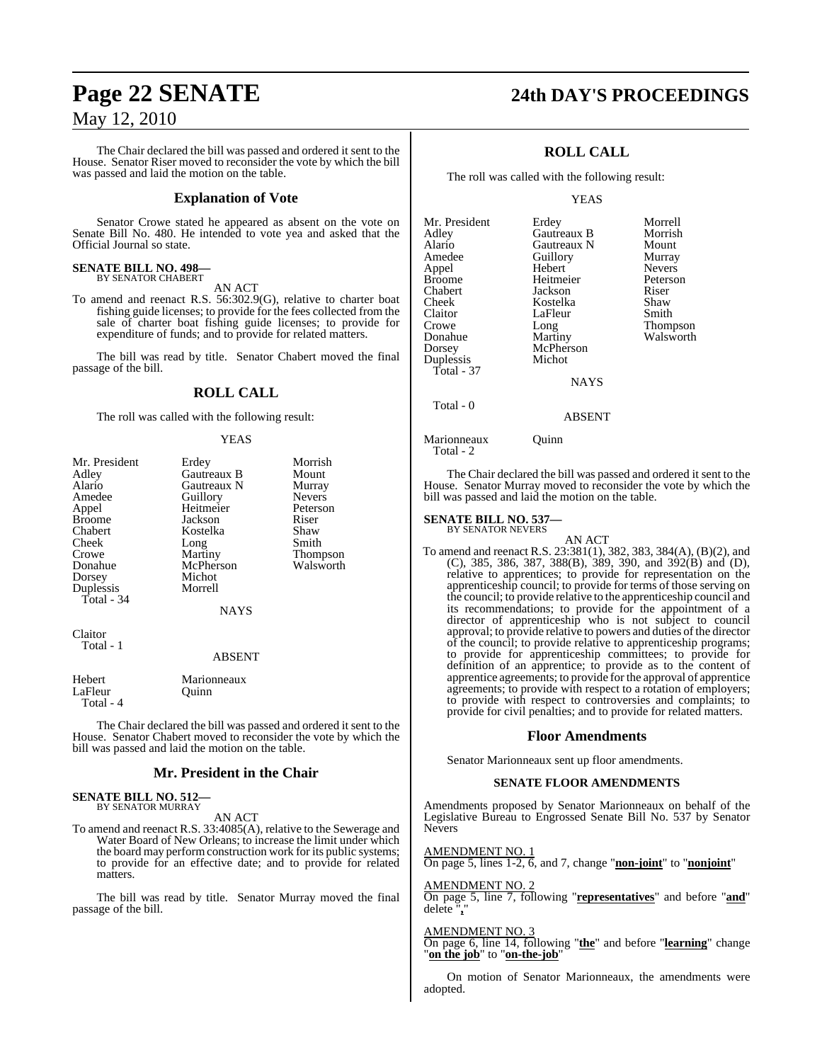The Chair declared the bill was passed and ordered it sent to the House. Senator Riser moved to reconsider the vote by which the bill was passed and laid the motion on the table.

### **Explanation of Vote**

Senator Crowe stated he appeared as absent on the vote on Senate Bill No. 480. He intended to vote yea and asked that the Official Journal so state.

#### **SENATE BILL NO. 498—** BY SENATOR CHABERT

AN ACT

To amend and reenact R.S. 56:302.9(G), relative to charter boat fishing guide licenses; to provide for the fees collected from the sale of charter boat fishing guide licenses; to provide for expenditure of funds; and to provide for related matters.

The bill was read by title. Senator Chabert moved the final passage of the bill.

### **ROLL CALL**

The roll was called with the following result:

### YEAS

| Mr. President | Erdey         | Morrish       |
|---------------|---------------|---------------|
| Adley         | Gautreaux B   | Mount         |
| Alario        | Gautreaux N   | Murray        |
| Amedee        | Guillory      | <b>Nevers</b> |
| Appel         | Heitmeier     | Peterson      |
| <b>Broome</b> | Jackson       | Riser         |
| Chabert       | Kostelka      | Shaw          |
| Cheek         | Long          | Smith         |
| Crowe         | Martiny       | Thompson      |
| Donahue       | McPherson     | Walsworth     |
| Dorsey        | Michot        |               |
| Duplessis     | Morrell       |               |
| Total - 34    |               |               |
|               | <b>NAYS</b>   |               |
| Claitor       |               |               |
| Total - 1     | <b>ABSENT</b> |               |
|               |               |               |
| Hebert        | Marionneaux   |               |
| LaFleur       | Ouinn         |               |

The Chair declared the bill was passed and ordered it sent to the House. Senator Chabert moved to reconsider the vote by which the bill was passed and laid the motion on the table.

### **Mr. President in the Chair**

**SENATE BILL NO. 512—** BY SENATOR MURRAY

Total - 4

AN ACT

To amend and reenact R.S. 33:4085(A), relative to the Sewerage and Water Board of New Orleans; to increase the limit under which the board may perform construction work for its public systems; to provide for an effective date; and to provide for related matters.

The bill was read by title. Senator Murray moved the final passage of the bill.

### **Page 22 SENATE 24th DAY'S PROCEEDINGS**

### **ROLL CALL**

The roll was called with the following result:

YEAS

| Mr. President | Erdey       | Morrell         |
|---------------|-------------|-----------------|
| Adley         | Gautreaux B | Morrish         |
| Alario        | Gautreaux N | Mount           |
| Amedee        | Guillory    | Murray          |
| Appel         | Hebert      | <b>Nevers</b>   |
| Broome        | Heitmeier   | Peterson        |
| Chabert       | Jackson     | Riser           |
| Cheek         | Kostelka    | Shaw            |
| Claitor       | LaFleur     | Smith           |
| Crowe         | Long        | <b>Thompson</b> |
| Donahue       | Martiny     | Walsworth       |
| Dorsey        | McPherson   |                 |
| Duplessis     | Michot      |                 |
| Total - 37    |             |                 |
|               | <b>NAYS</b> |                 |
| Total - 0     |             |                 |

Marionneaux Quinn Total - 2

The Chair declared the bill was passed and ordered it sent to the House. Senator Murray moved to reconsider the vote by which the bill was passed and laid the motion on the table.

ABSENT

#### **SENATE BILL NO. 537—** BY SENATOR NEVERS

AN ACT To amend and reenact R.S. 23:381(1), 382, 383, 384(A), (B)(2), and (C), 385, 386, 387, 388(B), 389, 390, and 392(B) and (D), relative to apprentices; to provide for representation on the apprenticeship council; to provide for terms of those serving on the council; to provide relative to the apprenticeship council and its recommendations; to provide for the appointment of a director of apprenticeship who is not subject to council approval; to provide relative to powers and duties of the director of the council; to provide relative to apprenticeship programs; to provide for apprenticeship committees; to provide for definition of an apprentice; to provide as to the content of apprentice agreements; to provide for the approval of apprentice agreements; to provide with respect to a rotation of employers; to provide with respect to controversies and complaints; to provide for civil penalties; and to provide for related matters.

### **Floor Amendments**

Senator Marionneaux sent up floor amendments.

### **SENATE FLOOR AMENDMENTS**

Amendments proposed by Senator Marionneaux on behalf of the Legislative Bureau to Engrossed Senate Bill No. 537 by Senator Nevers

AMENDMENT NO. 1 On page 5, lines 1-2, 6, and 7, change "**non-joint**" to "**nonjoint**"

### AMENDMENT NO. 2

On page 5, line 7, following "**representatives**" and before "**and**" delete "**,**"

#### AMENDMENT NO. 3

On page 6, line 14, following "**the**" and before "**learning**" change "**on the job**" to "**on-the-job**"

On motion of Senator Marionneaux, the amendments were adopted.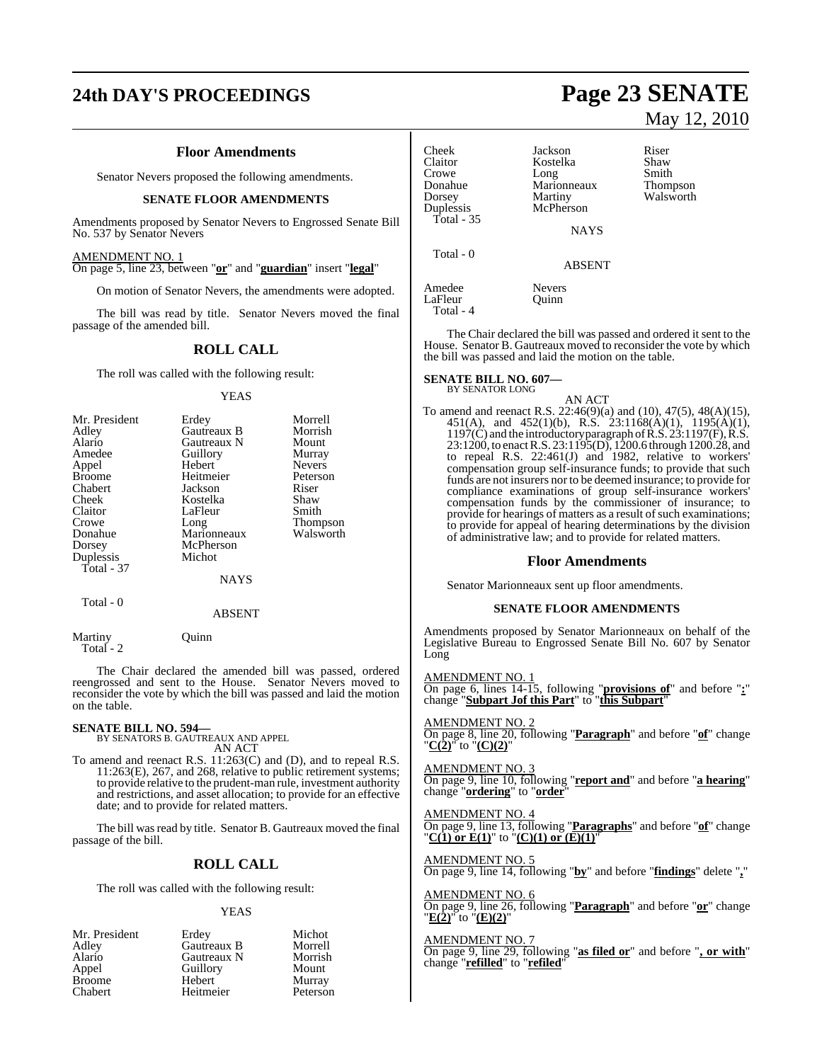### **24th DAY'S PROCEEDINGS Page 23 SENATE**

### **Floor Amendments**

Senator Nevers proposed the following amendments.

### **SENATE FLOOR AMENDMENTS**

Amendments proposed by Senator Nevers to Engrossed Senate Bill No. 537 by Senator Nevers

### AMENDMENT NO. 1

On page 5, line 23, between "**or**" and "**guardian**" insert "**legal**"

On motion of Senator Nevers, the amendments were adopted.

The bill was read by title. Senator Nevers moved the final passage of the amended bill.

### **ROLL CALL**

The roll was called with the following result:

#### YEAS

|             | Morrell           |
|-------------|-------------------|
| Gautreaux B | Morrish           |
| Gautreaux N | Mount             |
|             | Murray            |
| Hebert      | <b>Nevers</b>     |
| Heitmeier   | Peterson          |
| Jackson     | Riser             |
| Kostelka    | Shaw              |
| LaFleur     | Smith             |
| Long        | <b>Thompson</b>   |
| Marionneaux | Walsworth         |
| McPherson   |                   |
| Michot      |                   |
|             |                   |
| NAYS        |                   |
|             | Erdey<br>Guillory |

Total - 0

ABSENT

Martiny Quinn Total - 2

The Chair declared the amended bill was passed, ordered reengrossed and sent to the House. Senator Nevers moved to reconsider the vote by which the bill was passed and laid the motion on the table.

### **SENATE BILL NO. 594—** BY SENATORS B. GAUTREAUX AND APPEL AN ACT

To amend and reenact R.S. 11:263(C) and (D), and to repeal R.S. 11:263(E), 267, and 268, relative to public retirement systems; to provide relative to the prudent-man rule, investment authority and restrictions, and asset allocation; to provide for an effective date; and to provide for related matters.

The bill was read by title. Senator B. Gautreaux moved the final passage of the bill.

### **ROLL CALL**

The roll was called with the following result:

#### YEAS

| Mr. President | Erdey       | Michot   |
|---------------|-------------|----------|
| Adley         | Gautreaux B | Morrell  |
| Alario        | Gautreaux N | Morrish  |
| Appel         | Guillory    | Mount    |
| <b>Broome</b> | Hebert      | Murray   |
| Chabert       | Heitmeier   | Peterson |

# May 12, 2010

Smith Thompson Walsworth

| Cheek<br>Claitor<br>Crowe<br>Donahue<br>Dorsey | Jackson<br>Kostelka<br>Long<br>Marionneaux<br>Martiny | Riser<br>Shaw<br>Smith<br>Thom<br>Wals |
|------------------------------------------------|-------------------------------------------------------|----------------------------------------|
| Duplessis<br>Total - $35$                      | McPherson<br><b>NAYS</b>                              |                                        |
| Total - 0                                      | <b>ABSENT</b>                                         |                                        |
| Amedee<br>LaFleur<br>Total - 4                 | <b>Nevers</b><br>Ouinn                                |                                        |

The Chair declared the bill was passed and ordered it sent to the House. Senator B. Gautreaux moved to reconsider the vote by which the bill was passed and laid the motion on the table.

#### **SENATE BILL NO. 607—** BY SENATOR LONG

AN ACT

To amend and reenact R.S. 22:46(9)(a) and (10), 47(5), 48(A)(15), 451(A), and 452(1)(b), R.S. 23:1168(A)(1), 1195(A)(1), 1197(C) and the introductory paragraph of R.S. 23:1197(F), R.S. 23:1200, to enact R.S. 23:1195(D), 1200.6 through 1200.28, and to repeal R.S. 22:461(J) and 1982, relative to workers' compensation group self-insurance funds; to provide that such funds are not insurers nor to be deemed insurance; to provide for compliance examinations of group self-insurance workers' compensation funds by the commissioner of insurance; to provide for hearings of matters as a result of such examinations; to provide for appeal of hearing determinations by the division of administrative law; and to provide for related matters.

### **Floor Amendments**

Senator Marionneaux sent up floor amendments.

### **SENATE FLOOR AMENDMENTS**

Amendments proposed by Senator Marionneaux on behalf of the Legislative Bureau to Engrossed Senate Bill No. 607 by Senator Long

AMENDMENT NO. 1 On page 6, lines 14-15, following "**provisions of**" and before "**:**" change "**Subpart Jof this Part**" to "**this Subpart**"

AMENDMENT NO. 2 On page 8, line 20, following "**Paragraph**" and before "**of**" change "**C(2)**" to "**(C)(2)**"

AMENDMENT NO. 3 On page 9, line 10, following "**report and**" and before "**a hearing**" change "**ordering**" to "**order**"

AMENDMENT NO. 4 On page 9, line 13, following "**Paragraphs**" and before "**of**" change "**C(1) or E(1)**" to "**(C)(1) or (E)(1)**"

AMENDMENT NO. 5 On page 9, line 14, following "**by**" and before "**findings**" delete "**,**"

AMENDMENT NO. 6 On page 9, line 26, following "**Paragraph**" and before "**or**" change "**E(2)**" to "**(E)(2)**"

AMENDMENT NO. 7 On page 9, line 29, following "**as filed or**" and before "**, or with**" change "**refilled**" to "**refiled**"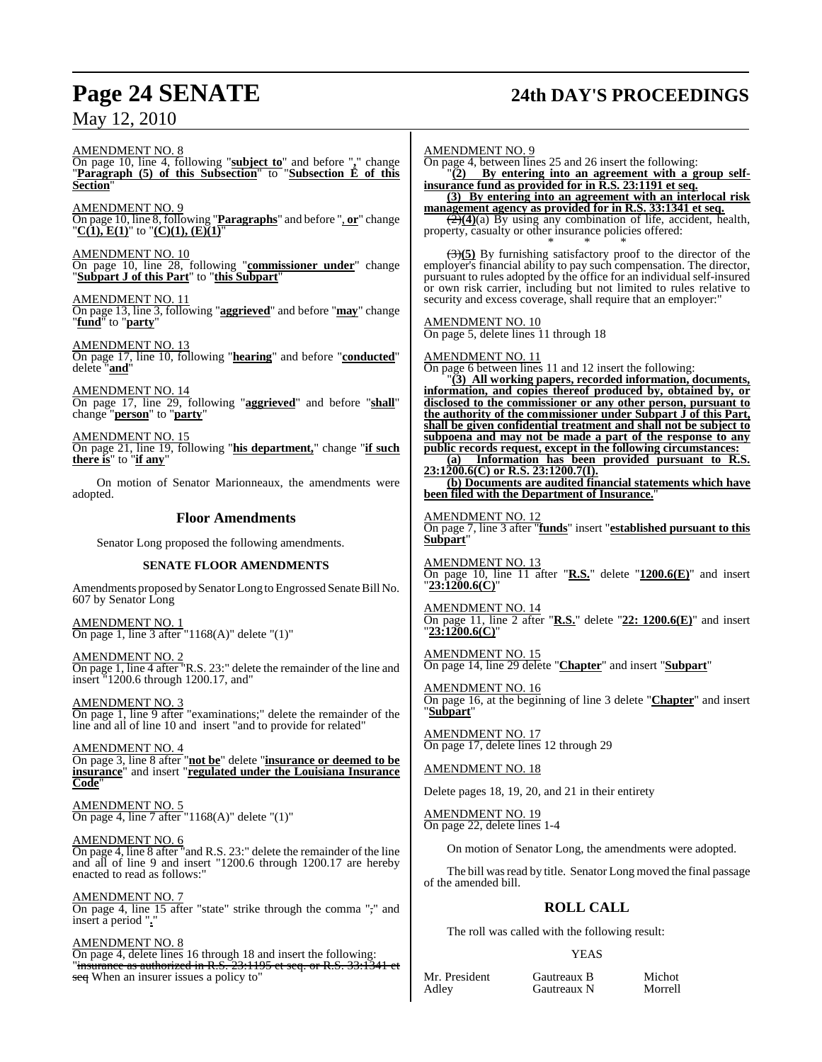## **Page 24 SENATE 24th DAY'S PROCEEDINGS**

AMENDMENT NO. 8 On page 10, line 4, following "**subject to**" and before "**,**" change "**Paragraph (5) of this Subsection**" to "**Subsection E of this Section**"

AMENDMENT NO. 9 On page 10, line 8, following "**Paragraphs**" and before ", **or**" change "**C(1), E(1)**" to "**(C)(1), (E)(1)**"

AMENDMENT NO. 10 On page 10, line 28, following "**commissioner under**" change "**Subpart J of this Part**" to "**this Subpart**"

AMENDMENT NO. 11 On page 13, line 3, following "**aggrieved**" and before "**may**" change "**fund**" to "**party**"

AMENDMENT NO. 13 On page 17, line 10, following "**hearing**" and before "**conducted**" delete "**and**"

AMENDMENT NO. 14 On page 17, line 29, following "**aggrieved**" and before "**shall**" change "**person**" to "**party**"

AMENDMENT NO. 15 On page 21, line 19, following "**his department,**" change "**if such there is**" to "**if any**"

On motion of Senator Marionneaux, the amendments were adopted.

### **Floor Amendments**

Senator Long proposed the following amendments.

### **SENATE FLOOR AMENDMENTS**

Amendments proposed by Senator Long to Engrossed Senate Bill No. 607 by Senator Long

AMENDMENT NO. 1 On page 1, line 3 after "1168(A)" delete "(1)"

AMENDMENT NO. 2 On page 1, line 4 after "R.S. 23:" delete the remainder of the line and insert "1200.6 through 1200.17, and"

AMENDMENT NO. 3 On page 1, line 9 after "examinations;" delete the remainder of the line and all of line 10 and insert "and to provide for related"

AMENDMENT NO. 4 On page 3, line 8 after "**not be**" delete "**insurance or deemed to be insurance**" and insert "**regulated under the Louisiana Insurance Code**"

AMENDMENT NO. 5 On page 4, line  $\overline{7}$  after "1168(A)" delete "(1)"

AMENDMENT NO. 6 On page 4, line 8 after "and R.S. 23:" delete the remainder of the line and all of line 9 and insert "1200.6 through 1200.17 are hereby enacted to read as follows:"

AMENDMENT NO. 7 On page 4, line 15 after "state" strike through the comma "," and insert a period ".

AMENDMENT NO. 8 On page 4, delete lines 16 through 18 and insert the following: "insurance as authorized in R.S. 23:1195 et seq. or R.S. 33:1341 et

seq When an insurer issues a policy to"

AMENDMENT NO. 9

On page 4, between lines 25 and 26 insert the following: "**(2) By entering into an agreement with a group self-**

**insurance fund as provided for in R.S. 23:1191 et seq. (3) By entering into an agreement with an interlocal risk**

**management agency as provided for in R.S. 33:1341 et seq.** (2)**(4)**(a) By using any combination of life, accident, health, property, casualty or other insurance policies offered:

\* \* \* (3)**(5)** By furnishing satisfactory proof to the director of the employer's financial ability to pay such compensation. The director, pursuant to rules adopted by the office for an individual self-insured or own risk carrier, including but not limited to rules relative to security and excess coverage, shall require that an employer:

### AMENDMENT NO. 10

On page 5, delete lines 11 through 18

AMENDMENT NO. 11

On page 6 between lines 11 and 12 insert the following:

"**(3) All working papers, recorded information, documents, information, and copies thereof produced by, obtained by, or disclosed to the commissioner or any other person, pursuant to the authority of the commissioner under Subpart J of this Part, shall be given confidential treatment and shall not be subject to subpoena and may not be made a part of the response to any public records request, except in the following circumstances:**

**(a) Information has been provided pursuant to R.S. 23:1200.6(C) or R.S. 23:1200.7(I).**

**(b) Documents are audited financial statements which have been filed with the Department of Insurance.**"

### AMENDMENT NO. 12

On page 7, line 3 after "**funds**" insert "**established pursuant to this Subpart**"

AMENDMENT NO. 13 On page 10, line 11 after "**R.S.**" delete "**1200.6(E)**" and insert "**23:1200.6(C)**"

AMENDMENT NO. 14 On page 11, line 2 after "**R.S.**" delete "**22: 1200.6(E)**" and insert "**23:1200.6(C)**"

AMENDMENT NO. 15 On page 14, line 29 delete "**Chapter**" and insert "**Subpart**"

AMENDMENT NO. 16 On page 16, at the beginning of line 3 delete "**Chapter**" and insert "**Subpart**"

AMENDMENT NO. 17 On page 17, delete lines 12 through 29

AMENDMENT NO. 18

Delete pages 18, 19, 20, and 21 in their entirety

AMENDMENT NO. 19 On page 22, delete lines 1-4

On motion of Senator Long, the amendments were adopted.

The bill was read by title. Senator Long moved the final passage of the amended bill.

### **ROLL CALL**

The roll was called with the following result:

### YEAS

Mr. President Gautreaux B Michot<br>Adley Gautreaux N Morrell

Gautreaux N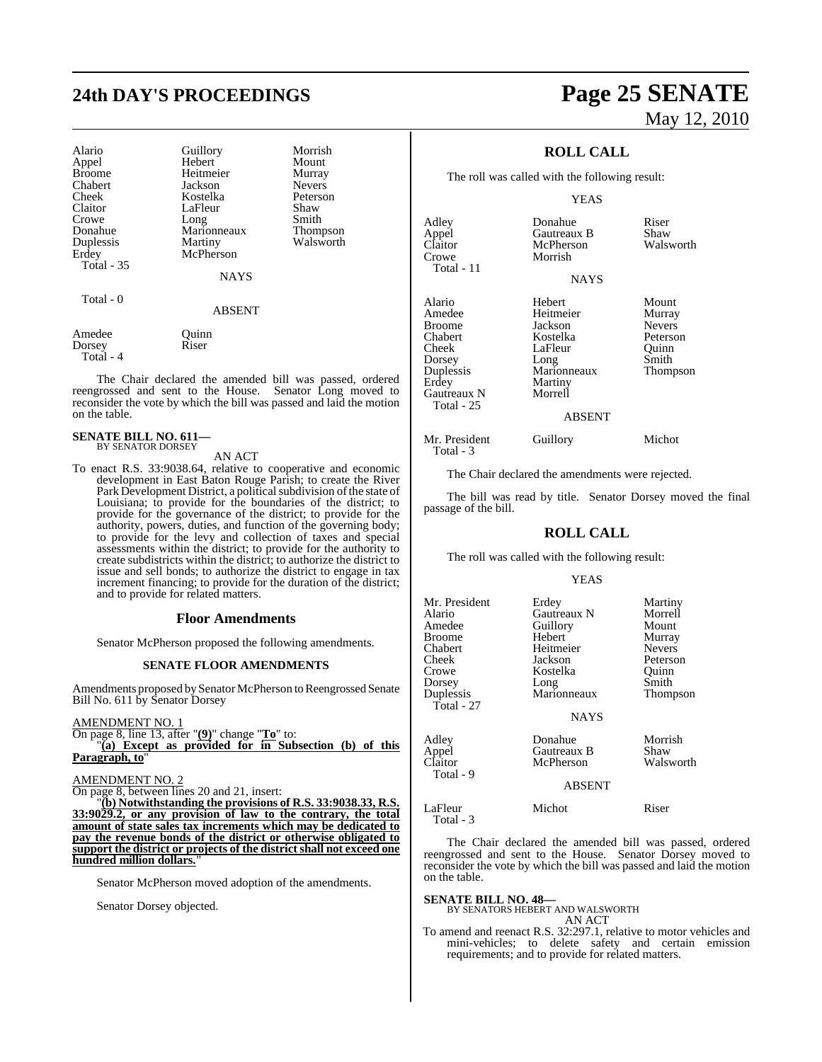## **24th DAY'S PROCEEDINGS Page 25 SENATE**

| Alario<br>Appel<br><b>Broome</b><br>Chabert<br>Cheek<br>Claitor<br>Crowe<br>Donahue<br>Duplessis<br>Erdey<br><b>Total - 35</b> | Guillory<br>Hebert<br>Heitmeier<br>Jackson<br>Kostelka<br>LaFleur<br>Long<br>Marionneaux<br>Martiny<br>McPherson<br><b>NAYS</b> | Morrish<br>Mount<br>Murray<br><b>Nevers</b><br>Peterson<br>Shaw<br>Smith<br>Thompson<br>Walsworth |
|--------------------------------------------------------------------------------------------------------------------------------|---------------------------------------------------------------------------------------------------------------------------------|---------------------------------------------------------------------------------------------------|
| Total - 0                                                                                                                      | <b>ABSENT</b>                                                                                                                   |                                                                                                   |
| Amedee<br>Dorsey                                                                                                               | Ouinn<br>Riser                                                                                                                  |                                                                                                   |

The Chair declared the amended bill was passed, ordered reengrossed and sent to the House. Senator Long moved to reconsider the vote by which the bill was passed and laid the motion on the table.

### **SENATE BILL NO. 611—** BY SENATOR DORSEY

Total - 4

AN ACT

To enact R.S. 33:9038.64, relative to cooperative and economic development in East Baton Rouge Parish; to create the River Park Development District, a political subdivision of the state of Louisiana; to provide for the boundaries of the district; to provide for the governance of the district; to provide for the authority, powers, duties, and function of the governing body; to provide for the levy and collection of taxes and special assessments within the district; to provide for the authority to create subdistricts within the district; to authorize the district to issue and sell bonds; to authorize the district to engage in tax increment financing; to provide for the duration of the district; and to provide for related matters.

### **Floor Amendments**

Senator McPherson proposed the following amendments.

### **SENATE FLOOR AMENDMENTS**

Amendments proposed by Senator McPherson to Reengrossed Senate Bill No. 611 by Senator Dorsey

### AMENDMENT NO. 1

On page 8, line 13, after "**(9)**" change "**To**" to: "**(a) Except as provided for in Subsection (b) of this**

Paragraph, to

### AMENDMENT NO. 2

On page 8, between lines 20 and 21, insert:

"**(b) Notwithstanding the provisions of R.S. 33:9038.33, R.S. 33:9029.2, or any provision of law to the contrary, the total amount of state sales tax increments which may be dedicated to pay the revenue bonds of the district or otherwise obligated to support the district or projects of the district shall not exceed one hundred million dollars.**"

Senator McPherson moved adoption of the amendments.

Senator Dorsey objected.

# May 12, 2010

### **ROLL CALL**

The roll was called with the following result:

#### YEAS

| Adley<br>Appel<br>Claitor | Donahue<br>Gautreaux B<br>McPherson | Riser<br>Shaw<br>Walsworth |
|---------------------------|-------------------------------------|----------------------------|
| Crowe<br>Total - $11$     | Morrish                             |                            |
|                           | <b>NAYS</b>                         |                            |
| Alario                    | Hebert                              | $M_{\rm C}$ unt            |

Total - 3

Alario Hebert Mount Amedee Heitmeier Murray<br>Broome Jackson Nevers Broome Jackson Nevers<br>
Chabert Kostelka Peterson Chabert Kostelka<br>Cheek LaFleur Dorsey Long Smith<br>
Duplessis Marionneaux Thompson Duplessis Marionneaux<br>Erdey Martiny Gautreaux N Total - 25

LaFleur Quinn<br>Long Smith Martiny<br>Morrell

#### ABSENT

Mr. President Guillory Michot

The Chair declared the amendments were rejected.

The bill was read by title. Senator Dorsey moved the final passage of the bill.

### **ROLL CALL**

The roll was called with the following result:

#### YEAS

| Mr. President<br>Alario<br>Amedee<br>Broome<br>Chabert<br>Cheek<br>Crowe<br>Dorsey<br>Duplessis<br>Total - 27 | Erdey<br>Gautreaux N<br>Guillory<br>Hebert<br>Heitmeier<br>Jackson<br>Kostelka<br>Long<br>Marionneaux<br><b>NAYS</b> | Martiny<br>Morrell<br>Mount<br>Murray<br><b>Nevers</b><br>Peterson<br>Quinn<br>Smith<br>Thompson |
|---------------------------------------------------------------------------------------------------------------|----------------------------------------------------------------------------------------------------------------------|--------------------------------------------------------------------------------------------------|
| Adley<br>Appel<br>Claitor<br>Total - 9                                                                        | Donahue<br>Gautreaux B<br>McPherson<br><b>ABSENT</b>                                                                 | Morrish<br>Shaw<br>Walsworth                                                                     |
| LaFleur<br>Total - 3                                                                                          | Michot                                                                                                               | Riser                                                                                            |

The Chair declared the amended bill was passed, ordered reengrossed and sent to the House. Senator Dorsey moved to reconsider the vote by which the bill was passed and laid the motion on the table.

**SENATE BILL NO. 48—** BY SENATORS HEBERT AND WALSWORTH AN ACT

To amend and reenact R.S. 32:297.1, relative to motor vehicles and mini-vehicles; to delete safety and certain emission requirements; and to provide for related matters.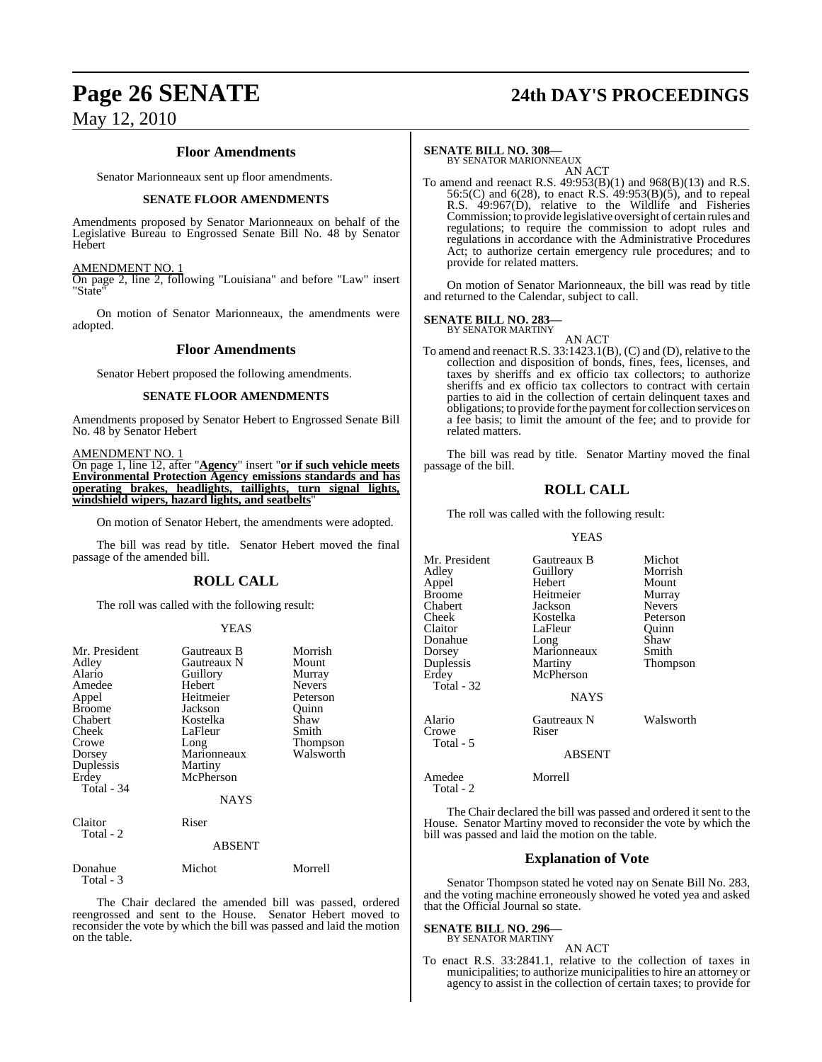### **Floor Amendments**

Senator Marionneaux sent up floor amendments.

### **SENATE FLOOR AMENDMENTS**

Amendments proposed by Senator Marionneaux on behalf of the Legislative Bureau to Engrossed Senate Bill No. 48 by Senator Hebert

### AMENDMENT NO. 1

On page 2, line 2, following "Louisiana" and before "Law" insert "State"

On motion of Senator Marionneaux, the amendments were adopted.

### **Floor Amendments**

Senator Hebert proposed the following amendments.

### **SENATE FLOOR AMENDMENTS**

Amendments proposed by Senator Hebert to Engrossed Senate Bill No. 48 by Senator Hebert

AMENDMENT NO. 1

On page 1, line 12, after "**Agency**" insert "**or if such vehicle meets Environmental Protection Agency emissions standards and has operating brakes, headlights, taillights, turn signal lights, windshield wipers, hazard lights, and seatbelts**"

On motion of Senator Hebert, the amendments were adopted.

The bill was read by title. Senator Hebert moved the final passage of the amended bill.

### **ROLL CALL**

The roll was called with the following result:

### YEAS

| Mr. President<br>Adley<br>Alario<br>Amedee<br>Appel<br><b>Broome</b><br>Chabert<br>Cheek<br>Crowe<br>Dorsey<br>Duplessis<br>Erdey<br>Total - 34 | Gautreaux B<br>Gautreaux N<br>Guillory<br>Hebert<br>Heitmeier<br>Jackson<br>Kostelka<br>LaFleur<br>Long<br>Marionneaux<br>Martiny<br>McPherson<br><b>NAYS</b> | Morrish<br>Mount<br>Murray<br><b>Nevers</b><br>Peterson<br>Ouinn<br>Shaw<br>Smith<br>Thompson<br>Walsworth |
|-------------------------------------------------------------------------------------------------------------------------------------------------|---------------------------------------------------------------------------------------------------------------------------------------------------------------|------------------------------------------------------------------------------------------------------------|
| Claitor<br>Total - 2                                                                                                                            | Riser<br><b>ABSENT</b>                                                                                                                                        |                                                                                                            |
| Donahue<br>Total - 3                                                                                                                            | Michot                                                                                                                                                        | Morrell                                                                                                    |

The Chair declared the amended bill was passed, ordered reengrossed and sent to the House. Senator Hebert moved to reconsider the vote by which the bill was passed and laid the motion on the table.

### **Page 26 SENATE 24th DAY'S PROCEEDINGS**

### **SENATE BILL NO. 308—**

BY SENATOR MARIONNEAUX AN ACT

To amend and reenact R.S. 49:953(B)(1) and 968(B)(13) and R.S. 56:5(C) and 6(28), to enact R.S. 49:953(B)(5), and to repeal R.S. 49:967(D), relative to the Wildlife and Fisheries Commission; to provide legislative oversight of certain rules and regulations; to require the commission to adopt rules and regulations in accordance with the Administrative Procedures Act; to authorize certain emergency rule procedures; and to provide for related matters.

On motion of Senator Marionneaux, the bill was read by title and returned to the Calendar, subject to call.

### **SENATE BILL NO. 283—**

BY SENATOR MARTINY

AN ACT To amend and reenact R.S. 33:1423.1(B), (C) and (D), relative to the collection and disposition of bonds, fines, fees, licenses, and taxes by sheriffs and ex officio tax collectors; to authorize sheriffs and ex officio tax collectors to contract with certain parties to aid in the collection of certain delinquent taxes and obligations; to provide for the payment for collection services on a fee basis; to limit the amount of the fee; and to provide for related matters.

The bill was read by title. Senator Martiny moved the final passage of the bill.

### **ROLL CALL**

The roll was called with the following result:

### YEAS

| Mr. President<br>Adlev<br>Appel<br>Broome<br>Chabert<br>Cheek<br>Claitor<br>Donahue<br>Dorsey<br>Duplessis<br>Erdey | Gautreaux B<br>Guillory<br>Hebert<br>Heitmeier<br>Jackson<br>Kostelka<br>LaFleur<br>Long<br>Marionneaux<br>Martiny<br>McPherson | Michot<br>Morrish<br>Mount<br>Murray<br><b>Nevers</b><br>Peterson<br>Ouinn<br>Shaw<br>Smith<br>Thompson |
|---------------------------------------------------------------------------------------------------------------------|---------------------------------------------------------------------------------------------------------------------------------|---------------------------------------------------------------------------------------------------------|
| Total - 32                                                                                                          | <b>NAYS</b>                                                                                                                     |                                                                                                         |
| Alario<br>Crowe<br>Total - 5                                                                                        | Gautreaux N<br>Riser                                                                                                            | Walsworth                                                                                               |
|                                                                                                                     | <b>ABSENT</b>                                                                                                                   |                                                                                                         |

Amedee Morrell

Total - 2

The Chair declared the bill was passed and ordered it sent to the House. Senator Martiny moved to reconsider the vote by which the bill was passed and laid the motion on the table.

### **Explanation of Vote**

Senator Thompson stated he voted nay on Senate Bill No. 283, and the voting machine erroneously showed he voted yea and asked that the Official Journal so state.

### **SENATE BILL NO. 296—** BY SENATOR MARTINY

AN ACT

To enact R.S. 33:2841.1, relative to the collection of taxes in municipalities; to authorize municipalities to hire an attorney or agency to assist in the collection of certain taxes; to provide for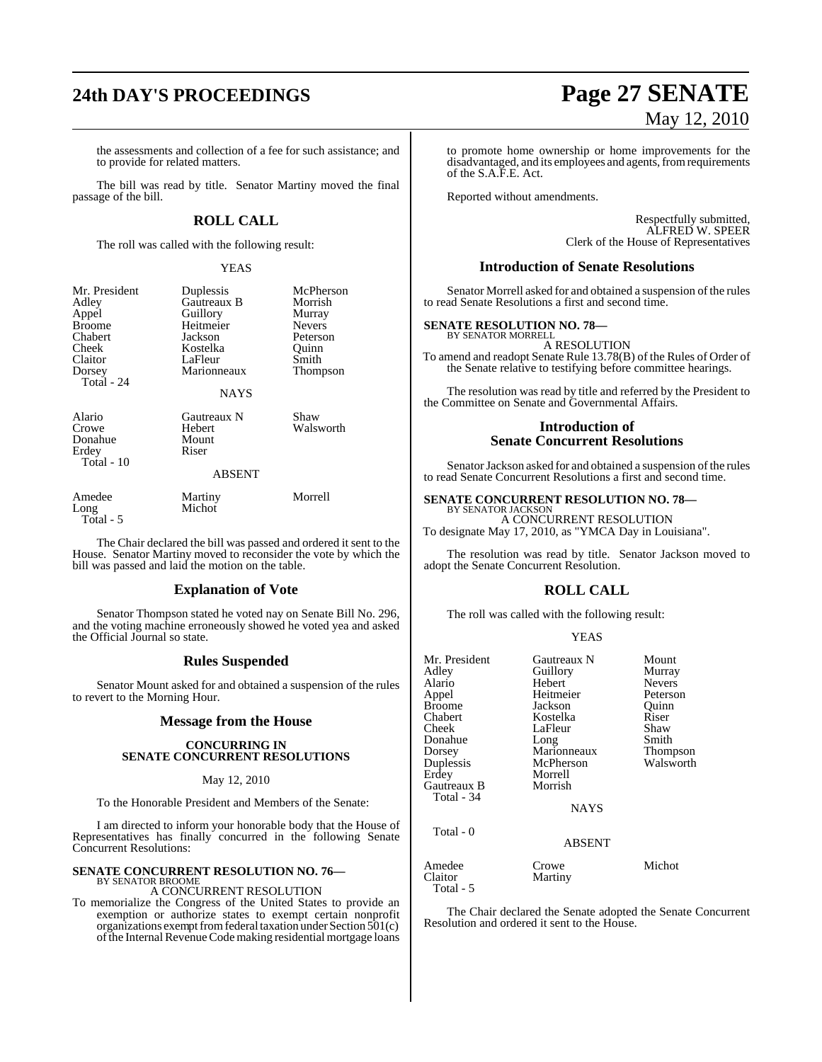the assessments and collection of a fee for such assistance; and to provide for related matters.

The bill was read by title. Senator Martiny moved the final passage of the bill.

### **ROLL CALL**

The roll was called with the following result:

### YEAS

| Mr. President<br>Adley<br>Appel<br><b>Broome</b><br>Chabert<br>Cheek<br>Claitor<br>Dorsey<br>Total $-24$ | Duplessis<br>Gautreaux B<br>Guillory<br>Heitmeier<br>Jackson<br>Kostelka<br>LaFleur<br>Marionneaux<br><b>NAYS</b> | McPherson<br>Morrish<br>Murray<br><b>Nevers</b><br>Peterson<br>Ouinn<br>Smith<br>Thompson |
|----------------------------------------------------------------------------------------------------------|-------------------------------------------------------------------------------------------------------------------|-------------------------------------------------------------------------------------------|
| Alario<br>Crowe<br>Donahue<br>Erdey<br>Total - 10                                                        | Gautreaux N<br>Hebert<br>Mount<br>Riser<br><b>ABSENT</b>                                                          | Shaw<br>Walsworth                                                                         |
| Amedee                                                                                                   | Martiny                                                                                                           | Morrell                                                                                   |

Long Michot

Total - 5

The Chair declared the bill was passed and ordered it sent to the House. Senator Martiny moved to reconsider the vote by which the bill was passed and laid the motion on the table.

### **Explanation of Vote**

Senator Thompson stated he voted nay on Senate Bill No. 296, and the voting machine erroneously showed he voted yea and asked the Official Journal so state.

### **Rules Suspended**

Senator Mount asked for and obtained a suspension of the rules to revert to the Morning Hour.

### **Message from the House**

#### **CONCURRING IN SENATE CONCURRENT RESOLUTIONS**

### May 12, 2010

To the Honorable President and Members of the Senate:

I am directed to inform your honorable body that the House of Representatives has finally concurred in the following Senate Concurrent Resolutions:

### **SENATE CONCURRENT RESOLUTION NO. 76—** BY SENATOR BROOME

A CONCURRENT RESOLUTION

To memorialize the Congress of the United States to provide an exemption or authorize states to exempt certain nonprofit organizations exempt from federal taxation under Section 501(c) of the Internal Revenue Code making residential mortgage loans

# **24th DAY'S PROCEEDINGS Page 27 SENATE** May 12, 2010

to promote home ownership or home improvements for the disadvantaged, and its employees and agents, from requirements of the S.A.F.E. Act.

Reported without amendments.

Respectfully submitted, ALFRED W. SPEER Clerk of the House of Representatives

### **Introduction of Senate Resolutions**

Senator Morrell asked for and obtained a suspension of the rules to read Senate Resolutions a first and second time.

### **SENATE RESOLUTION NO. 78—**

BY SENATOR MORRELL A RESOLUTION

To amend and readopt Senate Rule 13.78(B) of the Rules of Order of the Senate relative to testifying before committee hearings.

The resolution was read by title and referred by the President to the Committee on Senate and Governmental Affairs.

### **Introduction of Senate Concurrent Resolutions**

Senator Jackson asked for and obtained a suspension of the rules to read Senate Concurrent Resolutions a first and second time.

### **SENATE CONCURRENT RESOLUTION NO. 78—**

BY SENATOR JACKSON A CONCURRENT RESOLUTION To designate May 17, 2010, as "YMCA Day in Louisiana".

The resolution was read by title. Senator Jackson moved to adopt the Senate Concurrent Resolution.

### **ROLL CALL**

The roll was called with the following result:

### YEAS

| Mr. President | Gautreaux N   | Mount         |
|---------------|---------------|---------------|
| Adley         | Guillory      | Murray        |
| Alario        | Hebert        | <b>Nevers</b> |
| Appel         | Heitmeier     | Peterson      |
| <b>Broome</b> | Jackson       | Ouinn         |
| Chabert       | Kostelka      | Riser         |
| Cheek         | LaFleur       | Shaw          |
| Donahue       | Long          | Smith         |
| Dorsey        | Marionneaux   | Thompson      |
| Duplessis     | McPherson     | Walsworth     |
| Erdey         | Morrell       |               |
| Gautreaux B   | Morrish       |               |
| Total - 34    |               |               |
|               | <b>NAYS</b>   |               |
| Total - 0     |               |               |
|               | <b>ABSENT</b> |               |
| Amedee        | Crowe         | Michot        |
| Claitor       | Martiny       |               |
| Total - 5     |               |               |

The Chair declared the Senate adopted the Senate Concurrent Resolution and ordered it sent to the House.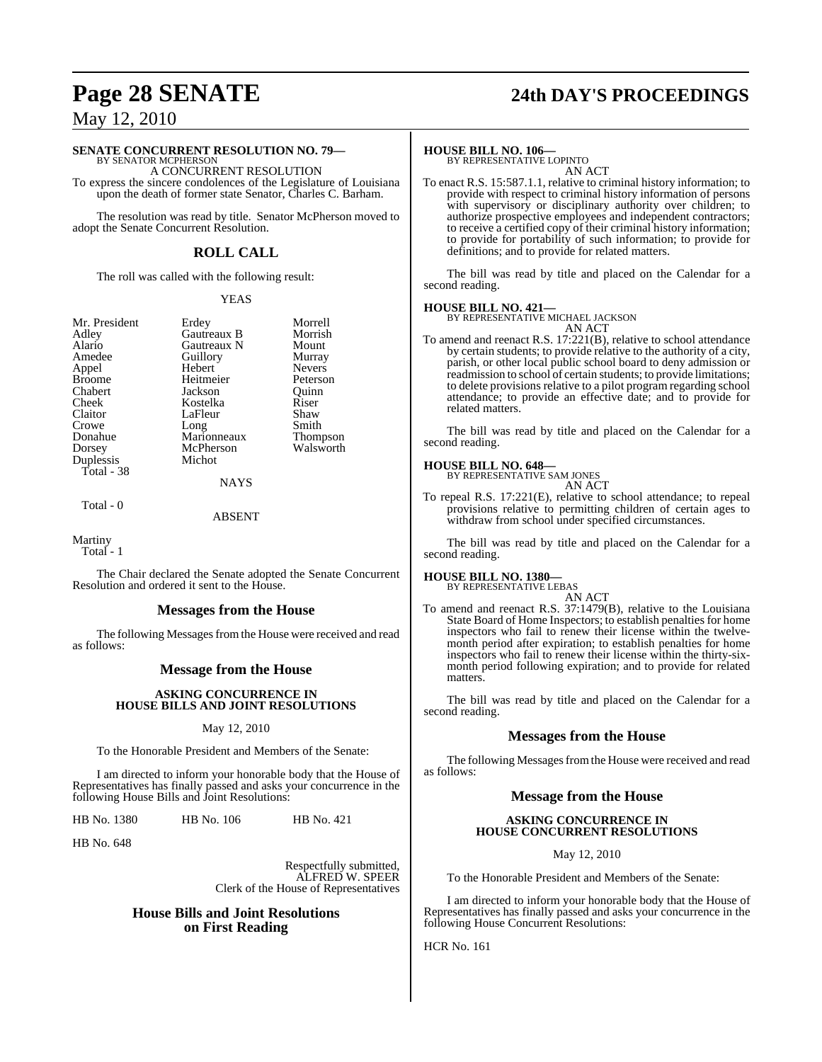### **Page 28 SENATE 24th DAY'S PROCEEDINGS**

May 12, 2010

### **SENATE CONCURRENT RESOLUTION NO. 79—**

BY SENATOR MCPHERSON A CONCURRENT RESOLUTION To express the sincere condolences of the Legislature of Louisiana upon the death of former state Senator, Charles C. Barham.

The resolution was read by title. Senator McPherson moved to adopt the Senate Concurrent Resolution.

### **ROLL CALL**

The roll was called with the following result:

#### YEAS

| Mr. President | Erdey       | Morrell       |
|---------------|-------------|---------------|
| Adley         | Gautreaux B | Morrish       |
| Alario        | Gautreaux N | Mount         |
| Amedee        | Guillory    | Murray        |
| Appel         | Hebert      | <b>Nevers</b> |
| <b>Broome</b> | Heitmeier   | Peterson      |
| Chabert       | Jackson     | Ouinn         |
| Cheek         | Kostelka    | Riser         |
| Claitor       | LaFleur     | Shaw          |
| Crowe         | Long        | Smith         |
| Donahue       | Marionneaux | Thompson      |
| Dorsey        | McPherson   | Walsworth     |
| Duplessis     | Michot      |               |
| Total - 38    |             |               |
|               | <b>NAYS</b> |               |

Total - 0

### ABSENT

Martiny

Total - 1

The Chair declared the Senate adopted the Senate Concurrent Resolution and ordered it sent to the House.

### **Messages from the House**

The following Messages from the House were received and read as follows:

### **Message from the House**

### **ASKING CONCURRENCE IN HOUSE BILLS AND JOINT RESOLUTIONS**

### May 12, 2010

To the Honorable President and Members of the Senate:

I am directed to inform your honorable body that the House of Representatives has finally passed and asks your concurrence in the following House Bills and Joint Resolutions:

HB No. 1380 HB No. 106 HB No. 421

HB No. 648

Respectfully submitted, ALFRED W. SPEER Clerk of the House of Representatives

### **House Bills and Joint Resolutions on First Reading**

**HOUSE BILL NO. 106—** BY REPRESENTATIVE LOPINTO

AN ACT

To enact R.S. 15:587.1.1, relative to criminal history information; to provide with respect to criminal history information of persons with supervisory or disciplinary authority over children; to authorize prospective employees and independent contractors; to receive a certified copy of their criminal history information; to provide for portability of such information; to provide for definitions; and to provide for related matters.

The bill was read by title and placed on the Calendar for a second reading.

### **HOUSE BILL NO. 421—**

BY REPRESENTATIVE MICHAEL JACKSON AN ACT

To amend and reenact R.S. 17:221(B), relative to school attendance by certain students; to provide relative to the authority of a city, parish, or other local public school board to deny admission or readmission to school of certain students; to provide limitations; to delete provisions relative to a pilot program regarding school attendance; to provide an effective date; and to provide for related matters.

The bill was read by title and placed on the Calendar for a second reading.

### **HOUSE BILL NO. 648—**

BY REPRESENTATIVE SAM JONES AN ACT

To repeal R.S. 17:221(E), relative to school attendance; to repeal provisions relative to permitting children of certain ages to withdraw from school under specified circumstances.

The bill was read by title and placed on the Calendar for a second reading.

### **HOUSE BILL NO. 1380—**

matters.

BY REPRESENTATIVE LEBAS

AN ACT To amend and reenact R.S. 37:1479(B), relative to the Louisiana State Board of Home Inspectors; to establish penalties for home inspectors who fail to renew their license within the twelvemonth period after expiration; to establish penalties for home inspectors who fail to renew their license within the thirty-sixmonth period following expiration; and to provide for related

The bill was read by title and placed on the Calendar for a second reading.

### **Messages from the House**

The following Messages from the House were received and read as follows:

### **Message from the House**

### **ASKING CONCURRENCE IN HOUSE CONCURRENT RESOLUTIONS**

May 12, 2010

To the Honorable President and Members of the Senate:

I am directed to inform your honorable body that the House of Representatives has finally passed and asks your concurrence in the following House Concurrent Resolutions:

HCR No. 161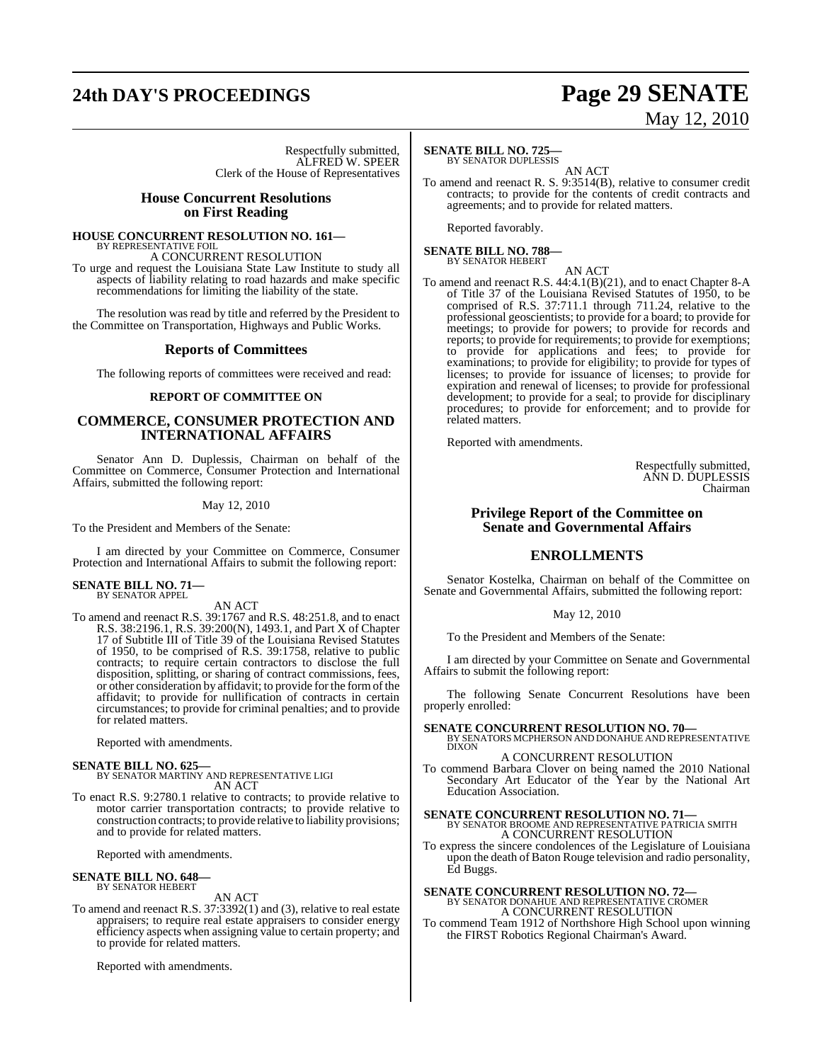# **24th DAY'S PROCEEDINGS Page 29 SENATE**

# May 12, 2010

Respectfully submitted, ALFRED W. SPEER Clerk of the House of Representatives

### **House Concurrent Resolutions on First Reading**

### **HOUSE CONCURRENT RESOLUTION NO. 161—** BY REPRESENTATIVE FOIL

A CONCURRENT RESOLUTION

To urge and request the Louisiana State Law Institute to study all aspects of liability relating to road hazards and make specific recommendations for limiting the liability of the state.

The resolution was read by title and referred by the President to the Committee on Transportation, Highways and Public Works.

### **Reports of Committees**

The following reports of committees were received and read:

### **REPORT OF COMMITTEE ON**

### **COMMERCE, CONSUMER PROTECTION AND INTERNATIONAL AFFAIRS**

Senator Ann D. Duplessis, Chairman on behalf of the Committee on Commerce, Consumer Protection and International Affairs, submitted the following report:

### May 12, 2010

To the President and Members of the Senate:

I am directed by your Committee on Commerce, Consumer Protection and International Affairs to submit the following report:

### **SENATE BILL NO. 71—** BY SENATOR APPEL

AN ACT

To amend and reenact R.S. 39:1767 and R.S. 48:251.8, and to enact R.S. 38:2196.1, R.S. 39:200(N), 1493.1, and Part X of Chapter 17 of Subtitle III of Title 39 of the Louisiana Revised Statutes of 1950, to be comprised of R.S. 39:1758, relative to public contracts; to require certain contractors to disclose the full disposition, splitting, or sharing of contract commissions, fees, or other consideration by affidavit; to provide for the formofthe affidavit; to provide for nullification of contracts in certain circumstances; to provide for criminal penalties; and to provide for related matters.

Reported with amendments.

**SENATE BILL NO. 625—** BY SENATOR MARTINY AND REPRESENTATIVE LIGI AN ACT

To enact R.S. 9:2780.1 relative to contracts; to provide relative to motor carrier transportation contracts; to provide relative to construction contracts; to provide relative to liability provisions; and to provide for related matters.

Reported with amendments.

#### **SENATE BILL NO. 648—** BY SENATOR HEBERT

AN ACT

To amend and reenact R.S. 37:3392(1) and (3), relative to real estate appraisers; to require real estate appraisers to consider energy efficiency aspects when assigning value to certain property; and to provide for related matters.

Reported with amendments.

### **SENATE BILL NO. 725—**

BY SENATOR DUPLESSIS

AN ACT To amend and reenact R. S. 9:3514(B), relative to consumer credit contracts; to provide for the contents of credit contracts and agreements; and to provide for related matters.

Reported favorably.

**SENATE BILL NO. 788—** BY SENATOR HEBERT

AN ACT

To amend and reenact R.S. 44:4.1(B)(21), and to enact Chapter 8-A of Title 37 of the Louisiana Revised Statutes of 1950, to be comprised of R.S. 37:711.1 through 711.24, relative to the professional geoscientists; to provide for a board; to provide for meetings; to provide for powers; to provide for records and reports; to provide for requirements; to provide for exemptions; to provide for applications and fees; to provide for examinations; to provide for eligibility; to provide for types of licenses; to provide for issuance of licenses; to provide for expiration and renewal of licenses; to provide for professional development; to provide for a seal; to provide for disciplinary procedures; to provide for enforcement; and to provide for related matters.

Reported with amendments.

Respectfully submitted, ANN D. DUPLESSIS Chairman

### **Privilege Report of the Committee on Senate and Governmental Affairs**

### **ENROLLMENTS**

Senator Kostelka, Chairman on behalf of the Committee on Senate and Governmental Affairs, submitted the following report:

May 12, 2010

To the President and Members of the Senate:

I am directed by your Committee on Senate and Governmental Affairs to submit the following report:

The following Senate Concurrent Resolutions have been properly enrolled:

**SENATE CONCURRENT RESOLUTION NO. 70—<br>BY SENATORS MCPHERSON AND DONAHUE AND REPRESENTATIVE<br>DIXON** 

### A CONCURRENT RESOLUTION

To commend Barbara Clover on being named the 2010 National Secondary Art Educator of the Year by the National Art Education Association.

**SENATE CONCURRENT RESOLUTION NO. 71—**<br>BY SENATOR BROOME AND REPRESENTATIVE PATRICIA SMITH A CONCURRENT RESOLUTION

To express the sincere condolences of the Legislature of Louisiana upon the death of Baton Rouge television and radio personality, Ed Buggs.

### **SENATE CONCURRENT RESOLUTION NO. 72—** BY SENATOR DONAHUE AND REPRESENTATIVE CROMER

A CONCURRENT RESOLUTION To commend Team 1912 of Northshore High School upon winning the FIRST Robotics Regional Chairman's Award.